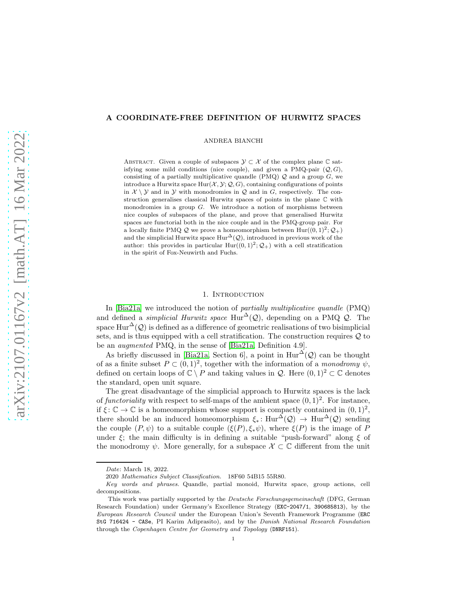# <span id="page-0-1"></span>A COORDINATE-FREE DEFINITION OF HURWITZ SPACES

ANDREA BIANCHI

ABSTRACT. Given a couple of subspaces  $\mathcal{Y} \subset \mathcal{X}$  of the complex plane  $\mathbb C$  satisfying some mild conditions (nice couple), and given a PMQ-pair  $(Q, G)$ , consisting of a partially multiplicative quandle (PMQ)  $Q$  and a group  $G$ , we introduce a Hurwitz space  $Hur(X, Y; Q, G)$ , containing configurations of points in  $\mathcal{X} \setminus \mathcal{Y}$  and in  $\mathcal{Y}$  with monodromies in  $\mathcal{Q}$  and in G, respectively. The construction generalises classical Hurwitz spaces of points in the plane C with monodromies in a group  $G$ . We introduce a notion of morphisms between nice couples of subspaces of the plane, and prove that generalised Hurwitz spaces are functorial both in the nice couple and in the PMQ-group pair. For a locally finite PMQ  $\mathcal Q$  we prove a homeomorphism between  $\text{Hur}((0,1)^2;\mathcal Q_+)$ and the simplicial Hurwitz space  $\text{Hur}^{\Delta}(\mathcal{Q})$ , introduced in previous work of the author: this provides in particular  $Hur((0,1)^2; \mathcal{Q}_+)$  with a cell stratification in the spirit of Fox-Neuwirth and Fuchs.

### 1. INTRODUCTION

<span id="page-0-0"></span>In [\[Bia21a\]](#page-56-0) we introduced the notion of partially multiplicative quandle (PMQ) and defined a *simplicial Hurwitz space* Hur<sup>∆</sup>( $\mathcal{Q}$ ), depending on a PMQ  $\mathcal{Q}$ . The space Hur<sup> $\Delta$ </sup>(*Q*) is defined as a difference of geometric realisations of two bisimplicial sets, and is thus equipped with a cell stratification. The construction requires  $Q$  to be an augmented PMQ, in the sense of [\[Bia21a,](#page-56-0) Definition 4.9].

As briefly discussed in [\[Bia21a,](#page-56-0) Section 6], a point in  $Hur^{\Delta}(\mathcal{Q})$  can be thought of as a finite subset  $P \subset (0,1)^2$ , together with the information of a monodromy  $\psi$ , defined on certain loops of  $\mathbb{C} \setminus P$  and taking values in  $\mathcal{Q}$ . Here  $(0, 1)^2 \subset \mathbb{C}$  denotes the standard, open unit square.

The great disadvantage of the simplicial approach to Hurwitz spaces is the lack of functoriality with respect to self-maps of the ambient space  $(0, 1)^2$ . For instance, if  $\xi \colon \mathbb{C} \to \mathbb{C}$  is a homeomorphism whose support is compactly contained in  $(0,1)^2$ , there should be an induced homeomorphism  $\xi_* : \text{Hur}^{\Delta}(\mathcal{Q}) \to \text{Hur}^{\Delta}(\mathcal{Q})$  sending the couple  $(P, \psi)$  to a suitable couple  $(\xi(P), \xi_*\psi)$ , where  $\xi(P)$  is the image of P under  $\xi$ ; the main difficulty is in defining a suitable "push-forward" along  $\xi$  of the monodromy  $\psi$ . More generally, for a subspace  $\mathcal{X} \subset \mathbb{C}$  different from the unit

Date: March 18, 2022.

<sup>2020</sup> Mathematics Subject Classification. 18F60 54B15 55R80.

Key words and phrases. Quandle, partial monoid, Hurwitz space, group actions, cell decompositions.

This work was partially supported by the Deutsche Forschungsgemeinschaft (DFG, German Research Foundation) under Germany's Excellence Strategy (EXC-2047/1, 390685813), by the European Research Council under the European Union's Seventh Framework Programme (ERC StG 716424 - CASe, PI Karim Adiprasito), and by the Danish National Research Foundation through the Copenhagen Centre for Geometry and Topology (DNRF151).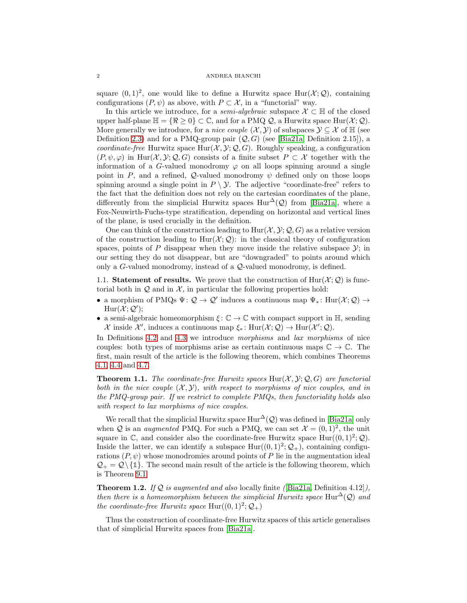<span id="page-1-1"></span>square  $(0, 1)^2$ , one would like to define a Hurwitz space  $\text{Hur}(\mathcal{X}; \mathcal{Q})$ , containing configurations  $(P, \psi)$  as above, with  $P \subset \mathcal{X}$ , in a "functorial" way.

In this article we introduce, for a *semi-algebraic* subspace  $\mathcal{X} \subset \mathbb{H}$  of the closed upper half-plane  $\mathbb{H} = \{\Re \geq 0\} \subset \mathbb{C}$ , and for a PMQ Q, a Hurwitz space Hur $(\mathcal{X}; \mathcal{Q})$ . More generally we introduce, for a *nice couple*  $(\mathcal{X}, \mathcal{Y})$  of subspaces  $\mathcal{Y} \subseteq \mathcal{X}$  of  $\mathbb{H}$  (see Definition [2.3\)](#page-6-0) and for a PMQ-group pair  $(Q, G)$  (see [\[Bia21a,](#page-56-0) Definition 2.15]), a coordinate-free Hurwitz space  $\text{Hur}(\mathcal{X}, \mathcal{Y}; \mathcal{Q}, G)$ . Roughly speaking, a configuration  $(P, \psi, \varphi)$  in Hur $(\mathcal{X}, \mathcal{Y}; \mathcal{Q}, G)$  consists of a finite subset  $P \subset \mathcal{X}$  together with the information of a G-valued monodromy  $\varphi$  on all loops spinning around a single point in P, and a refined, Q-valued monodromy  $\psi$  defined only on those loops spinning around a single point in  $P \setminus \mathcal{Y}$ . The adjective "coordinate-free" refers to the fact that the definition does not rely on the cartesian coordinates of the plane, differently from the simplicial Hurwitz spaces  $\text{Hur}^{\Delta}(\mathcal{Q})$  from [\[Bia21a\]](#page-56-0), where a Fox-Neuwirth-Fuchs-type stratification, depending on horizontal and vertical lines of the plane, is used crucially in the definition.

One can think of the construction leading to  $\text{Hur}(\mathcal{X}, \mathcal{Y}; \mathcal{Q}, G)$  as a relative version of the construction leading to  $\text{Hur}(\mathcal{X};\mathcal{Q})$ : in the classical theory of configuration spaces, points of P disappear when they move inside the relative subspace  $\mathcal{Y}$ ; in our setting they do not disappear, but are "downgraded" to points around which only a G-valued monodromy, instead of a Q-valued monodromy, is defined.

<span id="page-1-0"></span>1.1. Statement of results. We prove that the construction of  $\text{Hur}(\mathcal{X};\mathcal{Q})$  is functorial both in  $Q$  and in  $X$ , in particular the following properties hold:

- a morphism of PMQs  $\Psi: \mathcal{Q} \to \mathcal{Q}'$  induces a continuous map  $\Psi_*: \text{Hur}(\mathcal{X}; \mathcal{Q}) \to$  $\text{Hur}(\mathcal{X};\mathcal{Q}');$
- a semi-algebraic homeomorphism  $\xi: \mathbb{C} \to \mathbb{C}$  with compact support in  $\mathbb{H}$ , sending  $\mathcal X$  inside  $\mathcal X'$ , induces a continuous map  $\xi_*$ : Hur $(\mathcal X; \mathcal Q) \to \text{Hur}(\mathcal X'; \mathcal Q)$ .

In Definitions [4.2](#page-18-0) and [4.3](#page-19-0) we introduce morphisms and lax morphisms of nice couples: both types of morphisms arise as certain continuous maps  $\mathbb{C} \to \mathbb{C}$ . The first, main result of the article is the following theorem, which combines Theorems [4.1,](#page-17-0) [4.4](#page-19-1) and [4.7.](#page-21-0)

**Theorem 1.1.** The coordinate-free Hurwitz spaces Hur $(\mathcal{X}, \mathcal{Y}; \mathcal{Q}, G)$  are functorial both in the nice couple  $(\mathcal{X}, \mathcal{Y})$ , with respect to morphisms of nice couples, and in the PMQ-group pair. If we restrict to complete PMQs, then functoriality holds also with respect to lax morphisms of nice couples.

We recall that the simplicial Hurwitz space  $\text{Hur}^{\Delta}(\mathcal{Q})$  was defined in [\[Bia21a\]](#page-56-0) only when Q is an *augmented* PMQ. For such a PMQ, we can set  $\mathcal{X} = (0, 1)^2$ , the unit square in C, and consider also the coordinate-free Hurwitz space  $\text{Hur}(0, 1)^2$ ; Q). Inside the latter, we can identify a subspace  $\text{Hur}((0,1)^2; \mathcal{Q}_+)$ , containing configurations  $(P, \psi)$  whose monodromies around points of P lie in the augmentation ideal  $\mathcal{Q}_+ = \mathcal{Q} \setminus \{1\}$ . The second main result of the article is the following theorem, which is Theorem [9.1.](#page-43-0)

**Theorem 1.2.** If  $Q$  is augmented and also locally finite ([\[Bia21a,](#page-56-0) Definition 4.12]), then there is a homeomorphism between the simplicial Hurwitz space Hur<sup>∆</sup>( $\mathcal{Q}$ ) and the coordinate-free Hurwitz space  $\text{Hur}((0,1)^2; \mathcal{Q}_+)$ 

Thus the construction of coordinate-free Hurwitz spaces of this article generalises that of simplicial Hurwitz spaces from [\[Bia21a\]](#page-56-0).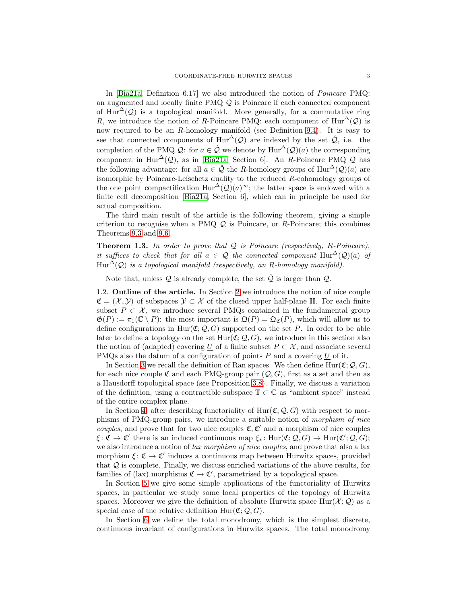<span id="page-2-1"></span>In [\[Bia21a,](#page-56-0) Definition 6.17] we also introduced the notion of Poincare PMQ: an augmented and locally finite PMQ Q is Poincare if each connected component of Hur<sup> $\Delta$ </sup>(Q) is a topological manifold. More generally, for a commutative ring R, we introduce the notion of R-Poincare PMQ: each component of  $\text{Hur}^{\Delta}(\mathcal{Q})$  is now required to be an  $R$ -homology manifold (see Definition [9.4\)](#page-46-0). It is easy to see that connected components of  $\text{Hur}^{\Delta}(\mathcal{Q})$  are indexed by the set  $\hat{\mathcal{Q}}$ , i.e. the completion of the PMQ Q: for  $a \in \hat{Q}$  we denote by  $\text{Hur}^{\Delta}(\mathcal{Q})(a)$  the corresponding component in Hur<sup>∆</sup>( $Q$ ), as in [\[Bia21a,](#page-56-0) Section 6]. An R-Poincare PMQ  $Q$  has the following advantage: for all  $a \in \hat{\mathcal{Q}}$  the R-homology groups of  $\text{Hur}^{\Delta}(\mathcal{Q})(a)$  are isomorphic by Poincare-Lefschetz duality to the reduced R-cohomology groups of the one point compactification  $\text{Hur}^{\Delta}(\mathcal{Q})(a)^\infty$ ; the latter space is endowed with a finite cell decomposition [\[Bia21a,](#page-56-0) Section 6], which can in principle be used for actual composition.

The third main result of the article is the following theorem, giving a simple criterion to recognise when a PMQ  $\mathcal Q$  is Poincare, or R-Poincare; this combines Theorems [9.3](#page-45-0) and [9.6.](#page-46-1)

**Theorem 1.3.** In order to prove that  $Q$  is Poincare (respectively, R-Poincare), it suffices to check that for all  $a \in \mathcal{Q}$  the connected component  $\text{Hur}^{\Delta}(\mathcal{Q})(a)$  of  $\text{Hur}^{\Delta}(\mathcal{Q})$  is a topological manifold (respectively, an R-homology manifold).

<span id="page-2-0"></span>Note that, unless  $Q$  is already complete, the set  $\hat{Q}$  is larger than  $Q$ .

1.2. Outline of the article. In Section [2](#page-5-0) we introduce the notion of nice couple  $\mathfrak{C} = (\mathcal{X}, \mathcal{Y})$  of subspaces  $\mathcal{Y} \subset \mathcal{X}$  of the closed upper half-plane  $\mathbb{H}$ . For each finite subset  $P \subset \mathcal{X}$ , we introduce several PMQs contained in the fundamental group  $\mathfrak{G}(P) := \pi_1(\mathbb{C} \setminus P)$ : the most important is  $\mathfrak{Q}(P) = \mathfrak{Q}_{\mathfrak{C}}(P)$ , which will allow us to define configurations in Hur( $\mathfrak{C}; \mathcal{Q}, G$ ) supported on the set P. In order to be able later to define a topology on the set  $\text{Hur}(\mathfrak{C}; \mathcal{Q}, G)$ , we introduce in this section also the notion of (adapted) covering <u>U</u> of a finite subset  $P \subset \mathcal{X}$ , and associate several PMQs also the datum of a configuration of points  $P$  and a covering  $U$  of it.

In Section [3](#page-11-0) we recall the definition of Ran spaces. We then define  $\text{Hur}(\mathfrak{C}; \mathcal{Q}, G)$ , for each nice couple  $\mathfrak C$  and each PMQ-group pair  $(Q, G)$ , first as a set and then as a Hausdorff topological space (see Proposition [3.8\)](#page-13-0). Finally, we discuss a variation of the definition, using a contractible subspace  $\mathbb{T} \subset \mathbb{C}$  as "ambient space" instead of the entire complex plane.

In Section [4,](#page-17-1) after describing functoriality of  $Hur(\mathfrak{C}; \mathcal{Q}, G)$  with respect to morphisms of PMQ-group pairs, we introduce a suitable notion of morphism of nice *couples*, and prove that for two nice couples  $\mathfrak{C}, \mathfrak{C}'$  and a morphism of nice couples  $\xi \colon \mathfrak{C} \to \mathfrak{C}'$  there is an induced continuous map  $\xi_* \colon \text{Hur}(\mathfrak{C}; \mathcal{Q}, G) \to \text{Hur}(\mathfrak{C}'; \mathcal{Q}, G);$ we also introduce a notion of *lax morphism of nice couples*, and prove that also a lax morphism  $\xi \colon \mathfrak{C} \to \mathfrak{C}'$  induces a continuous map between Hurwitz spaces, provided that  $Q$  is complete. Finally, we discuss enriched variations of the above results, for families of (lax) morphisms  $\mathfrak{C} \to \mathfrak{C}'$ , parametrised by a topological space.

In Section [5](#page-22-0) we give some simple applications of the functoriality of Hurwitz spaces, in particular we study some local properties of the topology of Hurwitz spaces. Moreover we give the definition of absolute Hurwitz space  $\text{Hur}(\mathcal{X};\mathcal{Q})$  as a special case of the relative definition  $Hur(\mathfrak{C}; \mathcal{Q}, G)$ .

In Section [6](#page-26-0) we define the total monodromy, which is the simplest discrete, continuous invariant of configurations in Hurwitz spaces. The total monodromy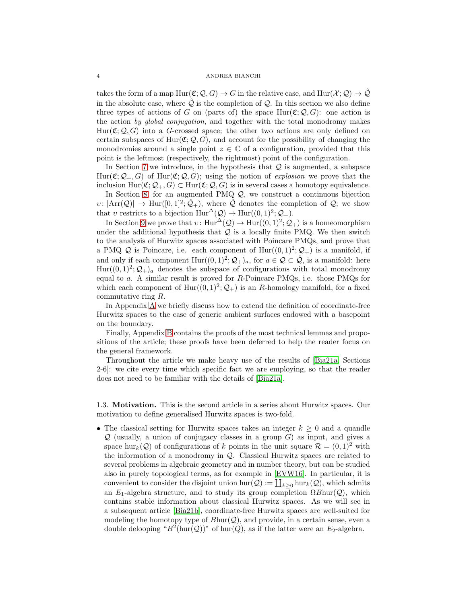#### <span id="page-3-1"></span>4 ANDREA BIANCHI

takes the form of a map  $\text{Hur}(\mathfrak{C}; \mathcal{Q}, G) \to G$  in the relative case, and  $\text{Hur}(\mathcal{X}; \mathcal{Q}) \to \hat{\mathcal{Q}}$ in the absolute case, where  $\tilde{Q}$  is the completion of  $Q$ . In this section we also define three types of actions of G on (parts of) the space  $\text{Hur}(\mathfrak{C}; \mathcal{Q}, G)$ : one action is the action by global conjugation, and together with the total monodromy makes  $Hur(\mathfrak{C}; Q, G)$  into a G-crossed space; the other two actions are only defined on certain subspaces of Hur( $\mathfrak{C}; \mathcal{Q}, G$ ), and account for the possibility of changing the monodromies around a single point  $z \in \mathbb{C}$  of a configuration, provided that this point is the leftmost (respectively, the rightmost) point of the configuration.

In Section [7](#page-32-0) we introduce, in the hypothesis that  $Q$  is augmented, a subspace  $\text{Hur}(\mathfrak{C}; \mathcal{Q}_+, G)$  of  $\text{Hur}(\mathfrak{C}; \mathcal{Q}, G)$ ; using the notion of explosion we prove that the inclusion  $\text{Hur}(\mathfrak{C}; \mathcal{Q}_+, G) \subset \text{Hur}(\mathfrak{C}; \mathcal{Q}, G)$  is in several cases a homotopy equivalence.

In Section [8,](#page-36-0) for an augmented PMQ  $\mathcal{Q}$ , we construct a continuous bijection  $v: |\text{Arr}(\mathcal{Q})| \to \text{Hur}([0,1]^2; \hat{\mathcal{Q}}_+)$ , where  $\hat{\mathcal{Q}}$  denotes the completion of  $\mathcal{Q}$ ; we show that v restricts to a bijection  $\text{Hur}^{\Delta}(\mathcal{Q}) \to \text{Hur}((0,1)^2;\mathcal{Q}_+).$ 

In Section [9](#page-43-1) we prove that  $v: \text{Hur}^{\Delta}(\mathcal{Q}) \to \text{Hur}((0,1)^2; \mathcal{Q}_+)$  is a homeomorphism under the additional hypothesis that  $Q$  is a locally finite PMQ. We then switch to the analysis of Hurwitz spaces associated with Poincare PMQs, and prove that a PMQ Q is Poincare, i.e. each component of  $Hur((0,1)^2; \mathcal{Q}_+)$  is a manifold, if and only if each component  $\text{Hur}((0,1)^2; \mathcal{Q}_+)_a$ , for  $a \in \mathcal{Q} \subset \hat{\mathcal{Q}}$ , is a manifold: here  $\text{Hur}(0,1)^2; \mathcal{Q}_+)_a$  denotes the subspace of configurations with total monodromy equal to  $a$ . A similar result is proved for  $R$ -Poincare PMQs, i.e. those PMQs for which each component of  $\text{Hur}((0,1)^2; \mathcal{Q}_+)$  is an R-homology manifold, for a fixed commutative ring R.

In Appendix [A](#page-48-0) we briefly discuss how to extend the definition of coordinate-free Hurwitz spaces to the case of generic ambient surfaces endowed with a basepoint on the boundary.

Finally, Appendix [B](#page-48-1) contains the proofs of the most technical lemmas and propositions of the article; these proofs have been deferred to help the reader focus on the general framework.

Throughout the article we make heavy use of the results of [\[Bia21a,](#page-56-0) Sections 2-6]: we cite every time which specific fact we are employing, so that the reader does not need to be familiar with the details of [\[Bia21a\]](#page-56-0).

<span id="page-3-0"></span>1.3. Motivation. This is the second article in a series about Hurwitz spaces. Our motivation to define generalised Hurwitz spaces is two-fold.

• The classical setting for Hurwitz spaces takes an integer  $k \geq 0$  and a quandle  $Q$  (usually, a union of conjugacy classes in a group  $G$ ) as input, and gives a space hur<sub>k</sub>( $Q$ ) of configurations of k points in the unit square  $\mathcal{R} = (0, 1)^2$  with the information of a monodromy in  $Q$ . Classical Hurwitz spaces are related to several problems in algebraic geometry and in number theory, but can be studied also in purely topological terms, as for example in [\[EVW16\]](#page-56-1). In particular, it is convenient to consider the disjoint union hur( $Q$ ) :=  $\coprod_{k\geq 0}$  hur $_k(Q)$ , which admits an  $E_1$ -algebra structure, and to study its group completion  $\Omega$ Bhur( $\mathcal{Q}$ ), which contains stable information about classical Hurwitz spaces. As we will see in a subsequent article [\[Bia21b\]](#page-56-2), coordinate-free Hurwitz spaces are well-suited for modeling the homotopy type of  $B\text{hur}(\mathcal{Q})$ , and provide, in a certain sense, even a double delooping " $B^2$ (hur(Q))" of hur(Q), as if the latter were an  $E_2$ -algebra.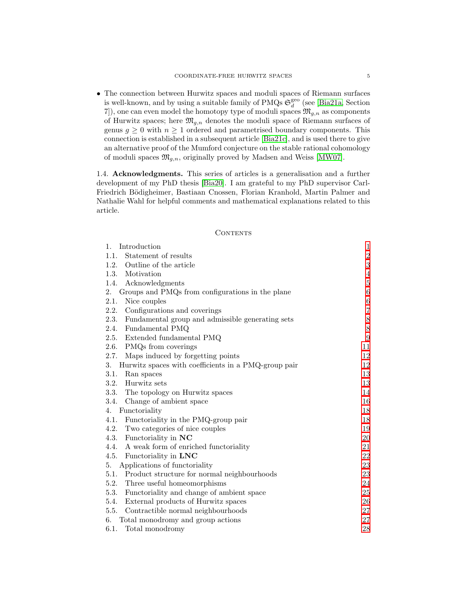<span id="page-4-1"></span>• The connection between Hurwitz spaces and moduli spaces of Riemann surfaces is well-known, and by using a suitable family of PMQs  $\mathfrak{S}_d^{\text{geo}}$  (see [\[Bia21a,](#page-56-0) Section 7]), one can even model the homotopy type of moduli spaces  $\mathfrak{M}_{g,n}$  as components of Hurwitz spaces; here  $\mathfrak{M}_{g,n}$  denotes the moduli space of Riemann surfaces of genus  $g \geq 0$  with  $n \geq 1$  ordered and parametrised boundary components. This connection is established in a subsequent article [\[Bia21c\]](#page-56-3), and is used there to give an alternative proof of the Mumford conjecture on the stable rational cohomology of moduli spaces  $\mathfrak{M}_{g,n}$ , originally proved by Madsen and Weiss [\[MW07\]](#page-56-4).

<span id="page-4-0"></span>1.4. Acknowledgments. This series of articles is a generalisation and a further development of my PhD thesis [\[Bia20\]](#page-56-5). I am grateful to my PhD supervisor Carl-Friedrich Bödigheimer, Bastiaan Cnossen, Florian Kranhold, Martin Palmer and Nathalie Wahl for helpful comments and mathematical explanations related to this article.

### **CONTENTS**

| Introduction<br>1.                                         | $\mathbf{1}$   |
|------------------------------------------------------------|----------------|
| Statement of results<br>1.1.                               | $\overline{2}$ |
| 1.2.<br>Outline of the article                             | $\sqrt{3}$     |
| 1.3.<br>Motivation                                         | $\overline{4}$ |
| 1.4.<br>Acknowledgments                                    | $\bf 5$        |
| 2.<br>Groups and PMQs from configurations in the plane     | $\,6$          |
| 2.1.<br>Nice couples                                       | 6              |
| 2.2.<br>Configurations and coverings                       | $\overline{7}$ |
| 2.3.<br>Fundamental group and admissible generating sets   | $8\,$          |
| 2.4.<br>Fundamental PMQ                                    | $8\,$          |
| 2.5.<br>Extended fundamental PMQ                           | 9              |
| 2.6.<br>PMQs from coverings                                | 11             |
| Maps induced by forgetting points<br>2.7.                  | 12             |
| Hurwitz spaces with coefficients in a PMQ-group pair<br>3. | 12             |
| 3.1.<br>Ran spaces                                         | 13             |
| 3.2.<br>Hurwitz sets                                       | 13             |
| 3.3.<br>The topology on Hurwitz spaces                     | 14             |
| Change of ambient space<br>3.4.                            | 16             |
| Functoriality<br>4.                                        | 18             |
| Functoriality in the PMQ-group pair<br>4.1.                | 18             |
| 4.2.<br>Two categories of nice couples                     | 19             |
| 4.3.<br>Functoriality in NC                                | 20             |
| A weak form of enriched functoriality<br>4.4.              | 21             |
| 4.5.<br>Functoriality in LNC                               | 22             |
| Applications of functoriality<br>5.                        | 23             |
| 5.1. Product structure for normal neighbourhoods           | 23             |
| 5.2.<br>Three useful homeomorphisms                        | 24             |
| 5.3.<br>Functoriality and change of ambient space          | 25             |
| External products of Hurwitz spaces<br>5.4.                | 26             |
| 5.5.<br>Contractible normal neighbourhoods                 | 27             |
| Total monodromy and group actions<br>6.                    | 27             |
| 6.1.<br>Total monodromy                                    | 28             |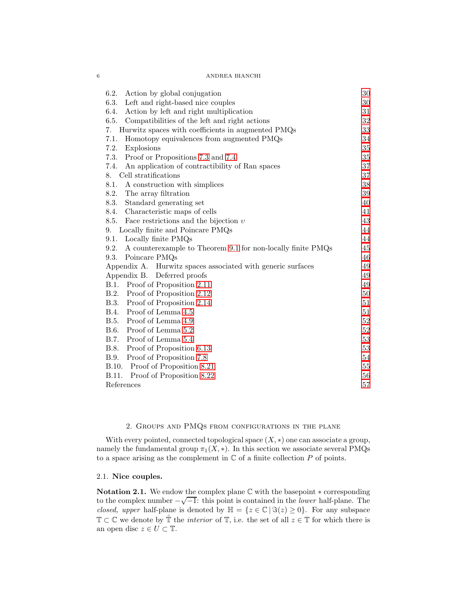# 6 ANDREA BIANCHI

| 6.2.<br>Action by global conjugation                                | 30     |
|---------------------------------------------------------------------|--------|
| 6.3.<br>Left and right-based nice couples                           | 30     |
| Action by left and right multiplication<br>6.4.                     | 31     |
| 6.5.<br>Compatibilities of the left and right actions               | 32     |
| Hurwitz spaces with coefficients in augmented PMQs<br>7.            | 33     |
| 7.1.<br>Homotopy equivalences from augmented PMQs                   | 34     |
| 7.2.<br>Explosions                                                  | $35\,$ |
| 7.3.<br>Proof or Propositions 7.3 and 7.4                           | 35     |
| 7.4.<br>An application of contractibility of Ran spaces             | 37     |
| Cell stratifications<br>8.                                          | 37     |
| 8.1.<br>A construction with simplices                               | $38\,$ |
| 8.2.<br>The array filtration                                        | 39     |
| 8.3.<br>Standard generating set                                     | 40     |
| Characteristic maps of cells<br>8.4.                                | 41     |
| 8.5.<br>Face restrictions and the bijection $v$                     | 43     |
| Locally finite and Poincare PMQs<br>9.                              | 44     |
| Locally finite PMQs<br>9.1.                                         | 44     |
| 9.2.<br>A counterexample to Theorem 9.1 for non-locally finite PMQs | 45     |
| 9.3.<br>Poincare PMQs                                               | 46     |
| Appendix A.<br>Hurwitz spaces associated with generic surfaces      | 49     |
| Deferred proofs<br>Appendix B.                                      | 49     |
| Proof of Proposition 2.11<br>B.1.                                   | 49     |
| B.2.<br>Proof of Proposition 2.12                                   | 50     |
| <b>B.3.</b><br>Proof of Proposition 2.14                            | 51     |
| Proof of Lemma 4.5<br><b>B.4.</b>                                   | 51     |
| <b>B.5.</b><br>Proof of Lemma 4.9                                   | 52     |
| B.6.<br>Proof of Lemma 5.2                                          | $52\,$ |
| B.7.<br>Proof of Lemma 5.4                                          | $53\,$ |
| B.8.<br>Proof of Proposition 6.13                                   | $53\,$ |
| B.9.<br>Proof of Proposition 7.8                                    | 54     |
| B.10. Proof of Proposition 8.21                                     | 55     |
| Proof of Proposition 8.22<br>B.11.                                  | 56     |
| References                                                          | 57     |

# 2. Groups and PMQs from configurations in the plane

<span id="page-5-0"></span>With every pointed, connected topological space  $(X, *)$  one can associate a group, namely the fundamental group  $\pi_1(X, *)$ . In this section we associate several PMQs to a space arising as the complement in  $\mathbb C$  of a finite collection  $P$  of points.

# <span id="page-5-1"></span>2.1. Nice couples.

Notation 2.1. We endow the complex plane  $\mathbb C$  with the basepoint  $*$  corresponding to the complex number  $-\sqrt{-1}$ : this point is contained in the *lower* half-plane. The *closed, upper* half-plane is denoted by  $\mathbb{H} = \{z \in \mathbb{C} \mid \Im(z) \geq 0\}$ . For any subspace  $\mathbb{T} \subset \mathbb{C}$  we denote by  $\mathbb{T}$  the *interior* of  $\mathbb{T}$ , i.e. the set of all  $z \in \mathbb{T}$  for which there is an open disc  $z \in U \subset \mathbb{T}$ .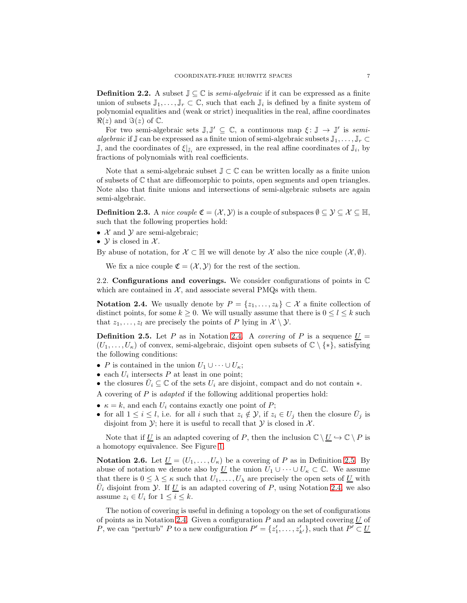**Definition 2.2.** A subset  $\mathbb{J} \subseteq \mathbb{C}$  is *semi-algebraic* if it can be expressed as a finite union of subsets  $\mathbb{J}_1,\ldots,\mathbb{J}_r\subset\mathbb{C}$ , such that each  $\mathbb{J}_i$  is defined by a finite system of polynomial equalities and (weak or strict) inequalities in the real, affine coordinates  $\Re(z)$  and  $\Im(z)$  of  $\mathbb{C}$ .

For two semi-algebraic sets  $\mathbb{J}, \mathbb{J}' \subseteq \mathbb{C}$ , a continuous map  $\xi : \mathbb{J} \to \mathbb{J}'$  is semialgebraic if  $\mathbb J$  can be expressed as a finite union of semi-algebraic subsets  $\mathbb J_1,\ldots,\mathbb J_r\subset$  $\mathbb{J}$ , and the coordinates of  $\xi|_{\mathbb{J}_i}$  are expressed, in the real affine coordinates of  $\mathbb{J}_i$ , by fractions of polynomials with real coefficients.

Note that a semi-algebraic subset  $\mathbb{J} \subset \mathbb{C}$  can be written locally as a finite union of subsets of C that are diffeomorphic to points, open segments and open triangles. Note also that finite unions and intersections of semi-algebraic subsets are again semi-algebraic.

<span id="page-6-0"></span>**Definition 2.3.** A nice couple  $\mathfrak{C} = (\mathcal{X}, \mathcal{Y})$  is a couple of subspaces  $\emptyset \subseteq \mathcal{Y} \subseteq \mathcal{X} \subseteq \mathbb{H}$ , such that the following properties hold:

- $X$  and  $Y$  are semi-algebraic;
- $\mathcal Y$  is closed in  $\mathcal X$ .

By abuse of notation, for  $\mathcal{X} \subset \mathbb{H}$  we will denote by X also the nice couple  $(\mathcal{X}, \emptyset)$ .

We fix a nice couple  $\mathfrak{C} = (\mathcal{X}, \mathcal{Y})$  for the rest of the section.

<span id="page-6-1"></span>2.2. Configurations and coverings. We consider configurations of points in  $\mathbb C$ which are contained in  $X$ , and associate several PMQs with them.

<span id="page-6-2"></span>Notation 2.4. We usually denote by  $P = \{z_1, \ldots, z_k\} \subset \mathcal{X}$  a finite collection of distinct points, for some  $k \geq 0$ . We will usually assume that there is  $0 \leq l \leq k$  such that  $z_1, \ldots, z_l$  are precisely the points of P lying in  $\mathcal{X} \setminus \mathcal{Y}$ .

<span id="page-6-3"></span>**Definition 2.5.** Let P as in Notation [2.4.](#page-6-2) A *covering* of P is a sequence  $\underline{U}$  =  $(U_1, \ldots, U_\kappa)$  of convex, semi-algebraic, disjoint open subsets of  $\mathbb{C} \setminus \{*\}$ , satisfying the following conditions:

- P is contained in the union  $U_1 \cup \cdots \cup U_{\kappa}$ ;
- each  $U_i$  intersects  $P$  at least in one point;
- the closures  $\bar{U}_i \subseteq \mathbb{C}$  of the sets  $U_i$  are disjoint, compact and do not contain  $*$ .
- A covering of  $P$  is *adapted* if the following additional properties hold:
- $\kappa = k$ , and each  $U_i$  contains exactly one point of P;
- for all  $1 \leq i \leq l$ , i.e. for all i such that  $z_i \notin \mathcal{Y}$ , if  $z_i \in U_j$  then the closure  $\bar{U}_j$  is disjoint from  $\mathcal{Y}$ ; here it is useful to recall that  $\mathcal{Y}$  is closed in  $\mathcal{X}$ .

Note that if U is an adapted covering of P, then the inclusion  $\mathbb{C} \setminus U \hookrightarrow \mathbb{C} \setminus P$  is a homotopy equivalence. See Figure [1.](#page-7-2)

<span id="page-6-4"></span>**Notation 2.6.** Let  $\underline{U} = (U_1, \ldots, U_{\kappa})$  be a covering of P as in Definition [2.5.](#page-6-3) By abuse of notation we denote also by <u>U</u> the union  $U_1 \cup \cdots \cup U_k \subset \mathbb{C}$ . We assume that there is  $0 \leq \lambda \leq \kappa$  such that  $U_1, \ldots, U_{\lambda}$  are precisely the open sets of U with  $\bar{U}_i$  disjoint from  $\mathcal{Y}$ . If <u>U</u> is an adapted covering of P, using Notation [2.4,](#page-6-2) we also assume  $z_i \in U_i$  for  $1 \leq i \leq k$ .

The notion of covering is useful in defining a topology on the set of configurations of points as in Notation [2.4.](#page-6-2) Given a configuration  $P$  and an adapted covering  $U$  of P, we can "perturb" P to a new configuration  $P' = \{z'_1, \ldots, z'_{k'}\}$ , such that  $P' \subset \underline{U}$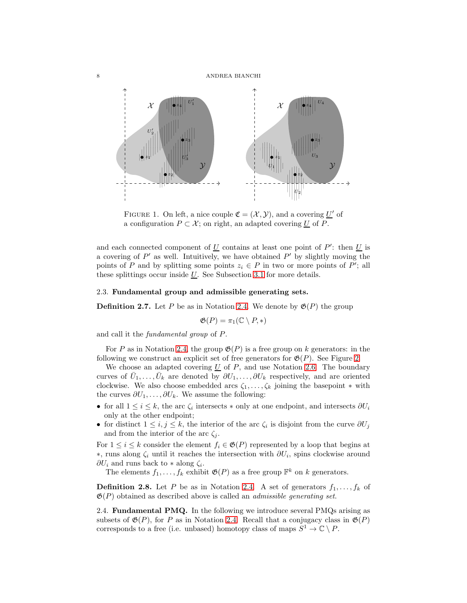

<span id="page-7-2"></span>FIGURE 1. On left, a nice couple  $\mathfrak{C} = (\mathcal{X}, \mathcal{Y})$ , and a covering  $\underline{U}'$  of a configuration  $P \subset \mathcal{X}$ ; on right, an adapted covering U of P.

and each connected component of  $\underline{U}$  contains at least one point of P': then  $\underline{U}$  is a covering of  $P'$  as well. Intuitively, we have obtained  $P'$  by slightly moving the points of P and by splitting some points  $z_i \in P$  in two or more points of P'; all these splittings occur inside  $U$ . See Subsection [3.1](#page-12-0) for more details.

# <span id="page-7-0"></span>2.3. Fundamental group and admissible generating sets.

<span id="page-7-4"></span>**Definition 2.7.** Let P be as in Notation [2.4.](#page-6-2) We denote by  $\mathfrak{G}(P)$  the group

$$
\mathfrak{G}(P) = \pi_1(\mathbb{C} \setminus P, *)
$$

and call it the fundamental group of P.

For P as in Notation [2.4,](#page-6-2) the group  $\mathfrak{G}(P)$  is a free group on k generators: in the following we construct an explicit set of free generators for  $\mathfrak{G}(P)$ . See Figure [2.](#page-8-1)

We choose an adapted covering  $U$  of  $P$ , and use Notation [2.6.](#page-6-4) The boundary curves of  $\bar{U}_1, \ldots, \bar{U}_k$  are denoted by  $\partial U_1, \ldots, \partial U_k$  respectively, and are oriented clockwise. We also choose embedded arcs  $\zeta_1, \ldots, \zeta_k$  joining the basepoint  $*$  with the curves  $\partial U_1, \ldots, \partial U_k$ . We assume the following:

- for all  $1 \leq i \leq k$ , the arc  $\zeta_i$  intersects  $*$  only at one endpoint, and intersects  $\partial U_i$ only at the other endpoint;
- for distinct  $1 \leq i, j \leq k$ , the interior of the arc  $\zeta_i$  is disjoint from the curve  $\partial U_j$ and from the interior of the arc  $\zeta_i$ .

For  $1 \leq i \leq k$  consider the element  $f_i \in \mathfrak{G}(P)$  represented by a loop that begins at  $*$ , runs along  $ζ<sub>i</sub>$  until it reaches the intersection with  $∂U<sub>i</sub>$ , spins clockwise around  $\partial U_i$  and runs back to  $*$  along  $\zeta_i$ .

The elements  $f_1, \ldots, f_k$  exhibit  $\mathfrak{G}(P)$  as a free group  $\mathbb{F}^k$  on k generators.

<span id="page-7-3"></span>**Definition 2.8.** Let P be as in Notation [2.4.](#page-6-2) A set of generators  $f_1, \ldots, f_k$  of  $\mathfrak{G}(P)$  obtained as described above is called an *admissible generating set*.

<span id="page-7-1"></span>2.4. Fundamental PMQ. In the following we introduce several PMQs arising as subsets of  $\mathfrak{G}(P)$ , for P as in Notation [2.4.](#page-6-2) Recall that a conjugacy class in  $\mathfrak{G}(P)$ corresponds to a free (i.e. unbased) homotopy class of maps  $S^1 \to \mathbb{C} \setminus P$ .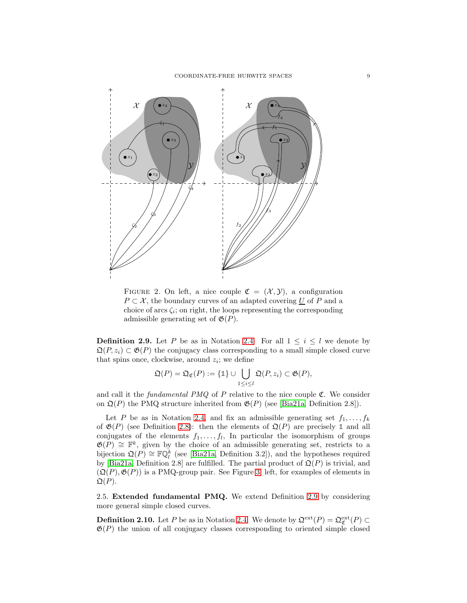<span id="page-8-4"></span>

<span id="page-8-1"></span>FIGURE 2. On left, a nice couple  $\mathfrak{C} = (\mathcal{X}, \mathcal{Y})$ , a configuration  $P \subset \mathcal{X}$ , the boundary curves of an adapted covering U of P and a choice of arcs  $\zeta_i$ ; on right, the loops representing the corresponding admissible generating set of  $\mathfrak{G}(P)$ .

<span id="page-8-2"></span>**Definition 2.9.** Let P be as in Notation [2.4.](#page-6-2) For all  $1 \leq i \leq l$  we denote by  $\mathfrak{Q}(P, z_i) \subset \mathfrak{G}(P)$  the conjugacy class corresponding to a small simple closed curve that spins once, clockwise, around  $z_i$ ; we define

$$
\mathfrak{Q}(P) = \mathfrak{Q}_{\mathfrak{C}}(P) := \{ \mathbb{1} \} \cup \bigcup_{1 \leq i \leq l} \mathfrak{Q}(P, z_i) \subset \mathfrak{G}(P),
$$

and call it the *fundamental PMQ* of  $P$  relative to the nice couple  $\mathfrak{C}$ . We consider on  $\mathfrak{Q}(P)$  the PMQ structure inherited from  $\mathfrak{G}(P)$  (see [\[Bia21a,](#page-56-0) Definition 2.8]).

Let P be as in Notation [2.4,](#page-6-2) and fix an admissible generating set  $f_1, \ldots, f_k$ of  $\mathfrak{G}(P)$  (see Definition [2.8\)](#page-7-3): then the elements of  $\mathfrak{Q}(P)$  are precisely 1 and all conjugates of the elements  $f_1, \ldots, f_l$ , In particular the isomorphism of groups  $\mathfrak{G}(P) \cong \mathbb{F}^k$ , given by the choice of an admissible generating set, restricts to a bijection  $\mathfrak{Q}(P) \cong \mathbb{F}\mathbb{Q}_l^k$  (see [\[Bia21a,](#page-56-0) Definition 3.2]), and the hypotheses required by [\[Bia21a,](#page-56-0) Definition 2.8] are fulfilled. The partial product of  $\mathfrak{Q}(P)$  is trivial, and  $(\mathfrak{Q}(P), \mathfrak{G}(P))$  is a PMQ-group pair. See Figure [3,](#page-9-2) left, for examples of elements in  $\mathfrak{Q}(P)$ .

<span id="page-8-0"></span>2.5. Extended fundamental PMQ. We extend Definition [2.9](#page-8-2) by considering more general simple closed curves.

<span id="page-8-3"></span>**Definition 2.10.** Let P be as in Notation [2.4.](#page-6-2) We denote by  $\mathfrak{Q}^{\text{ext}}(P) = \mathfrak{Q}^{\text{ext}}_{\mathfrak{C}}(P) \subset$  $\mathfrak{G}(P)$  the union of all conjugacy classes corresponding to oriented simple closed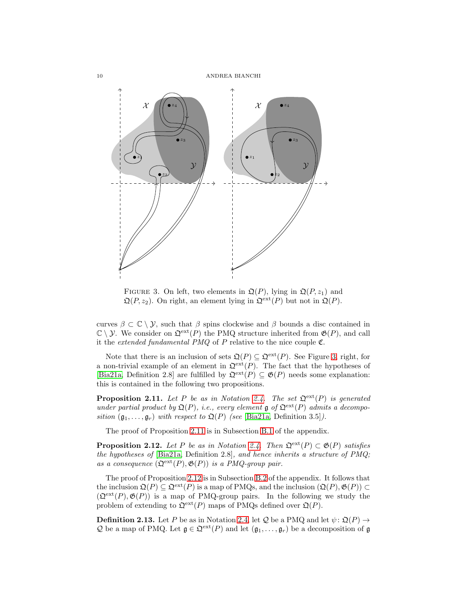<span id="page-9-4"></span>

<span id="page-9-2"></span>FIGURE 3. On left, two elements in  $\mathfrak{Q}(P)$ , lying in  $\mathfrak{Q}(P, z_1)$  and  $\mathfrak{Q}(P, z_2)$ . On right, an element lying in  $\mathfrak{Q}^{\text{ext}}(P)$  but not in  $\mathfrak{Q}(P)$ .

curves  $\beta \subset \mathbb{C} \setminus \mathcal{Y}$ , such that  $\beta$  spins clockwise and  $\beta$  bounds a disc contained in  $\mathbb{C} \setminus \mathcal{Y}$ . We consider on  $\mathfrak{Q}^{\text{ext}}(P)$  the PMQ structure inherited from  $\mathfrak{G}(P)$ , and call it the *extended fundamental PMQ* of  $P$  relative to the nice couple  $\mathfrak{C}$ .

Note that there is an inclusion of sets  $\mathfrak{Q}(P) \subseteq \mathfrak{Q}^{\text{ext}}(P)$ . See Figure [3,](#page-9-2) right, for a non-trivial example of an element in  $\mathfrak{Q}^{\text{ext}}(P)$ . The fact that the hypotheses of [\[Bia21a,](#page-56-0) Definition 2.8] are fulfilled by  $\mathfrak{Q}^{\text{ext}}(P) \subseteq \mathfrak{G}(P)$  needs some explanation: this is contained in the following two propositions.

<span id="page-9-0"></span>**Proposition 2.11.** Let P be as in Notation [2.4.](#page-6-2) The set  $\mathfrak{Q}^{\text{ext}}(P)$  is generated under partial product by  $\mathfrak{Q}(P)$ , i.e., every element  $\mathfrak{g}$  of  $\mathfrak{Q}^{\text{ext}}(P)$  admits a decomposition  $(\mathfrak{g}_1, \ldots, \mathfrak{g}_r)$  with respect to  $\mathfrak{Q}(P)$  (see [\[Bia21a,](#page-56-0) Definition 3.5]).

The proof of Proposition [2.11](#page-9-0) is in Subsection [B.1](#page-48-2) of the appendix.

<span id="page-9-1"></span>**Proposition 2.12.** Let P be as in Notation [2.4.](#page-6-2) Then  $\mathfrak{Q}^{\text{ext}}(P) \subset \mathfrak{G}(P)$  satisfies the hypotheses of  $[Bia21a, Definition 2.8]$  $[Bia21a, Definition 2.8]$ , and hence inherits a structure of PMQ; as a consequence  $(\mathfrak{Q}^{\text{ext}}(P), \mathfrak{G}(P))$  is a PMQ-group pair.

The proof of Proposition [2.12](#page-9-1) is in Subsection [B.2](#page-49-0) of the appendix. It follows that the inclusion  $\mathfrak{Q}(P) \subseteq \mathfrak{Q}^{\text{ext}}(P)$  is a map of PMQs, and the inclusion  $(\mathfrak{Q}(P), \mathfrak{G}(P)) \subset$  $(\mathfrak{Q}^{\text{ext}}(P), \mathfrak{G}(P))$  is a map of PMQ-group pairs. In the following we study the problem of extending to  $\mathfrak{Q}^{\text{ext}}(P)$  maps of PMQs defined over  $\mathfrak{Q}(P)$ .

<span id="page-9-3"></span>**Definition 2.13.** Let P be as in Notation [2.4,](#page-6-2) let Q be a PMQ and let  $\psi$ :  $\mathfrak{Q}(P) \rightarrow$ Q be a map of PMQ. Let  $\mathfrak{g} \in \mathfrak{Q}^{\text{ext}}(P)$  and let  $(\mathfrak{g}_1, \ldots, \mathfrak{g}_r)$  be a decomposition of  $\mathfrak{g}$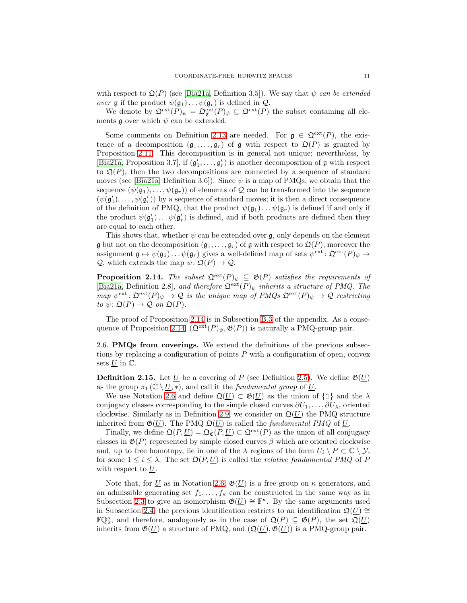<span id="page-10-3"></span>with respect to  $\mathfrak{Q}(P)$  (see [\[Bia21a,](#page-56-0) Definition 3.5]). We say that  $\psi$  can be extended over  $\mathfrak g$  if the product  $\psi(\mathfrak g_1)\dots\psi(\mathfrak g_r)$  is defined in  $\mathcal Q$ .

We denote by  $\mathfrak{Q}^{\text{ext}}(P)_{\psi} = \mathfrak{Q}^{\text{ext}}_{\mathfrak{C}}(P)_{\psi} \subseteq \mathfrak{Q}^{\text{ext}}(P)$  the subset containing all elements  $\mathfrak g$  over which  $\psi$  can be extended.

Some comments on Definition [2.13](#page-9-3) are needed. For  $g \in \mathfrak{Q}^{\text{ext}}(P)$ , the existence of a decomposition  $(\mathfrak{g}_1,\ldots,\mathfrak{g}_r)$  of  $\mathfrak g$  with respect to  $\mathfrak Q(P)$  is granted by Proposition [2.11.](#page-9-0) This decomposition is in general not unique; nevertheless, by [\[Bia21a,](#page-56-0) Proposition 3.7], if  $(g'_1, \ldots, g'_r)$  is another decomposition of g with respect to  $\mathfrak{Q}(P)$ , then the two decompositions are connected by a sequence of standard moves (see [\[Bia21a,](#page-56-0) Definition 3.6]). Since  $\psi$  is a map of PMQs, we obtain that the sequence  $(\psi(\mathfrak{g}_1), \ldots, \psi(\mathfrak{g}_r))$  of elements of Q can be transformed into the sequence  $(\psi(\mathfrak{g}'_1), \ldots, \psi(\mathfrak{g}'_r))$  by a sequence of standard moves; it is then a direct consequence of the definition of PMQ, that the product  $\psi(\mathfrak{g}_1) \dots \psi(\mathfrak{g}_r)$  is defined if and only if the product  $\psi(\mathfrak{g}'_1) \dots \psi(\mathfrak{g}'_r)$  is defined, and if both products are defined then they are equal to each other.

This shows that, whether  $\psi$  can be extended over  $\mathfrak{g}$ , only depends on the element g but not on the decomposition  $(\mathfrak{g}_1, \ldots, \mathfrak{g}_r)$  of g with respect to  $\mathfrak{Q}(P)$ ; moreover the assignment  $\mathfrak{g} \mapsto \psi(\mathfrak{g}_1) \dots \psi(\mathfrak{g}_r)$  gives a well-defined map of sets  $\psi^{\text{ext}} \colon \mathfrak{Q}^{\text{ext}}(P)_{\psi} \to$  $\mathcal{Q}$ , which extends the map  $\psi \colon \mathfrak{Q}(P) \to \mathcal{Q}$ .

<span id="page-10-1"></span>**Proposition 2.14.** The subset  $\mathfrak{Q}^{\text{ext}}(P)_{\psi} \subseteq \mathfrak{G}(P)$  satisfies the requirements of [\[Bia21a,](#page-56-0) Definition 2.8], and therefore  $\mathfrak{Q}^{\text{ext}}(P)_\psi$  inherits a structure of PMQ. The map  $\psi^{\text{ext}} : \mathfrak{Q}^{\text{ext}}(P)_{\psi} \to \mathcal{Q}$  is the unique map of PMQs  $\mathfrak{Q}^{\text{ext}}(P)_{\psi} \to \mathcal{Q}$  restricting to  $\psi \colon \mathfrak{Q}(P) \to \mathcal{Q}$  on  $\mathfrak{Q}(P)$ .

The proof of Proposition [2.14](#page-10-1) is in Subsection [B.3](#page-50-0) of the appendix. As a conse-quence of Proposition [2.14,](#page-10-1)  $(\mathfrak{Q}^{\text{ext}}(P)_{\psi}, \mathfrak{G}(P))$  is naturally a PMQ-group pair.

<span id="page-10-0"></span>2.6. PMQs from coverings. We extend the definitions of the previous subsections by replacing a configuration of points  $P$  with a configuration of open, convex sets  $U$  in  $\mathbb{C}$ .

<span id="page-10-2"></span>**Definition 2.15.** Let <u>U</u> be a covering of P (see Definition [2.5\)](#page-6-3). We define  $\mathfrak{G}(\underline{U})$ as the group  $\pi_1(\mathbb{C} \setminus \underline{U}, *)$ , and call it the *fundamental group* of  $\underline{U}$ .

We use Notation [2.6](#page-6-4) and define  $\mathfrak{Q}(\underline{U}) \subset \mathfrak{G}(\underline{U})$  as the union of  $\{\mathbb{1}\}\$  and the  $\lambda$ conjugacy classes corresponding to the simple closed curves  $\partial U_1, \ldots, \partial U_\lambda$ , oriented clockwise. Similarly as in Definition [2.9,](#page-8-2) we consider on  $\mathfrak{Q}(\underline{U})$  the PMQ structure inherited from  $\mathfrak{G}(\underline{U})$ . The PMQ  $\mathfrak{Q}(\underline{U})$  is called the *fundamental PMQ* of <u>U</u>.

Finally, we define  $\mathfrak{Q}(P, U) = \mathfrak{Q}_{\mathfrak{C}}(P, U) \subset \mathfrak{Q}^{\text{ext}}(P)$  as the union of all conjugacy classes in  $\mathfrak{G}(P)$  represented by simple closed curves  $\beta$  which are oriented clockwise and, up to free homotopy, lie in one of the  $\lambda$  regions of the form  $U_i \setminus P \subset \mathbb{C} \setminus \mathcal{Y}$ , for some  $1 \leq i \leq \lambda$ . The set  $\mathfrak{Q}(P, U)$  is called the *relative fundamental PMQ* of P with respect to  $U$ .

Note that, for U as in Notation [2.6,](#page-6-4)  $\mathfrak{G}(\underline{U})$  is a free group on  $\kappa$  generators, and an admissible generating set  $f_1, \ldots, f_k$  can be constructed in the same way as in Subsection [2.3](#page-7-0) to give an isomorphism  $\mathfrak{G}(\underline{U}) \cong \mathbb{F}^{\kappa}$ . By the same arguments used in Subsection [2.4,](#page-7-1) the previous identification restricts to an identification  $\mathfrak{Q}(\underline{U}) \cong$  $\mathbb{FQ}_{\lambda}^{\kappa}$ , and therefore, analogously as in the case of  $\mathfrak{Q}(P) \subseteq \mathfrak{G}(P)$ , the set  $\mathfrak{Q}(\underline{U})$ inherits from  $\mathfrak{G}(\underline{U})$  a structure of PMQ, and  $(\mathfrak{Q}(\underline{U}), \mathfrak{G}(\underline{U}))$  is a PMQ-group pair.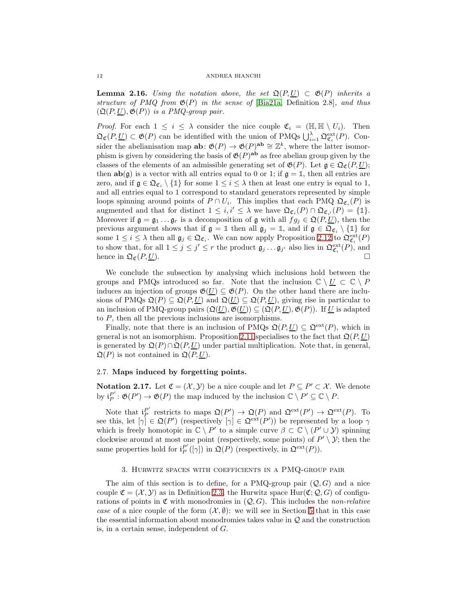<span id="page-11-3"></span>**Lemma 2.16.** Using the notation above, the set  $\mathfrak{Q}(P, U) \subset \mathfrak{G}(P)$  inherits a structure of PMQ from  $\mathfrak{G}(P)$  in the sense of [\[Bia21a,](#page-56-0) Definition 2.8], and thus  $(\mathfrak{Q}(P, U), \mathfrak{G}(P))$  is a PMQ-group pair.

*Proof.* For each  $1 \leq i \leq \lambda$  consider the nice couple  $\mathfrak{C}_i = (\mathbb{H}, \mathbb{H} \setminus U_i)$ . Then  $\mathfrak{Q}_{\mathfrak{C}}(P, \underline{U}) \subset \mathfrak{G}(P)$  can be identified with the union of PMQs  $\bigcup_{i=1}^{\lambda} \mathfrak{Q}_{\mathfrak{C}_i}^{\text{ext}}(P)$ . Consider the abelianisation map  $ab: \mathfrak{G}(P) \to \mathfrak{G}(P)^{ab} \cong \mathbb{Z}^k$ , where the latter isomorphism is given by considering the basis of  $\mathfrak{G}(P)^{\text{ab}}$  as free abelian group given by the classes of the elements of an admissible generating set of  $\mathfrak{G}(P)$ . Let  $\mathfrak{g} \in \mathfrak{Q}_{\mathfrak{C}}(P, \underline{U});$ then  $ab(g)$  is a vector with all entries equal to 0 or 1; if  $g = 1$ , then all entries are zero, and if  $\mathfrak{g} \in \mathfrak{Q}_{\mathfrak{C}_i} \setminus \{\mathbb{1}\}$  for some  $1 \leq i \leq \lambda$  then at least one entry is equal to 1, and all entries equal to 1 correspond to standard generators represented by simple loops spinning around points of  $P \cap U_i$ . This implies that each PMQ  $\mathfrak{Q}_{\mathfrak{C}_i}(P)$  is augmented and that for distinct  $1 \leq i, i' \leq \lambda$  we have  $\mathfrak{Q}_{\mathfrak{C}_i}(P) \cap \mathfrak{Q}_{\mathfrak{C}_{i'}}(P) = \{1\}.$ Moreover if  $\mathfrak{g} = \mathfrak{g}_1 \dots \mathfrak{g}_r$  is a decomposition of  $\mathfrak{g}$  with all  $fg_j \in \mathfrak{Q}(P, U)$ , then the previous argument shows that if  $\mathfrak{g} = \mathbb{1}$  then all  $\mathfrak{g}_j = \mathbb{1}$ , and if  $\mathfrak{g} \in \mathfrak{Q}_{\mathfrak{C}_i} \setminus \{\mathbb{1}\}$  for some  $1 \leq i \leq \lambda$  then all  $\mathfrak{g}_j \in \mathfrak{Q}_{\mathfrak{C}_i}$ . We can now apply Proposition [2.12](#page-9-1) to  $\mathfrak{Q}_{\mathfrak{C}_i}^{\text{ext}}(P)$ to show that, for all  $1 \leq j \leq j' \leq r$  the product  $\mathfrak{g}_j \dots \mathfrak{g}_{j'}$  also lies in  $\mathfrak{Q}^{\text{ext}}_{\mathfrak{C}_i}(P)$ , and hence in  $\mathfrak{Q}_{\mathfrak{C}}(P,U)$ .

We conclude the subsection by analysing which inclusions hold between the groups and PMQs introduced so far. Note that the inclusion  $\mathbb{C} \setminus U \subset \mathbb{C} \setminus P$ induces an injection of groups  $\mathfrak{G}(U) \subset \mathfrak{G}(P)$ . On the other hand there are inclusions of PMQs  $\mathfrak{Q}(P) \subseteq \mathfrak{Q}(P, U)$  and  $\mathfrak{Q}(U) \subseteq \mathfrak{Q}(P, U)$ , giving rise in particular to an inclusion of PMQ-group pairs  $(\mathfrak{Q}(\underline{U}), \mathfrak{G}(\underline{U})) \subseteq (\mathfrak{Q}(P, \underline{U}), \mathfrak{G}(P))$ . If  $\underline{U}$  is adapted to P, then all the previous inclusions are isomorphisms.

Finally, note that there is an inclusion of PMQs  $\mathfrak{Q}(P, U) \subset \mathfrak{Q}^{\text{ext}}(P)$ , which in general is not an isomorphism. Proposition [2.11](#page-9-0) specialises to the fact that  $\mathfrak{Q}(P, U)$ is generated by  $\mathfrak{Q}(P) \cap \mathfrak{Q}(P, U)$  under partial multiplication. Note that, in general,  $\mathfrak{Q}(P)$  is not contained in  $\mathfrak{Q}(P, U)$ .

# <span id="page-11-1"></span>2.7. Maps induced by forgetting points.

<span id="page-11-2"></span>**Notation 2.17.** Let  $\mathfrak{C} = (\mathcal{X}, \mathcal{Y})$  be a nice couple and let  $P \subseteq P' \subset \mathcal{X}$ . We denote by  $\mathfrak{i}_P^{P'}$  $P'_{P} : \mathfrak{G}(P') \to \mathfrak{G}(P)$  the map induced by the inclusion  $\mathbb{C} \setminus P' \subseteq \mathbb{C} \setminus P$ .

Note that  $i_P^{P'}$  $P'_{P}$  restricts to maps  $\mathfrak{Q}(P') \to \mathfrak{Q}(P)$  and  $\mathfrak{Q}^{\text{ext}}(P') \to \mathfrak{Q}^{\text{ext}}(P)$ . To see this, let  $[\gamma] \in \mathfrak{Q}(P')$  (respectively  $[\gamma] \in \mathfrak{Q}^{\text{ext}}(P')$ ) be represented by a loop  $\gamma$ which is freely homotopic in  $\mathbb{C} \setminus P'$  to a simple curve  $\beta \subset \mathbb{C} \setminus (P' \cup \mathcal{Y})$  spinning clockwise around at most one point (respectively, some points) of  $P' \setminus \mathcal{Y}$ ; then the same properties hold for  $i_P^{P'}$  $_{P}^{P'}([\gamma])$  in  $\mathfrak{Q}(P)$  (respectively, in  $\mathfrak{Q}^{\text{ext}}(P)$ ).

## 3. Hurwitz spaces with coefficients in a PMQ-group pair

<span id="page-11-0"></span>The aim of this section is to define, for a PMQ-group pair  $(Q, G)$  and a nice couple  $\mathfrak{C} = (\mathcal{X}, \mathcal{Y})$  as in Definition [2.3,](#page-6-0) the Hurwitz space Hur $(\mathfrak{C}; \mathcal{Q}, G)$  of configurations of points in  $\mathfrak C$  with monodromies in  $(Q, G)$ . This includes the non-relative case of a nice couple of the form  $(\mathcal{X}, \emptyset)$ : we will see in Section [5](#page-22-0) that in this case the essential information about monodromies takes value in Q and the construction is, in a certain sense, independent of G.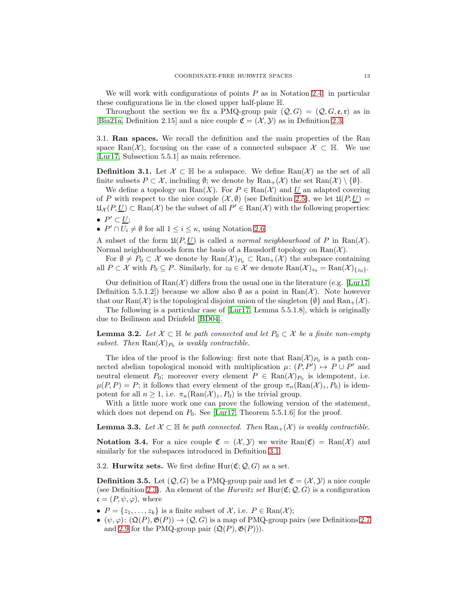<span id="page-12-5"></span>We will work with configurations of points  $P$  as in Notation [2.4:](#page-6-2) in particular these configurations lie in the closed upper half-plane H.

Throughout the section we fix a PMQ-group pair  $(Q, G) = (Q, G, \mathfrak{e}, \mathfrak{r})$  as in [\[Bia21a,](#page-56-0) Definition 2.15] and a nice couple  $\mathfrak{C} = (\mathcal{X}, \mathcal{Y})$  as in Definition [2.3.](#page-6-0)

<span id="page-12-0"></span>3.1. Ran spaces. We recall the definition and the main properties of the Ran space Ran(X), focusing on the case of a connected subspace  $\mathcal{X} \subset \mathbb{H}$ . We use [\[Lur17,](#page-56-7) Subsection 5.5.1] as main reference.

<span id="page-12-2"></span>**Definition 3.1.** Let  $\mathcal{X} \subset \mathbb{H}$  be a subspace. We define  $\text{Ran}(\mathcal{X})$  as the set of all finite subsets  $P \subset \mathcal{X}$ , including  $\emptyset$ ; we denote by  $\text{Ran}_+(\mathcal{X})$  the set  $\text{Ran}(\mathcal{X}) \setminus \{\emptyset\}$ .

We define a topology on  $\text{Ran}(X)$ . For  $P \in \text{Ran}(\mathcal{X})$  and U an adapted covering of P with respect to the nice couple  $(\mathcal{X}, \emptyset)$  (see Definition [2.5\)](#page-6-3), we let  $\mathfrak{U}(P, U) =$  $\mathfrak{U}_{\mathcal{X}}(P, \underline{U}) \subset \text{Ran}(\mathcal{X})$  be the subset of all  $P' \in \text{Ran}(\mathcal{X})$  with the following properties:  $\bullet$   $P' \subset U;$ 

•  $P' \cap U_i \neq \emptyset$  for all  $1 \leq i \leq \kappa$ , using Notation [2.6.](#page-6-4)

A subset of the form  $\mathfrak{U}(P, U)$  is called a *normal neighbourhood* of P in Ran(X). Normal neighbourhoods form the basis of a Hausdorff topology on  $\text{Ran}(\mathcal{X})$ .

For  $\emptyset \neq P_0 \subset \mathcal{X}$  we denote by  $\text{Ran}(\mathcal{X})_{P_0} \subset \text{Ran}_+(\mathcal{X})$  the subspace containing all  $P \subset \mathcal{X}$  with  $P_0 \subseteq P$ . Similarly, for  $z_0 \in \mathcal{X}$  we denote  $\text{Ran}(\mathcal{X})_{z_0} = \text{Ran}(\mathcal{X})_{\{z_0\}}$ .

Our definition of  $\text{Ran}(\mathcal{X})$  differs from the usual one in the literature (e.g. [\[Lur17,](#page-56-7) Definition 5.5.1.2) because we allow also  $\emptyset$  as a point in Ran(X). Note however that our Ran(X) is the topological disjoint union of the singleton  $\{\emptyset\}$  and Ran<sub>+</sub>(X).

The following is a particular case of [\[Lur17,](#page-56-7) Lemma 5.5.1.8], which is originally due to Beilinson and Drinfeld [\[BD04\]](#page-56-8).

**Lemma 3.2.** Let  $X \subset \mathbb{H}$  be path connected and let  $P_0 \subset X$  be a finite non-empty subset. Then  $\text{Ran}(\mathcal{X})_{P_0}$  is weakly contractible.

The idea of the proof is the following: first note that  $\text{Ran}(\mathcal{X})_{P_0}$  is a path connected abelian topological monoid with multiplication  $\mu: (P, P') \mapsto P \cup P'$  and neutral element  $P_0$ ; moreover every element  $P \in \text{Ran}(\mathcal{X})_{P_0}$  is idempotent, i.e.  $\mu(P, P) = P$ ; it follows that every element of the group  $\pi_n(\text{Ran}(\mathcal{X})_z, P_0)$  is idempotent for all  $n \geq 1$ , i.e.  $\pi_n(\text{Ran}(\mathcal{X})_z, P_0)$  is the trivial group.

With a little more work one can prove the following version of the statement, which does not depend on  $P_0$ . See [\[Lur17,](#page-56-7) Theorem 5.5.1.6] for the proof.

<span id="page-12-4"></span>**Lemma 3.3.** Let  $\mathcal{X} \subset \mathbb{H}$  be path connected. Then  $\text{Ran}_+(\mathcal{X})$  is weakly contractible.

**Notation 3.4.** For a nice couple  $\mathfrak{C} = (\mathcal{X}, \mathcal{Y})$  we write  $\text{Ran}(\mathfrak{C}) = \text{Ran}(\mathcal{X})$  and similarly for the subspaces introduced in Definition [3.1.](#page-12-2)

<span id="page-12-1"></span>3.2. **Hurwitz sets.** We first define  $\text{Hur}(\mathfrak{C}; \mathcal{Q}, G)$  as a set.

<span id="page-12-3"></span>**Definition 3.5.** Let  $(Q, G)$  be a PMQ-group pair and let  $\mathfrak{C} = (\mathcal{X}, \mathcal{Y})$  a nice couple (see Definition [2.3\)](#page-6-0). An element of the *Hurwitz set* Hur $(\mathfrak{C}; \mathcal{Q}, G)$  is a configuration  $\mathfrak{c} = (P, \psi, \varphi)$ , where

- $P = \{z_1, \ldots, z_k\}$  is a finite subset of  $\mathcal{X}$ , i.e.  $P \in \text{Ran}(\mathcal{X})$ ;
- $(\psi, \varphi) : (\mathfrak{Q}(P), \mathfrak{G}(P)) \to (\mathcal{Q}, G)$  is a map of PMQ-group pairs (see Definitions [2.7](#page-7-4)) and [2.9](#page-8-2) for the PMQ-group pair  $(\mathfrak{Q}(P), \mathfrak{G}(P))$ .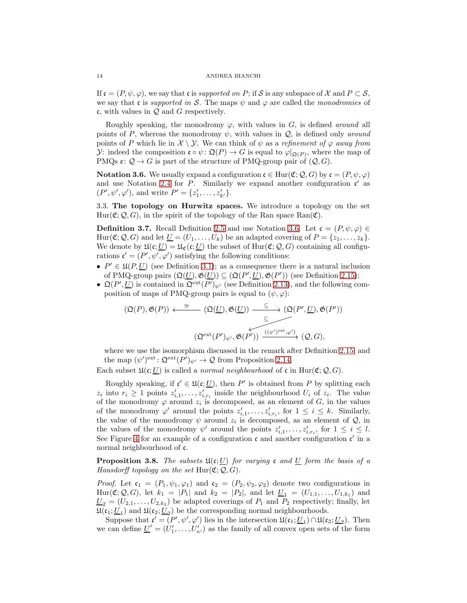If  $\mathfrak{c} = (P, \psi, \varphi)$ , we say that c is supported on P; if S is any subspace of X and  $P \subset \mathcal{S}$ , we say that c is supported in S. The maps  $\psi$  and  $\varphi$  are called the monodromies of c, with values in  $Q$  and  $G$  respectively.

Roughly speaking, the monodromy  $\varphi$ , with values in G, is defined around all points of P, whereas the monodromy  $\psi$ , with values in Q, is defined only *around* points of P which lie in  $\mathcal{X} \setminus \mathcal{Y}$ . We can think of  $\psi$  as a refinement of  $\varphi$  away from y: indeed the composition  $\mathfrak{e} \circ \psi : \mathfrak{Q}(P) \to G$  is equal to  $\varphi|_{\mathfrak{Q}(P)}$ , where the map of PMQs  $\mathfrak{e}: \mathcal{Q} \to G$  is part of the structure of PMQ-group pair of  $(\mathcal{Q}, G)$ .

<span id="page-13-2"></span>**Notation 3.6.** We usually expand a configuration  $\mathfrak{c} \in \text{Hur}(\mathfrak{C}; \mathcal{Q}, G)$  by  $\mathfrak{c} = (P, \psi, \varphi)$ and use Notation [2.4](#page-6-2) for P. Similarly we expand another configuration  $\mathfrak{c}'$  as  $(P', \psi', \varphi')$ , and write  $P' = \{z'_1, \ldots, z'_{k'}\}.$ 

<span id="page-13-1"></span>3.3. The topology on Hurwitz spaces. We introduce a topology on the set  $Hur(\mathfrak{C}; \mathcal{Q}, G)$ , in the spirit of the topology of the Ran space Ran $(\mathfrak{C})$ .

<span id="page-13-3"></span>**Definition 3.7.** Recall Definition [2.5](#page-6-3) and use Notation [3.6.](#page-13-2) Let  $\mathfrak{c} = (P, \psi, \varphi) \in$ Hur( $\mathfrak{C}; \mathcal{Q}, G$ ) and let  $\underline{U} = (U_1, \ldots, U_k)$  be an adapted covering of  $P = \{z_1, \ldots, z_k\}.$ We denote by  $\mathfrak{U}(\mathfrak{c};\underline{U}) = \mathfrak{U}_{\mathfrak{C}}(\mathfrak{c};\underline{U})$  the subset of  $\text{Hur}(\mathfrak{C};\mathcal{Q},G)$  containing all configurations  $\mathfrak{c}' = (P', \psi', \varphi')$  satisfying the following conditions:

- $P' \in \mathfrak{U}(P, \underline{U})$  (see Definition [3.1\)](#page-12-2); as a consequence there is a natural inclusion of PMQ-group pairs  $(\mathfrak{Q}(\underline{U}), \mathfrak{G}(\underline{U})) \subseteq (\mathfrak{Q}(P', \underline{U}), \mathfrak{G}(P'))$  (see Definition [2.15\)](#page-10-2);
- $\mathfrak{Q}(P', \underline{U})$  is contained in  $\mathfrak{Q}^{\text{ext}}(P')_{\psi'}$  (see Definition [2.13\)](#page-9-3), and the following composition of maps of PMQ-group pairs is equal to  $(\psi, \varphi)$ :

$$
(\mathfrak{Q}(P), \mathfrak{G}(P)) \xleftarrow{\cong} (\mathfrak{Q}(\underline{U}), \mathfrak{G}(\underline{U})) \xrightarrow{\subseteq} (\mathfrak{Q}(P', \underline{U}), \mathfrak{G}(P'))
$$

$$
\xrightarrow{\subseteq} (\mathfrak{Q}^{ext}(P')_{\psi'}, \mathfrak{G}(P')) \xrightarrow{((\psi')^{ext}, \varphi')} (\mathcal{Q}, G),
$$

where we use the isomorphism discussed in the remark after Definition [2.15,](#page-10-2) and the map  $(\psi')^{\text{ext}}$ :  $\mathfrak{Q}^{\text{ext}}(P')_{\psi'} \to \mathcal{Q}$  from Proposition [2.14.](#page-10-1)

Each subset  $\mathfrak{U}(\mathfrak{c};\underline{U})$  is called a *normal neighbourhood* of  $\mathfrak{c}$  in Hur( $\mathfrak{C}; Q, G$ ).

Roughly speaking, if  $\mathfrak{c}' \in \mathfrak{U}(\mathfrak{c}; \underline{U})$ , then  $P'$  is obtained from P by splitting each  $z_i$  into  $r_i \geq 1$  points  $z'_{i,1}, \ldots, z'_{i,r_i}$  inside the neighbourhood  $U_i$  of  $z_i$ . The value of the monodromy  $\varphi$  around  $z_i$  is decomposed, as an element of G, in the values of the monodromy  $\varphi'$  around the points  $z'_{i,1},\ldots,z'_{i,r_i}$ , for  $1 \leq i \leq k$ . Similarly, the value of the monodromy  $\psi$  around  $z_i$  is decomposed, as an element of  $\mathcal{Q}$ , in the values of the monodromy  $\psi'$  around the points  $z'_{i,1},\ldots,z'_{i,r_i}$ , for  $1 \leq i \leq l$ . See Figure [4](#page-14-0) for an example of a configuration  $\mathfrak c$  and another configuration  $\mathfrak c'$  in a normal neighbourhood of c.

<span id="page-13-0"></span>**Proposition 3.8.** The subsets  $\mathfrak{U}(\mathfrak{c};\underline{U})$  for varying c and <u>U</u> form the basis of a Hausdorff topology on the set  $Hur(\mathfrak{C};\mathcal{Q},G)$ .

*Proof.* Let  $\mathfrak{c}_1 = (P_1, \psi_1, \varphi_1)$  and  $\mathfrak{c}_2 = (P_2, \psi_2, \varphi_2)$  denote two configurations in  $\text{Hur}(\mathfrak{C}; Q, G)$ , let  $k_1 = |P_1|$  and  $k_2 = |P_2|$ , and let  $\underline{U}_1 = (U_{1,1}, \ldots, U_{1,k_1})$  and  $\underline{U}_2 = (U_{2,1}, \ldots, U_{2,k_2})$  be adapted coverings of  $P_1$  and  $P_2$  respectively; finally, let  $\mathfrak{U}(\mathfrak{c}_1; \underline{U}_1)$  and  $\mathfrak{U}(\mathfrak{c}_2; \underline{U}_2)$  be the corresponding normal neighbourhoods.

Suppose that  $\mathfrak{c}' = (P', \psi', \varphi')$  lies in the intersection  $\mathfrak{U}(\mathfrak{c}_1; \underline{U}_1) \cap \mathfrak{U}(\mathfrak{c}_2; \underline{U}_2)$ . Then we can define  $\underline{U}' = (U'_1, \ldots, U'_{\kappa'})$  as the family of all convex open sets of the form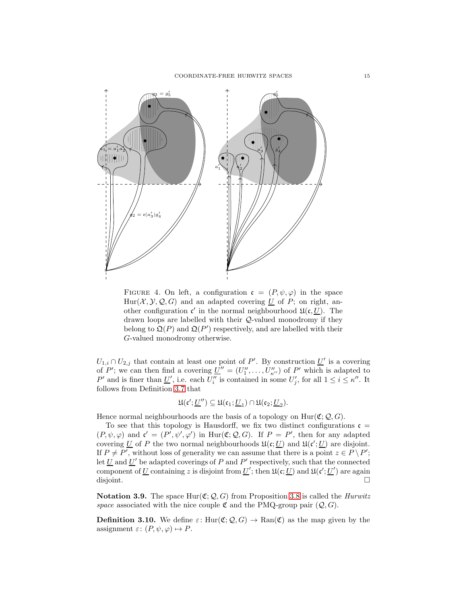

<span id="page-14-0"></span>FIGURE 4. On left, a configuration  $\mathfrak{c} = (P, \psi, \varphi)$  in the space  $Hur(X, Y, Q, G)$  and an adapted covering U of P; on right, another configuration  $\mathfrak{c}'$  in the normal neighbourhood  $\mathfrak{U}(\mathfrak{c}, \underline{U})$ . The drawn loops are labelled with their Q-valued monodromy if they belong to  $\mathfrak{Q}(P)$  and  $\mathfrak{Q}(P')$  respectively, and are labelled with their G-valued monodromy otherwise.

 $U_{1,i} \cap U_{2,j}$  that contain at least one point of P'. By construction  $\underline{U}'$  is a covering of P'; we can then find a covering  $\underline{U}'' = (U''_1, \dots, U''_{\kappa''})$  of P' which is adapted to P' and is finer than  $\underline{U}'$ , i.e. each  $U''_i$  is contained in some  $U'_j$ , for all  $1 \leq i \leq \kappa''$ . It follows from Definition [3.7](#page-13-3) that

$$
\mathfrak{U}(\mathfrak{c}';\underline{U}'')\subseteq \mathfrak{U}(\mathfrak{c}_1;\underline{U}_1)\cap \mathfrak{U}(\mathfrak{c}_2;\underline{U}_2).
$$

Hence normal neighbourhoods are the basis of a topology on  $Hur(\mathfrak{C}; Q, G)$ .

To see that this topology is Hausdorff, we fix two distinct configurations  $\mathfrak{c} =$  $(P, \psi, \varphi)$  and  $\mathfrak{c}' = (P', \psi', \varphi')$  in  $\text{Hur}(\mathfrak{C}; \mathcal{Q}, G)$ . If  $P = P'$ , then for any adapted covering U of P the two normal neighbourhoods  $\mathfrak{U}(\mathfrak{c}; U)$  and  $\mathfrak{U}(\mathfrak{c}'; U)$  are disjoint. If  $P \neq P'$ , without loss of generality we can assume that there is a point  $z \in P \setminus P'$ ; let  $\underline{U}$  and  $\underline{U}'$  be adapted coverings of P and P' respectively, such that the connected component of U containing z is disjoint from  $U'$ ; then  $\mathfrak{U}(\mathfrak{c}; U)$  and  $\mathfrak{U}(\mathfrak{c}'; U')$  are again disjoint.

**Notation 3.9.** The space Hur( $\mathfrak{C}$ ;  $\mathcal{Q}$ , G) from Proposition [3.8](#page-13-0) is called the *Hurwitz* space associated with the nice couple  $\mathfrak C$  and the PMQ-group pair  $(Q, G)$ .

<span id="page-14-1"></span>**Definition 3.10.** We define  $\varepsilon$ : Hur $(\mathfrak{C}; Q, G) \to \text{Ran}(\mathfrak{C})$  as the map given by the assignment  $\varepsilon: (P, \psi, \varphi) \mapsto P$ .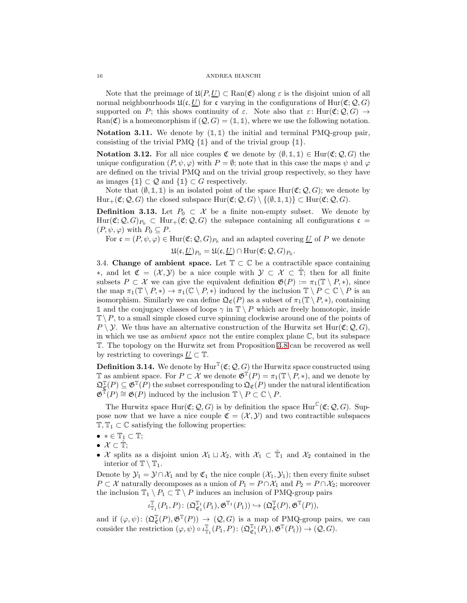### 16 ANDREA BIANCHI

Note that the preimage of  $\mathfrak{U}(P,U) \subset \text{Ran}(\mathfrak{C})$  along  $\varepsilon$  is the disjoint union of all normal neighbourhoods  $\mathfrak{U}(\mathfrak{c}, \underline{U})$  for c varying in the configurations of Hur $(\mathfrak{C}; \mathcal{Q}, G)$ supported on P; this shows continuity of  $\varepsilon$ . Note also that  $\varepsilon$ : Hur $(\mathfrak{C}; Q, G) \to$ Ran( $\mathfrak{C}$ ) is a homeomorphism if  $(Q, G) = (\mathbb{1}, \mathbb{1})$ , where we use the following notation.

<span id="page-15-2"></span>**Notation 3.11.** We denote by  $(\mathbb{1}, \mathbb{1})$  the initial and terminal PMQ-group pair, consisting of the trivial PMQ {**1**} and of the trivial group {**1**}.

**Notation 3.12.** For all nice couples  $\mathfrak{C}$  we denote by  $(\emptyset, \mathbb{1}, \mathbb{1}) \in \text{Hur}(\mathfrak{C}; \mathcal{Q}, G)$  the unique configuration  $(P, \psi, \varphi)$  with  $P = \emptyset$ ; note that in this case the maps  $\psi$  and  $\varphi$ are defined on the trivial PMQ and on the trivial group respectively, so they have as images  $\{\mathbb{1}\}\subset\mathcal{Q}$  and  $\{\mathbb{1}\}\subset G$  respectively.

Note that  $(\emptyset, \mathbb{1}, \mathbb{1})$  is an isolated point of the space Hur( $\mathfrak{C}; \mathcal{Q}, G$ ); we denote by  $Hur_+(\mathfrak{C}; \mathcal{Q}, G)$  the closed subspace  $Hur(\mathfrak{C}; \mathcal{Q}, G) \setminus \{(\emptyset, \mathbb{1}, \mathbb{1})\} \subset Hur(\mathfrak{C}; \mathcal{Q}, G)$ .

<span id="page-15-3"></span>**Definition 3.13.** Let  $P_0 \subset \mathcal{X}$  be a finite non-empty subset. We denote by Hur( $\mathfrak{C}; \mathcal{Q}, G_{P_0} \subset \text{Hur}_+(\mathfrak{C}; \mathcal{Q}, G)$  the subspace containing all configurations  $\mathfrak{c} =$  $(P, \psi, \varphi)$  with  $P_0 \subseteq P$ .

For 
$$
\mathfrak{c} = (P, \psi, \varphi) \in \text{Hur}(\mathfrak{C}; \mathcal{Q}, G)_{P_0}
$$
 and an adapted covering U of *P* we denote  

$$
\mathfrak{U}(\mathfrak{c}, \underline{U})_{P_0} = \mathfrak{U}(\mathfrak{c}, \underline{U}) \cap \text{Hur}(\mathfrak{C}; \mathcal{Q}, G)_{P_0}.
$$

<span id="page-15-0"></span>3.4. Change of ambient space. Let  $\mathbb{T} \subset \mathbb{C}$  be a contractible space containing ∗, and let  $\mathfrak{C} = (\mathcal{X}, \mathcal{Y})$  be a nice couple with  $\mathcal{Y} \subset \mathcal{X} \subset \mathbb{T}$ ; then for all finite subsets  $P \subset \mathcal{X}$  we can give the equivalent definition  $\mathfrak{G}(P) := \pi_1(\mathbb{T} \setminus P, *)$ , since the map  $\pi_1(\mathbb{T} \setminus P, *) \to \pi_1(\mathbb{C} \setminus P, *)$  induced by the inclusion  $\mathbb{T} \setminus P \subset \mathbb{C} \setminus P$  is an isomorphism. Similarly we can define  $\mathfrak{Q}_{\mathfrak{C}}(P)$  as a subset of  $\pi_1(\mathbb{T} \setminus P, *)$ , containing **1** and the conjugacy classes of loops  $\gamma$  in  $\mathbb{T} \setminus P$  which are freely homotopic, inside  $\mathbb{T} \setminus P$ , to a small simple closed curve spinning clockwise around one of the points of  $P \setminus \mathcal{Y}$ . We thus have an alternative construction of the Hurwitz set Hur( $\mathfrak{C}; \mathcal{Q}, G$ ), in which we use as *ambient space* not the entire complex plane  $\mathbb{C}$ , but its subspace T. The topology on the Hurwitz set from Proposition [3.8](#page-13-0) can be recovered as well by restricting to coverings  $U \subset \mathbb{T}$ .

<span id="page-15-1"></span>**Definition 3.14.** We denote by  $\text{Hur}^T(\mathfrak{C}; \mathcal{Q}, G)$  the Hurwitz space constructed using  $\mathbb{T}$  as ambient space. For  $P \subset \mathcal{X}$  we denote  $\mathfrak{G}^{\mathbb{T}}(P) = \pi_1(\mathbb{T} \setminus P, *)$ , and we denote by  $\mathfrak{Q}_{\mathfrak{C}}^{\mathbb{T}}(P) \subseteq \mathfrak{G}^{\mathbb{T}}(P)$  the subset corresponding to  $\mathfrak{Q}_{\mathfrak{C}}(P)$  under the natural identification  $\mathfrak{G}^{\mathbb{T}}(P) \cong \mathfrak{G}(P)$  induced by the inclusion  $\mathbb{T} \setminus P \subset \mathbb{C} \setminus P$ .

The Hurwitz space  $\text{Hur}(\mathfrak{C}; \mathcal{Q}, G)$  is by definition the space  $\text{Hur}^{\mathbb{C}}(\mathfrak{C}; \mathcal{Q}, G)$ . Suppose now that we have a nice couple  $\mathfrak{C} = (\mathcal{X}, \mathcal{Y})$  and two contractible subspaces  $\mathbb{T}, \mathbb{T}_1 \subset \mathbb{C}$  satisfying the following properties:

- $\bullet \, * \in \mathbb{T}_1 \subset \mathbb{T};$
- $\bullet \; \mathcal{X} \subset \mathbb{T}$ ;
- X splits as a disjoint union  $\mathcal{X}_1 \sqcup \mathcal{X}_2$ , with  $\mathcal{X}_1 \subset \mathbb{T}_1$  and  $\mathcal{X}_2$  contained in the interior of  $\mathbb{T} \setminus \mathbb{T}_1$ .

Denote by  $\mathcal{Y}_1 = \mathcal{Y} \cap \mathcal{X}_1$  and by  $\mathfrak{C}_1$  the nice couple  $(\mathcal{X}_1, \mathcal{Y}_1)$ ; then every finite subset  $P \subset \mathcal{X}$  naturally decomposes as a union of  $P_1 = P \cap \mathcal{X}_1$  and  $P_2 = P \cap \mathcal{X}_2$ ; moreover the inclusion  $\mathbb{T}_1 \setminus P_1 \subset \mathbb{T} \setminus P$  induces an inclusion of PMQ-group pairs

$$
\iota_{\mathbb{T}_1}^{\mathbb{T}}(P_1,P)\colon (\mathfrak{Q}_{\mathfrak{C}_1}^{\mathbb{T}_1}(P_1),\mathfrak{G}^{\mathbb{T}_1}(P_1))\hookrightarrow (\mathfrak{Q}_{\mathfrak{C}}^{\mathbb{T}}(P),\mathfrak{G}^{\mathbb{T}}(P)),
$$

and if  $(\varphi, \psi) : (\mathfrak{Q}_{\mathfrak{C}}^{\mathbb{T}}(P), \mathfrak{G}^{\mathbb{T}}(P)) \to (\mathcal{Q}, G)$  is a map of PMQ-group pairs, we can consider the restriction  $(\varphi, \psi) \circ \iota_{\mathbb{T}_1}^{\mathbb{T}}(P_1, P) \colon (\mathfrak{Q}_{\mathfrak{C}_1}^{\mathbb{T}_1}(P_1), \mathfrak{G}^{\mathbb{T}}(P_1)) \to (\mathcal{Q}, G)$ .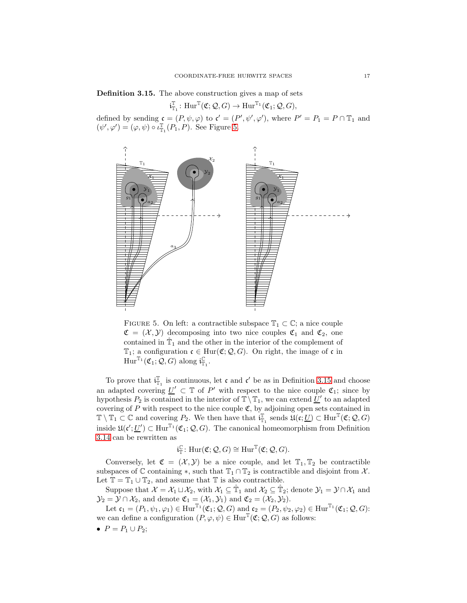### <span id="page-16-1"></span>Definition 3.15. The above construction gives a map of sets

$$
\mathfrak{i}_{\mathbb{T}_1}^{\mathbb{T}}\colon \mathrm{Hur}^{\mathbb{T}}(\mathfrak{C};\mathcal{Q},G)\to \mathrm{Hur}^{\mathbb{T}_1}(\mathfrak{C}_1;\mathcal{Q},G),
$$

defined by sending  $\mathfrak{c} = (P, \psi, \varphi)$  to  $\mathfrak{c}' = (P', \psi', \varphi')$ , where  $P' = P_1 = P \cap \mathbb{T}_1$  and  $(\psi', \varphi') = (\varphi, \psi) \circ \iota_{\mathbb{T}_1}^{\mathbb{T}}(P_1, P)$ . See Figure [5.](#page-16-0)



<span id="page-16-0"></span>FIGURE 5. On left: a contractible subspace  $\mathbb{T}_1 \subset \mathbb{C}$ ; a nice couple  $\mathfrak{C} = (\mathcal{X}, \mathcal{Y})$  decomposing into two nice couples  $\mathfrak{C}_1$  and  $\mathfrak{C}_2$ , one contained in  $\mathbb{T}_1$  and the other in the interior of the complement of  $\mathbb{T}_1$ ; a configuration  $\mathfrak{c} \in \text{Hur}(\mathfrak{C}; \mathcal{Q}, G)$ . On right, the image of  $\mathfrak{c}$  in  $\mathrm{Hur}^{\mathbb{T}_1}(\mathfrak{C}_1; \mathcal{Q}, G)$  along  $\mathfrak{i}_{\mathbb{T}_1}^{\mathbb{C}}$ .

To prove that  $i_{\mathbb{T}_1}^{\mathbb{T}}$  is continuous, let  $\mathfrak{c}$  and  $\mathfrak{c}'$  be as in Definition [3.15](#page-16-1) and choose an adapted covering  $\underline{U}' \subset \mathbb{T}$  of P' with respect to the nice couple  $\mathfrak{C}_1$ ; since by hypothesis  $P_2$  is contained in the interior of  $\mathbb{T}\setminus\mathbb{T}_1$ , we can extend  $\underline{U}'$  to an adapted covering of  $P$  with respect to the nice couple  $\mathfrak{C}$ , by adjoining open sets contained in  $\mathbb{T} \setminus \mathbb{T}_1 \subset \mathbb{C}$  and covering  $P_2$ . We then have that  $\mathfrak{i}_{\mathbb{T}_1}^{\mathbb{T}}$  sends  $\mathfrak{U}(\mathfrak{c}; \underline{U}) \subset \text{Hur}^{\mathbb{T}}(\mathfrak{C}; \mathcal{Q}, G)$ inside  $\mathfrak{U}(\mathfrak{c}'; \underline{U}') \subset \text{Hur}^{\mathbb{T}_1}(\mathfrak{C}_1; \mathcal{Q}, G)$ . The canonical homeomorphism from Definition [3.14](#page-15-1) can be rewritten as

$$
\mathfrak{i}_{\mathbb{T}}^{\mathbb{C}}\colon\mathrm{Hur}(\mathfrak{C};\mathcal{Q},G)\cong\mathrm{Hur}^{\mathbb{T}}(\mathfrak{C};\mathcal{Q},G).
$$

Conversely, let  $\mathfrak{C} = (\mathcal{X}, \mathcal{Y})$  be a nice couple, and let  $\mathbb{T}_1, \mathbb{T}_2$  be contractible subspaces of  $\mathbb C$  containing  $\ast$ , such that  $\mathbb T_1 \cap \mathbb T_2$  is contractible and disjoint from  $\mathcal X$ . Let  $\mathbb{T}=\mathbb{T}_1\cup\mathbb{T}_2,$  and assume that  $\mathbb{T}$  is also contractible.

Suppose that  $\mathcal{X} = \mathcal{X}_1 \sqcup \mathcal{X}_2$ , with  $\mathcal{X}_1 \subseteq \mathbb{T}_1$  and  $\mathcal{X}_2 \subseteq \mathbb{T}_2$ ; denote  $\mathcal{Y}_1 = \mathcal{Y} \cap \mathcal{X}_1$  and  $\mathcal{Y}_2 = \mathcal{Y} \cap \mathcal{X}_2$ , and denote  $\mathfrak{C}_1 = (\mathcal{X}_1, \mathcal{Y}_1)$  and  $\mathfrak{C}_2 = (\mathcal{X}_2, \mathcal{Y}_2)$ .

Let  $\mathfrak{c}_1 = (P_1, \psi_1, \varphi_1) \in \text{Hur}^{\mathbb{T}_1}(\mathfrak{C}_1; \mathcal{Q}, G)$  and  $\mathfrak{c}_2 = (P_2, \psi_2, \varphi_2) \in \text{Hur}^{\mathbb{T}_1}(\mathfrak{C}_1; \mathcal{Q}, G)$ : we can define a configuration  $(P, \varphi, \psi) \in \text{Hur}^{\mathbb{T}}(\mathfrak{C}; \mathcal{Q}, G)$  as follows:

•  $P = P_1 \cup P_2$ ;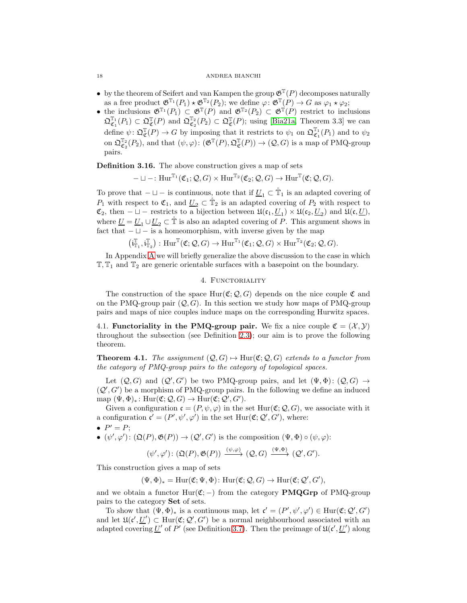### <span id="page-17-4"></span>18 ANDREA BIANCHI

- by the theorem of Seifert and van Kampen the group  $\mathfrak{G}^{\mathbb{T}}(P)$  decomposes naturally as a free product  $\mathfrak{G}^{\mathbb{T}_1}(P_1) \star \mathfrak{G}^{\mathbb{T}_2}(P_2)$ ; we define  $\varphi \colon \mathfrak{G}^{\mathbb{T}}(P) \to G$  as  $\varphi_1 \star \varphi_2$ ;
- the inclusions  $\mathfrak{G}^{\mathbb{T}_1}(P_1) \subset \mathfrak{G}^{\mathbb{T}}(P)$  and  $\mathfrak{G}^{\mathbb{T}_2}(P_2) \subset \mathfrak{G}^{\mathbb{T}}(P)$  restrict to inclusions  $\mathfrak{Q}_{\mathfrak{C}_1}^{\mathbb{T}_1}(P_1) \subset \mathfrak{Q}_{\mathfrak{C}}^{\mathbb{T}}(P)$  and  $\mathfrak{Q}_{\mathfrak{C}_2}^{\mathbb{T}_2}(P_2) \subset \mathfrak{Q}_{\mathfrak{C}}^{\mathbb{T}}(P)$ ; using [\[Bia21a,](#page-56-0) Theorem 3.3] we can define  $\psi \colon \mathfrak{Q}_{\mathfrak{C}}^{\mathbb{T}}(P) \to G$  by imposing that it restricts to  $\psi_1$  on  $\mathfrak{Q}_{\mathfrak{C}_1}^{\mathbb{T}_1}(P_1)$  and to  $\psi_2$ on  $\mathfrak{Q}_{\mathfrak{C}_2}^{\mathbb{T}_2}(P_2)$ , and that  $(\psi, \varphi)$ :  $(\mathfrak{G}^{\mathbb{T}}(P), \mathfrak{Q}_{\mathfrak{C}}^{\mathbb{T}}(P)) \to (\mathcal{Q}, G)$  is a map of PMQ-group pairs.

<span id="page-17-3"></span>Definition 3.16. The above construction gives a map of sets

$$
-\sqcup-:\mathrm{Hur}^{\mathbb{T}_1}(\mathfrak{C}_1;\mathcal{Q},G)\times \mathrm{Hur}^{\mathbb{T}_2}(\mathfrak{C}_2;\mathcal{Q},G)\to \mathrm{Hur}^{\mathbb{T}}(\mathfrak{C};\mathcal{Q},G).
$$

To prove that  $-\sqcup -$  is continuous, note that if  $\underline{U}_1 \subset \mathbb{T}_1$  is an adapted covering of  $P_1$  with respect to  $\mathfrak{C}_1$ , and  $\underline{U}_2 \subset \mathbb{T}_2$  is an adapted covering of  $P_2$  with respect to  $\mathfrak{C}_2$ , then  $-\sqcup$  – restricts to a bijection between  $\mathfrak{U}(\mathfrak{c}_1, \underline{U}_1) \times \mathfrak{U}(\mathfrak{c}_2, \underline{U}_2)$  and  $\mathfrak{U}(\mathfrak{c}, \underline{U})$ , where  $\underline{U} = \underline{U}_1 \cup \underline{U}_2 \subset \mathbb{T}$  is also an adapted covering of P. This argument shows in fact that  $-\sqcup -$  is a homeomorphism, with inverse given by the map

$$
\left(\mathfrak{i}_{\mathbb{T}_1}^{\mathbb{T}},\mathfrak{i}_{\mathbb{T}_2}^{\mathbb{T}}\right):\mathrm{Hur}^{\mathbb{T}}(\mathfrak{C};\mathcal{Q},G)\rightarrow \mathrm{Hur}^{\mathbb{T}_1}(\mathfrak{C}_1;\mathcal{Q},G)\times \mathrm{Hur}^{\mathbb{T}_2}(\mathfrak{C}_2;\mathcal{Q},G).
$$

<span id="page-17-1"></span>In Appendix [A](#page-48-0) we will briefly generalize the above discussion to the case in which  $\mathbb{T}, \mathbb{T}_1$  and  $\mathbb{T}_2$  are generic orientable surfaces with a basepoint on the boundary.

# 4. FUNCTORIALITY

The construction of the space  $Hur(\mathfrak{C}; \mathcal{Q}, G)$  depends on the nice couple  $\mathfrak{C}$  and on the PMQ-group pair  $(Q, G)$ . In this section we study how maps of PMQ-group pairs and maps of nice couples induce maps on the corresponding Hurwitz spaces.

<span id="page-17-2"></span>4.1. Functoriality in the PMQ-group pair. We fix a nice couple  $\mathfrak{C} = (\mathcal{X}, \mathcal{Y})$ throughout the subsection (see Definition [2.3\)](#page-6-0); our aim is to prove the following theorem.

<span id="page-17-0"></span>**Theorem 4.1.** The assignment  $(Q, G) \rightarrow \text{Hur}(\mathfrak{C}; Q, G)$  extends to a functor from the category of PMQ-group pairs to the category of topological spaces.

Let  $(Q, G)$  and  $(Q', G')$  be two PMQ-group pairs, and let  $(\Psi, \Phi) : (Q, G) \rightarrow$  $(Q', G')$  be a morphism of PMQ-group pairs. In the following we define an induced map  $(\Psi, \Phi)_*: \text{Hur}(\mathfrak{C}; \mathcal{Q}, G) \to \text{Hur}(\mathfrak{C}; \mathcal{Q}', G').$ 

Given a configuration  $\mathfrak{c} = (P, \psi, \varphi)$  in the set  $\text{Hur}(\mathfrak{C}; \mathcal{Q}, G)$ , we associate with it a configuration  $\mathfrak{c}' = (P', \psi', \varphi')$  in the set  $\text{Hur}(\mathfrak{C}; \mathcal{Q}', G')$ , where:

- $P' = P;$
- $(\psi', \varphi') : (\mathfrak{Q}(P), \mathfrak{G}(P)) \to (\mathcal{Q}', G')$  is the composition  $(\Psi, \Phi) \circ (\psi, \varphi)$ :

$$
(\psi', \varphi') \colon (\mathfrak{Q}(P), \mathfrak{G}(P)) \xrightarrow{(\psi, \varphi)} (Q, G) \xrightarrow{(\Psi, \Phi)} (Q', G').
$$

This construction gives a map of sets

 $(\Psi, \Phi)_* = \text{Hur}(\mathfrak{C}; \Psi, \Phi) \colon \text{Hur}(\mathfrak{C}; \mathcal{Q}, G) \to \text{Hur}(\mathfrak{C}; \mathcal{Q}', G'),$ 

and we obtain a functor  $Hur(\mathfrak{C};-)$  from the category **PMQGrp** of PMQ-group pairs to the category Set of sets.

To show that  $(\Psi, \Phi)_*$  is a continuous map, let  $\mathfrak{c}' = (P', \psi', \varphi') \in \text{Hur}(\mathfrak{C}; \mathcal{Q}', G')$ and let  $\mathfrak{U}(\mathfrak{c}', \underline{U}') \subset \text{Hur}(\mathfrak{C}; \mathcal{Q}', G')$  be a normal neighbourhood associated with an adapted covering U' of P' (see Definition [3.7\)](#page-13-3). Then the preimage of  $\mathfrak{U}(\mathfrak{c}', U')$  along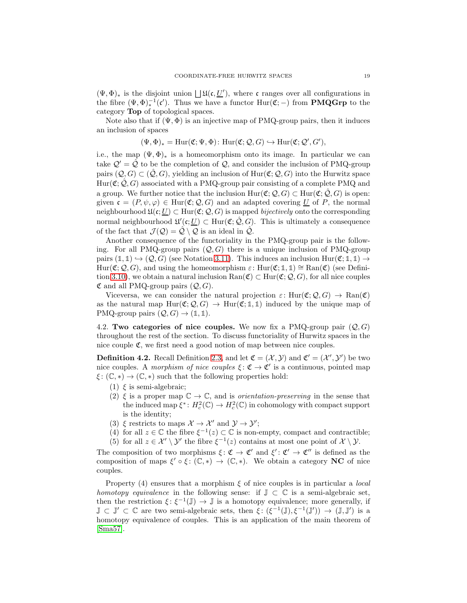<span id="page-18-2"></span> $(\Psi, \Phi)_*$  is the disjoint union  $\bigsqcup \mathfrak{U}(\mathfrak{c}, \underline{U}')$ , where c ranges over all configurations in the fibre  $(\Psi, \Phi)^{-1}_{*}(\mathfrak{c}')$ . Thus we have a functor  $\text{Hur}(\mathfrak{C};-)$  from **PMQGrp** to the  $rac{1}{\sqrt{2\pi}}\left(\frac{1}{2}, \frac{1}{2}\right)^*$   $rac{1}{\sqrt{2\pi}}\left(\frac{1}{2}, \frac{1}{2}\right)^*$  and  $rac{1}{\sqrt{2\pi}}\left(\frac{1}{2}, \frac{1}{2}\right)^*$ 

Note also that if  $(\Psi, \Phi)$  is an injective map of PMQ-group pairs, then it induces an inclusion of spaces

$$
(\Psi, \Phi)_* = \mathrm{Hur}(\mathfrak{C}; \Psi, \Phi) \colon \mathrm{Hur}(\mathfrak{C}; \mathcal{Q}, G) \hookrightarrow \mathrm{Hur}(\mathfrak{C}; \mathcal{Q}', G'),
$$

i.e., the map  $(\Psi, \Phi)_*$  is a homeomorphism onto its image. In particular we can take  $Q' = \hat{Q}$  to be the completion of  $Q$ , and consider the inclusion of PMQ-group pairs  $(Q, G) \subset (\mathcal{Q}, G)$ , yielding an inclusion of Hur $(\mathfrak{C}; \mathcal{Q}, G)$  into the Hurwitz space  $Hur(\mathfrak{C}; \hat{\mathcal{Q}}, G)$  associated with a PMQ-group pair consisting of a complete PMQ and a group. We further notice that the inclusion  $\text{Hur}(\mathfrak{C}; \mathcal{Q}, G) \subset \text{Hur}(\mathfrak{C}; \hat{\mathcal{Q}}, G)$  is open: given  $\mathfrak{c} = (P, \psi, \varphi) \in \text{Hur}(\mathfrak{C}; \mathcal{Q}, G)$  and an adapted covering U of P, the normal neighbourhood  $\mathfrak{U}(\mathfrak{c};\underline{U}) \subset \text{Hur}(\mathfrak{C};\mathcal{Q},G)$  is mapped *bijectively* onto the corresponding normal neighbourhood  $\mathfrak{U}'(c;\underline{U}) \subset \text{Hur}(\mathfrak{C};\hat{\mathcal{Q}},G)$ . This is ultimately a consequence of the fact that  $\mathcal{J}(\mathcal{Q}) = \hat{\mathcal{Q}} \setminus \mathcal{Q}$  is an ideal in  $\hat{\mathcal{Q}}$ .

Another consequence of the functoriality in the PMQ-group pair is the following. For all PMQ-group pairs  $(Q, G)$  there is a unique inclusion of PMQ-group pairs  $(1, 1) \hookrightarrow (Q, G)$  (see Notation [3.11\)](#page-15-2). This induces an inclusion Hur $(\mathfrak{C}; 1, 1) \rightarrow$  $Hur(\mathfrak{C}; \mathcal{Q}, G)$ , and using the homeomorphism  $\varepsilon$ :  $Hur(\mathfrak{C}; \mathbb{1}, \mathbb{1}) \cong \text{Ran}(\mathfrak{C})$  (see Defini-tion [3.10\)](#page-14-1), we obtain a natural inclusion  $\text{Ran}(\mathfrak{C}) \subset \text{Hur}(\mathfrak{C}; \mathcal{Q}, G)$ , for all nice couples  $\mathfrak C$  and all PMQ-group pairs  $(Q, G)$ .

Viceversa, we can consider the natural projection  $\varepsilon: \text{Hur}(\mathfrak{C}; \mathcal{Q}, G) \to \text{Ran}(\mathfrak{C})$ as the natural map  $Hur(\mathfrak{C}; \mathcal{Q}, G) \rightarrow Hur(\mathfrak{C}; \mathbb{1}, \mathbb{1})$  induced by the unique map of PMQ-group pairs  $(Q, G) \rightarrow (\mathbb{1}, \mathbb{1}).$ 

<span id="page-18-1"></span>4.2. Two categories of nice couples. We now fix a PMQ-group pair  $(Q, G)$ throughout the rest of the section. To discuss functoriality of Hurwitz spaces in the nice couple  $\mathfrak{C}$ , we first need a good notion of map between nice couples.

<span id="page-18-0"></span>**Definition 4.2.** Recall Definition [2.3,](#page-6-0) and let  $\mathfrak{C} = (\mathcal{X}, \mathcal{Y})$  and  $\mathfrak{C}' = (\mathcal{X}', \mathcal{Y}')$  be two nice couples. A *morphism of nice couples*  $\xi : \mathfrak{C} \to \mathfrak{C}'$  is a continuous, pointed map  $\xi: (\mathbb{C}, *) \to (\mathbb{C}, *)$  such that the following properties hold:

- (1)  $\xi$  is semi-algebraic;
- (2)  $\xi$  is a proper map  $\mathbb{C} \to \mathbb{C}$ , and is *orientation-preserving* in the sense that the induced map  $\xi^*$ :  $H_c^2(\mathbb{C}) \to H_c^2(\mathbb{C})$  in cohomology with compact support is the identity;
- (3)  $\xi$  restricts to maps  $\mathcal{X} \to \mathcal{X}'$  and  $\mathcal{Y} \to \mathcal{Y}'$ ;
- (4) for all  $z \in \mathbb{C}$  the fibre  $\xi^{-1}(z) \subset \mathbb{C}$  is non-empty, compact and contractible; (5) for all  $z \in \mathcal{X}' \setminus \mathcal{Y}'$  the fibre  $\xi^{-1}(z)$  contains at most one point of  $\mathcal{X} \setminus \mathcal{Y}$ .

The composition of two morphisms  $\xi: \mathfrak{C} \to \mathfrak{C}'$  and  $\xi': \mathfrak{C}' \to \mathfrak{C}''$  is defined as the composition of maps  $\xi' \circ \xi : (\mathbb{C}, *) \to (\mathbb{C}, *)$ . We obtain a category **NC** of nice couples.

Property (4) ensures that a morphism  $\xi$  of nice couples is in particular a *local* homotopy equivalence in the following sense: if  $\mathbb{J} \subset \mathbb{C}$  is a semi-algebraic set, then the restriction  $\xi: \xi^{-1}(\mathbb{J}) \to \mathbb{J}$  is a homotopy equivalence; more generally, if  $\mathbb{J} \subset \mathbb{J}' \subset \mathbb{C}$  are two semi-algebraic sets, then  $\xi: (\xi^{-1}(\mathbb{J}), \xi^{-1}(\mathbb{J}')) \to (\mathbb{J}, \mathbb{J}')$  is a homotopy equivalence of couples. This is an application of the main theorem of [\[Sma57\]](#page-56-9).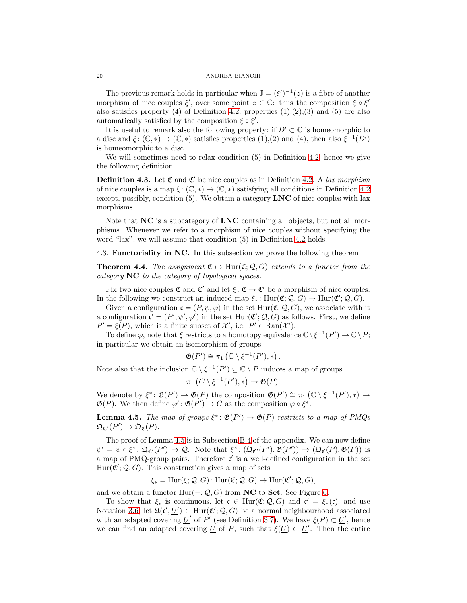#### 20 ANDREA BIANCHI

The previous remark holds in particular when  $\mathbb{J} = (\xi')^{-1}(z)$  is a fibre of another morphism of nice couples  $\xi'$ , over some point  $z \in \mathbb{C}$ : thus the composition  $\xi \circ \xi'$ also satisfies property (4) of Definition [4.2;](#page-18-0) properties  $(1),(2),(3)$  and  $(5)$  are also automatically satisfied by the composition  $\xi \circ \xi'$ .

It is useful to remark also the following property: if  $D' \subset \mathbb{C}$  is homeomorphic to a disc and  $\xi: (\mathbb{C}, *) \to (\mathbb{C}, *)$  satisfies properties  $(1),(2)$  and  $(4)$ , then also  $\xi^{-1}(D')$ is homeomorphic to a disc.

We will sometimes need to relax condition (5) in Definition [4.2,](#page-18-0) hence we give the following definition.

<span id="page-19-0"></span>**Definition 4.3.** Let  $\mathfrak{C}$  and  $\mathfrak{C}'$  be nice couples as in Definition [4.2.](#page-18-0) A lax morphism of nice couples is a map  $\xi: (\mathbb{C}, *) \to (\mathbb{C}, *)$  satisfying all conditions in Definition [4.2](#page-18-0) except, possibly, condition  $(5)$ . We obtain a category LNC of nice couples with lax morphisms.

Note that  $NC$  is a subcategory of  $LNC$  containing all objects, but not all morphisms. Whenever we refer to a morphism of nice couples without specifying the word "lax", we will assume that condition (5) in Definition [4.2](#page-18-0) holds.

<span id="page-19-2"></span>4.3. Functoriality in NC. In this subsection we prove the following theorem

<span id="page-19-1"></span>**Theorem 4.4.** The assignment  $\mathfrak{C} \mapsto \text{Hur}(\mathfrak{C}; Q, G)$  extends to a functor from the category NC to the category of topological spaces.

Fix two nice couples  $\mathfrak{C}$  and  $\mathfrak{C}'$  and let  $\xi : \mathfrak{C} \to \mathfrak{C}'$  be a morphism of nice couples. In the following we construct an induced map  $\xi_*$ : Hur $(\mathfrak{C}; \mathcal{Q}, G) \to \text{Hur}(\mathfrak{C}'; \mathcal{Q}, G)$ .

Given a configuration  $\mathfrak{c} = (P, \psi, \varphi)$  in the set  $\text{Hur}(\mathfrak{C}; \mathcal{Q}, G)$ , we associate with it a configuration  $\mathfrak{c}' = (P', \psi', \varphi')$  in the set  $\text{Hur}(\mathfrak{C}'; \mathcal{Q}, G)$  as follows. First, we define  $P' = \xi(P)$ , which is a finite subset of  $\mathcal{X}'$ , i.e.  $P' \in \text{Ran}(\mathcal{X}')$ .

To define  $\varphi$ , note that  $\xi$  restricts to a homotopy equivalence  $\mathbb{C}\backslash \xi^{-1}(P') \to \mathbb{C}\backslash P$ ; in particular we obtain an isomorphism of groups

$$
\mathfrak{G}(P') \cong \pi_1 \left( \mathbb{C} \setminus \xi^{-1}(P'), \ast \right).
$$

Note also that the inclusion  $\mathbb{C} \setminus \xi^{-1}(P') \subseteq \mathbb{C} \setminus P$  induces a map of groups

$$
\pi_1(C \setminus \xi^{-1}(P'),*) \to \mathfrak{G}(P).
$$

We denote by  $\xi^* \colon \mathfrak{G}(P') \to \mathfrak{G}(P)$  the composition  $\mathfrak{G}(P') \cong \pi_1(\mathbb{C} \setminus \xi^{-1}(P'),*) \to$  $\mathfrak{G}(P)$ . We then define  $\varphi' : \mathfrak{G}(P') \to G$  as the composition  $\varphi \circ \xi^*$ .

<span id="page-19-3"></span>**Lemma 4.5.** The map of groups  $\xi^* : \mathfrak{G}(P') \to \mathfrak{G}(P)$  restricts to a map of PMQs  $\mathfrak{Q}_{\mathfrak{C}'}(P') \to \mathfrak{Q}_{\mathfrak{C}}(P).$ 

The proof of Lemma [4.5](#page-19-3) is in Subsection [B.4](#page-50-1) of the appendix. We can now define  $\psi' = \psi \circ \xi^* : \mathfrak{Q}_{\mathfrak{C}'}(P') \to \mathcal{Q}$ . Note that  $\xi^* : (\mathfrak{Q}_{\mathfrak{C}'}(P'), \mathfrak{G}(P')) \to (\mathfrak{Q}_{\mathfrak{C}}(P), \mathfrak{G}(P))$  is a map of PMQ-group pairs. Therefore  $\mathfrak{c}'$  is a well-defined configuration in the set  $Hur(\mathfrak{C}';\mathcal{Q},G)$ . This construction gives a map of sets

$$
\xi_* = \mathrm{Hur}(\xi; \mathcal{Q}, G) \colon \mathrm{Hur}(\mathfrak{C}; \mathcal{Q}, G) \to \mathrm{Hur}(\mathfrak{C}'; \mathcal{Q}, G),
$$

and we obtain a functor  $Hur(-; Q, G)$  from NC to Set. See Figure [6.](#page-20-1)

To show that  $\xi_*$  is continuous, let  $\mathfrak{c} \in \text{Hur}(\mathfrak{C}; \mathcal{Q}, G)$  and  $\mathfrak{c}' = \xi_*(\mathfrak{c})$ , and use Notation [3.6;](#page-13-2) let  $\mathfrak{U}(\mathfrak{c}', \underline{U}') \subset \text{Hur}(\mathfrak{C}'; \mathcal{Q}, G)$  be a normal neighbourhood associated with an adapted covering <u>U'</u> of P' (see Definition [3.7\)](#page-13-3). We have  $\xi(P) \subset \underline{U}'$ , hence we can find an adapted covering <u>U</u> of P, such that  $\xi(\underline{U}) \subset \underline{U}'$ . Then the entire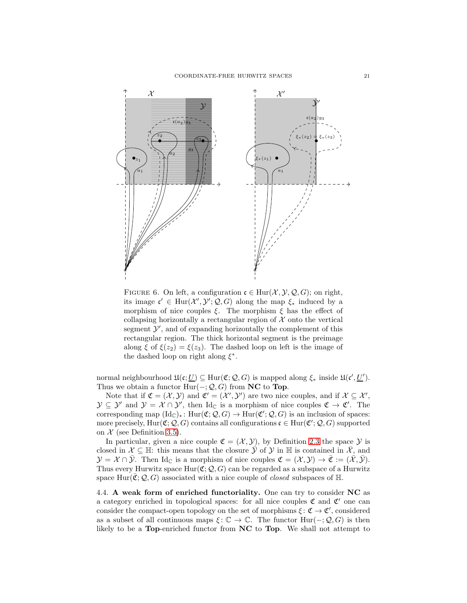

<span id="page-20-1"></span>FIGURE 6. On left, a configuration  $\mathfrak{c} \in \text{Hur}(\mathcal{X}, \mathcal{Y}, \mathcal{Q}, G)$ ; on right, its image  $\mathfrak{c}' \in \text{Hur}(\mathcal{X}', \mathcal{Y}'; \mathcal{Q}, G)$  along the map  $\xi_*$  induced by a morphism of nice couples  $\xi$ . The morphism  $\xi$  has the effect of collapsing horizontally a rectangular region of  $X$  onto the vertical segment  $\mathcal{Y}'$ , and of expanding horizontally the complement of this rectangular region. The thick horizontal segment is the preimage along  $\xi$  of  $\xi(z_2) = \xi(z_3)$ . The dashed loop on left is the image of the dashed loop on right along  $\xi^*$ .

normal neighbourhood  $\mathfrak{U}(\mathfrak{c}; \underline{U}) \subseteq \text{Hur}(\mathfrak{C}; \mathcal{Q}, G)$  is mapped along  $\xi_*$  inside  $\mathfrak{U}(\mathfrak{c}', \underline{U}')$ . Thus we obtain a functor  $Hur(-; Q, G)$  from NC to Top.

Note that if  $\mathfrak{C} = (\mathcal{X}, \mathcal{Y})$  and  $\mathfrak{C}' = (\mathcal{X}', \mathcal{Y}')$  are two nice couples, and if  $\mathcal{X} \subseteq \mathcal{X}'$ ,  $\mathcal{Y} \subseteq \mathcal{Y}'$  and  $\mathcal{Y} = \mathcal{X} \cap \mathcal{Y}'$ , then  $\mathrm{Id}_{\mathbb{C}}$  is a morphism of nice couples  $\mathfrak{C} \to \mathfrak{C}'$ . The corresponding map  $(\text{Id}_{\mathbb{C}})_*$ :  $\text{Hur}(\mathfrak{C}; \mathcal{Q}, G) \to \text{Hur}(\mathfrak{C}'; \mathcal{Q}, G)$  is an inclusion of spaces: more precisely,  $\mathrm{Hur}(\mathfrak{C};\mathcal{Q},G)$  contains all configurations  $\mathfrak{c} \in \mathrm{Hur}(\mathfrak{C}';\mathcal{Q},G)$  supported on  $\mathcal X$  (see Definition [3.5\)](#page-12-3).

In particular, given a nice couple  $\mathfrak{C} = (\mathcal{X}, \mathcal{Y})$ , by Definition [2.3](#page-6-0) the space  $\mathcal Y$  is closed in  $\mathcal{X} \subseteq \mathbb{H}$ : this means that the closure  $\bar{\mathcal{Y}}$  of  $\mathcal{Y}$  in  $\mathbb{H}$  is contained in  $\bar{\mathcal{X}}$ , and  $\mathcal{Y} = \mathcal{X} \cap \overline{\mathcal{Y}}$ . Then Id<sub>C</sub> is a morphism of nice couples  $\mathfrak{C} = (\mathcal{X}, \mathcal{Y}) \to \overline{\mathfrak{C}} := (\overline{\mathcal{X}}, \overline{\mathcal{Y}})$ . Thus every Hurwitz space  $Hur(\mathfrak{C}; \mathcal{Q}, G)$  can be regarded as a subspace of a Hurwitz space Hur( $\mathfrak{C}; \mathcal{Q}, G$ ) associated with a nice couple of *closed* subspaces of H.

<span id="page-20-0"></span>4.4. A weak form of enriched functoriality. One can try to consider NC as a category enriched in topological spaces: for all nice couples  $\mathfrak C$  and  $\mathfrak C'$  one can consider the compact-open topology on the set of morphisms  $\xi \colon \mathfrak{C} \to \mathfrak{C}'$ , considered as a subset of all continuous maps  $\xi: \mathbb{C} \to \mathbb{C}$ . The functor  $\text{Hur}(-; Q, G)$  is then likely to be a Top-enriched functor from NC to Top. We shall not attempt to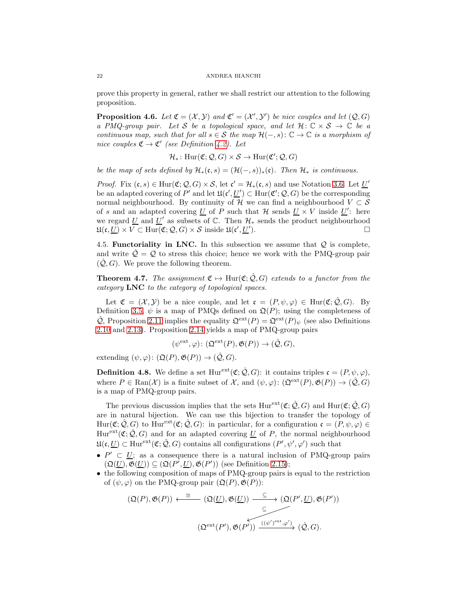prove this property in general, rather we shall restrict our attention to the following proposition.

<span id="page-21-2"></span>**Proposition 4.6.** Let  $\mathfrak{C} = (\mathcal{X}, \mathcal{Y})$  and  $\mathfrak{C}' = (\mathcal{X}', \mathcal{Y}')$  be nice couples and let  $(\mathcal{Q}, G)$ a PMQ-group pair. Let S be a topological space, and let  $\mathcal{H}: \mathbb{C} \times S \to \mathbb{C}$  be a continuous map, such that for all  $s \in \mathcal{S}$  the map  $\mathcal{H}(-, s): \mathbb{C} \to \mathbb{C}$  is a morphism of nice couples  $\mathfrak{C} \to \mathfrak{C}'$  (see Definition [4.2\)](#page-18-0). Let

$$
\mathcal{H}_* \colon \mathrm{Hur}(\mathfrak{C}; \mathcal{Q}, G) \times \mathcal{S} \to \mathrm{Hur}(\mathfrak{C}'; \mathcal{Q}, G)
$$

be the map of sets defined by  $\mathcal{H}_*(\mathfrak{c}, s) = (\mathcal{H}(-, s))_*(\mathfrak{c})$ . Then  $\mathcal{H}_*$  is continuous.

*Proof.* Fix  $(c, s) \in \text{Hur}(\mathfrak{C}; \mathcal{Q}, G) \times \mathcal{S}$ , let  $c' = \mathcal{H}_*(c, s)$  and use Notation [3.6.](#page-13-2) Let  $\underline{U}'$ be an adapted covering of  $P'$  and let  $\mathfrak{U}(\mathfrak{c}', \underline{U}') \subset \text{Hur}(\mathfrak{C}'; \mathcal{Q}, G)$  be the corresponding normal neighbourhood. By continuity of H we can find a neighbourhood  $V \subset S$ of s and an adapted covering <u>U</u> of P such that  $\mathcal{H}$  sends <u>U</u> × V inside <u>U</u>': here we regard <u>U</u> and  $\underline{U}'$  as subsets of  $\mathbb C$ . Then  $\mathcal{H}_*$  sends the product neighbourhood  $\mathfrak{U}(\mathfrak{c},\underline{U})\times V\subset \mathrm{Hur}(\mathfrak{C};\mathcal{Q},G)\times \mathcal{S}$  inside  $\mathfrak{U}(\mathfrak{c}',\underline{U}')$ ).

<span id="page-21-1"></span>4.5. **Functoriality in LNC.** In this subsection we assume that  $Q$  is complete, and write  $\hat{Q} = Q$  to stress this choice; hence we work with the PMQ-group pair  $(Q, G)$ . We prove the following theorem.

<span id="page-21-0"></span>**Theorem 4.7.** The assignment  $\mathfrak{C} \mapsto \text{Hur}(\mathfrak{C}; \hat{Q}, G)$  extends to a functor from the category LNC to the category of topological spaces.

Let  $\mathfrak{C} = (\mathcal{X}, \mathcal{Y})$  be a nice couple, and let  $\mathfrak{c} = (P, \psi, \varphi) \in \text{Hur}(\mathfrak{C}; \mathcal{Q}, G)$ . By Definition [3.5,](#page-12-3)  $\psi$  is a map of PMQs defined on  $\mathfrak{Q}(P)$ ; using the completeness of  $\hat{\mathcal{Q}}$ , Proposition [2.11](#page-9-0) implies the equality  $\mathfrak{Q}^{\text{ext}}(P) = \mathfrak{Q}^{\text{ext}}(P)_{\psi}$  (see also Definitions [2.10](#page-8-3) and [2.13\)](#page-9-3). Proposition [2.14](#page-10-1) yields a map of PMQ-group pairs

$$
(\psi^{\text{ext}}, \varphi) \colon (\mathfrak{Q}^{\text{ext}}(P), \mathfrak{G}(P)) \to (\hat{\mathcal{Q}}, G),
$$

extending  $(\psi, \varphi) : (\mathfrak{Q}(P), \mathfrak{G}(P)) \to (\hat{\mathcal{Q}}, G)$ .

**Definition 4.8.** We define a set  $\text{Hur}^{\text{ext}}(\mathfrak{C}; \hat{\mathcal{Q}}, G)$ : it contains triples  $\mathfrak{c} = (P, \psi, \varphi)$ , where  $P \in \text{Ran}(\mathcal{X})$  is a finite subset of X, and  $(\psi, \varphi) : (\mathfrak{Q}^{\text{ext}}(P), \mathfrak{G}(P)) \to (\mathcal{Q}, G)$ is a map of PMQ-group pairs.

The previous discussion implies that the sets  $Hur^{ext}(\mathfrak{C}; \hat{\mathcal{Q}}, G)$  and  $Hur(\mathfrak{C}; \hat{\mathcal{Q}}, G)$ are in natural bijection. We can use this bijection to transfer the topology of  $\text{Hur}(\mathfrak{C};\hat{\mathcal{Q}},G)$  to  $\text{Hur}^{\text{ext}}(\mathfrak{C};\hat{\mathcal{Q}},G)$ : in particular, for a configuration  $\mathfrak{c} = (P,\psi,\varphi) \in$  $Hur<sup>ext</sup>(\mathfrak{C}; \hat{\mathcal{Q}}, G)$  and for an adapted covering U of P, the normal neighbourhood  $\mathfrak{U}(\mathfrak{c},\underline{U})\subset\text{Hur}^\text{ext}(\mathfrak{C};\hat{\mathcal{Q}},G)$  contains all configurations  $(P',\psi',\varphi')$  such that

- $P' \subset U$ ; as a consequence there is a natural inclusion of PMQ-group pairs  $(\mathfrak{Q}(\underline{U}), \mathfrak{G}(\underline{U})) \subseteq (\mathfrak{Q}(P', \underline{U}), \mathfrak{G}(P'))$  (see Definition [2.15\)](#page-10-2);
- the following composition of maps of PMQ-group pairs is equal to the restriction of  $(\psi, \varphi)$  on the PMQ-group pair  $(\mathfrak{Q}(P), \mathfrak{G}(P))$ :

$$
(\mathfrak{Q}(P), \mathfrak{G}(P)) \xleftarrow{\cong} (\mathfrak{Q}(\underline{U}), \mathfrak{G}(\underline{U})) \xrightarrow{\subseteq} (\mathfrak{Q}(P', \underline{U}), \mathfrak{G}(P'))
$$

$$
\xrightarrow{\subseteq} (\mathfrak{Q}^{ext}(P'), \mathfrak{G}(P')) \xrightarrow{((\psi')^{ext}, \varphi')} (\hat{Q}, G).
$$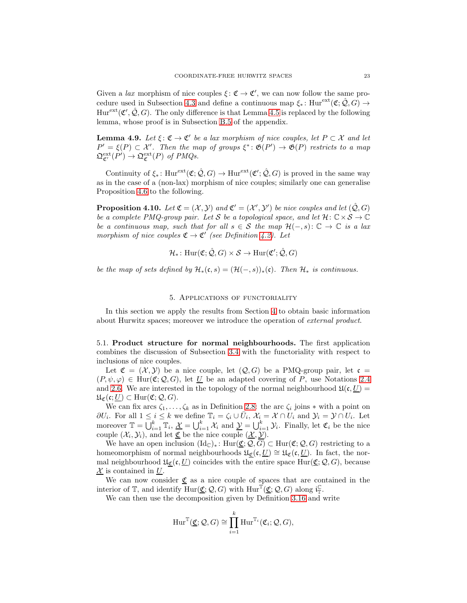Given a *lax* morphism of nice couples  $\xi : \mathfrak{C} \to \mathfrak{C}'$ , we can now follow the same pro-cedure used in Subsection [4.3](#page-19-2) and define a continuous map  $\xi_*$ : Hure $\text{ext}(\mathfrak{C}; \hat{\mathcal{Q}}, G) \rightarrow$  $Hur<sup>ext</sup>(\mathfrak{C}', \hat{\mathcal{Q}}, G)$ . The only difference is that Lemma [4.5](#page-19-3) is replaced by the following lemma, whose proof is in Subsection [B.5](#page-51-0) of the appendix.

<span id="page-22-2"></span>**Lemma 4.9.** Let  $\xi$ :  $\mathfrak{C} \to \mathfrak{C}'$  be a lax morphism of nice couples, let  $P \subset \mathcal{X}$  and let  $P' = \xi(P) \subset \mathcal{X}'$ . Then the map of groups  $\xi^* \colon \mathfrak{G}(P') \to \mathfrak{G}(P)$  restricts to a map  $\mathfrak{Q}^{\text{ext}}_{\mathfrak{C}'}(P') \to \mathfrak{Q}^{\text{ext}}_{\mathfrak{C}}(P)$  of PMQs.

Continuity of  $\xi_*$ : Hur<sup>ext</sup> $(\mathfrak{C}; \hat{\mathcal{Q}}, G) \to \text{Hur}^{\text{ext}}(\mathfrak{C}'; \hat{\mathcal{Q}}, G)$  is proved in the same way as in the case of a (non-lax) morphism of nice couples; similarly one can generalise Proposition [4.6](#page-21-2) to the following.

<span id="page-22-3"></span>**Proposition 4.10.** Let  $\mathfrak{C} = (\mathcal{X}, \mathcal{Y})$  and  $\mathfrak{C}' = (\mathcal{X}', \mathcal{Y}')$  be nice couples and let  $(\hat{\mathcal{Q}}, G)$ be a complete PMQ-group pair. Let S be a topological space, and let  $\mathcal{H}: \mathbb{C} \times S \to \mathbb{C}$ be a continuous map, such that for all  $s \in S$  the map  $\mathcal{H}(-, s): \mathbb{C} \to \mathbb{C}$  is a lax morphism of nice couples  $\mathfrak{C} \to \mathfrak{C}'$  (see Definition [4.2\)](#page-18-0). Let

$$
\mathcal{H}_* \colon \mathrm{Hur}(\mathfrak{C};\hat{\mathcal{Q}},G) \times \mathcal{S} \to \mathrm{Hur}(\mathfrak{C}';\hat{\mathcal{Q}},G)
$$

<span id="page-22-0"></span>be the map of sets defined by  $\mathcal{H}_*(c, s) = (\mathcal{H}(-, s))_*(c)$ . Then  $\mathcal{H}_*$  is continuous.

## 5. Applications of functoriality

In this section we apply the results from Section [4](#page-17-1) to obtain basic information about Hurwitz spaces; moreover we introduce the operation of external product.

<span id="page-22-1"></span>5.1. Product structure for normal neighbourhoods. The first application combines the discussion of Subsection [3.4](#page-15-0) with the functoriality with respect to inclusions of nice couples.

Let  $\mathfrak{C} = (\mathcal{X}, \mathcal{Y})$  be a nice couple, let  $(\mathcal{Q}, G)$  be a PMQ-group pair, let  $\mathfrak{c} =$  $(P, \psi, \varphi) \in \text{Hur}(\mathfrak{C}; \mathcal{Q}, G)$ , let U be an adapted covering of P, use Notations [2.4](#page-6-2) and [2.6.](#page-6-4) We are interested in the topology of the normal neighbourhood  $\mathfrak{U}(\mathfrak{c}, U)$  =  $\mathfrak{U}_{\mathfrak{C}}(\mathfrak{c};\underline{U})\subset \text{Hur}(\mathfrak{C};\mathcal{Q},G).$ 

We can fix arcs  $\zeta_1, \ldots, \zeta_k$  as in Definition [2.8:](#page-7-3) the arc  $\zeta_i$  joins  $*$  with a point on  $\partial U_i$ . For all  $1 \leq i \leq k$  we define  $\mathbb{T}_i = \zeta_i \cup \bar{U}_i$ ,  $\mathcal{X}_i = \mathcal{X} \cap \bar{U}_i$  and  $\mathcal{Y}_i = \mathcal{Y} \cap \bar{U}_i$ . Let moreover  $\mathbb{T} = \bigcup_{i=1}^k \mathbb{T}_i$ ,  $\underline{\mathcal{X}} = \bigcup_{i=1}^k \mathcal{X}_i$  and  $\underline{\mathcal{Y}} = \bigcup_{i=1}^k \mathcal{Y}_i$ . Finally, let  $\mathfrak{C}_i$  be the nice couple  $(\mathcal{X}_i, \mathcal{Y}_i)$ , and let  $\underline{\mathfrak{C}}$  be the nice couple  $(\underline{\mathcal{X}}, \underline{\mathcal{Y}})$ .

We have an open inclusion  $(\mathrm{Id}_{\mathbb{C}})_*$ :  $\mathrm{Hur}(\underline{\mathfrak{C}};\mathcal{Q},G) \subset \mathrm{Hur}(\mathfrak{C};\mathcal{Q},G)$  restricting to a homeomorphism of normal neighbourhoods  $\mathfrak{U}_{\mathfrak{C}}(\mathfrak{c}, \underline{U}) \cong \mathfrak{U}_{\mathfrak{C}}(\mathfrak{c}, \underline{U})$ . In fact, the normal neighbourhood  $\mathfrak{U}_{\mathfrak{C}}(\mathfrak{c}, \underline{U})$  coincides with the entire space Hur $(\underline{\mathfrak{C}}; \mathcal{Q}, G)$ , because  $X$  is contained in U.

We can now consider  $\underline{\mathfrak{C}}$  as a nice couple of spaces that are contained in the interior of  $\mathbb{T}$ , and identify  $\overline{\text{Hur}}(\underline{\mathfrak{C}};\mathcal{Q},G)$  with  $\text{Hur}^{\mathbb{T}}(\underline{\mathfrak{C}};\mathcal{Q},G)$  along  $\mathfrak{i}_{\mathbb{T}}^{\mathbb{C}}$ .

We can then use the decomposition given by Definition [3.16](#page-17-3) and write

$$
\mathrm{Hur}^{\mathbb{T}}(\underline{\mathfrak{C}};\mathcal{Q},G) \cong \prod_{i=1}^k \mathrm{Hur}^{\mathbb{T}_i}(\mathfrak{C}_i;\mathcal{Q},G),
$$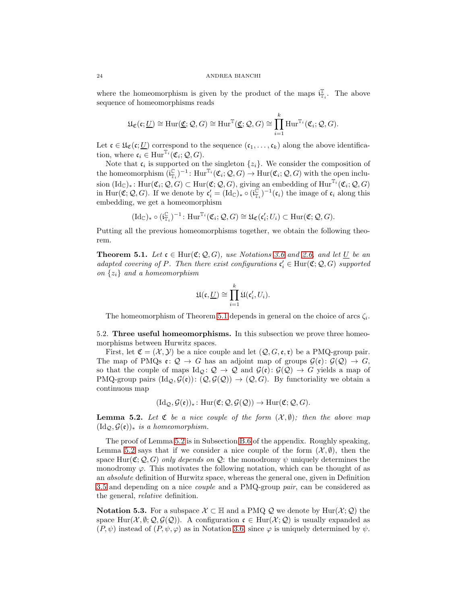where the homeomorphism is given by the product of the maps  $\mathbf{i}_{\mathbb{T}_i}^{\mathbb{T}}$ . The above sequence of homeomorphisms reads

$$
\mathfrak{U}_{\mathfrak{C}}(\mathfrak{c};\underline{U}) \cong \mathrm{Hur}(\underline{\mathfrak{C}};\mathcal{Q},G) \cong \mathrm{Hur}^{\mathbb{T}}(\underline{\mathfrak{C}};\mathcal{Q},G) \cong \prod_{i=1}^k \mathrm{Hur}^{\mathbb{T}_i}(\mathfrak{C}_i;\mathcal{Q},G).
$$

Let  $\mathfrak{c} \in \mathfrak{U}_{\mathfrak{C}}(\mathfrak{c};\underline{U})$  correspond to the sequence  $(\mathfrak{c}_1,\ldots,\mathfrak{c}_k)$  along the above identification, where  $\mathfrak{c}_i \in \text{Hur}^{\mathbb{T}_i}(\mathfrak{C}_i; \mathcal{Q}, G)$ .

Note that  $\mathfrak{c}_i$  is supported on the singleton  $\{z_i\}$ . We consider the composition of the homeomorphism  $(i_{\mathbb{T}_i}^{\mathbb{C}})^{-1}$ :  $\mathrm{Hur}^{\mathbb{T}_i}(\mathfrak{C}_i; \mathcal{Q}, G) \to \mathrm{Hur}(\mathfrak{C}_i; \mathcal{Q}, G)$  with the open inclusion  $(\mathrm{Id}_{\mathbb{C}})_*$ : Hur $(\mathfrak{C}_i; \mathcal{Q}, G) \subset \mathrm{Hur}(\mathfrak{C}; \mathcal{Q}, G)$ , giving an embedding of Hur<sup>Ti</sup> $(\mathfrak{C}_i; \mathcal{Q}, G)$ in Hur( $\mathfrak{C}; Q, G$ ). If we denote by  $\mathfrak{c}'_i = (\mathrm{Id}_{\mathbb{C}})_* \circ (\mathfrak{i}_{\mathbb{T}_i}^{\mathbb{C}})^{-1}(\mathfrak{c}_i)$  the image of  $\mathfrak{c}_i$  along this embedding, we get a homeomorphism

$$
(\mathrm{Id}_{\mathbb{C}})_{*} \circ (\mathfrak{i}_{\mathbb{T}_{i}}^{\mathbb{C}})^{-1} \colon \mathrm{Hur}^{\mathbb{T}_{i}}(\mathfrak{C}_{i}; \mathcal{Q}, G) \cong \mathfrak{U}_{\mathfrak{C}}(\mathfrak{c}'_{i}; U_{i}) \subset \mathrm{Hur}(\mathfrak{C}; \mathcal{Q}, G).
$$

Putting all the previous homeomorphisms together, we obtain the following theorem.

<span id="page-23-2"></span>**Theorem 5.1.** Let  $\mathfrak{c} \in \text{Hur}(\mathfrak{C}; Q, G)$ , use Notations [3.6](#page-13-2) and [2.6,](#page-6-4) and let U be an adapted covering of P. Then there exist configurations  $\mathfrak{c}'_i \in \text{Hur}(\mathfrak{C}; \mathcal{Q}, G)$  supported on  $\{z_i\}$  and a homeomorphism

$$
\mathfrak{U}(\mathfrak{c},\underline{U})\cong \prod_{i=1}^k \mathfrak{U}(\mathfrak{c}'_i,U_i).
$$

The homeomorphism of Theorem [5.1](#page-23-2) depends in general on the choice of arcs  $\zeta_i$ .

<span id="page-23-0"></span>5.2. Three useful homeomorphisms. In this subsection we prove three homeomorphisms between Hurwitz spaces.

First, let  $\mathfrak{C} = (\mathcal{X}, \mathcal{Y})$  be a nice couple and let  $(\mathcal{Q}, G, \mathfrak{e}, \mathfrak{r})$  be a PMQ-group pair. The map of PMQs  $\mathfrak{e}: \mathcal{Q} \to G$  has an adjoint map of groups  $\mathcal{G}(\mathfrak{e}): \mathcal{G}(\mathcal{Q}) \to G$ , so that the couple of maps  $\text{Id}_{\mathcal{Q}}: \mathcal{Q} \to \mathcal{Q}$  and  $\mathcal{G}(\mathfrak{e}) : \mathcal{G}(\mathcal{Q}) \to G$  yields a map of PMQ-group pairs  $(\text{Id}_{\mathcal{O}}, \mathcal{G}(\mathfrak{e})) : (\mathcal{Q}, \mathcal{G}(\mathcal{Q})) \to (\mathcal{Q}, G)$ . By functoriality we obtain a continuous map

$$
(\mathrm{Id}_{\mathcal{Q}}, \mathcal{G}(\mathfrak{e}))_*\colon \mathrm{Hur}(\mathfrak{C}; \mathcal{Q}, \mathcal{G}(\mathcal{Q})) \to \mathrm{Hur}(\mathfrak{C}; \mathcal{Q}, G).
$$

<span id="page-23-1"></span>**Lemma 5.2.** Let  $\mathfrak{C}$  be a nice couple of the form  $(\mathcal{X}, \emptyset)$ ; then the above map  $(\mathrm{Id}_{\mathcal{Q}}, \mathcal{G}(\mathfrak{e}))_*$  is a homeomorphism.

The proof of Lemma [5.2](#page-23-1) is in Subsection [B.6](#page-51-1) of the appendix. Roughly speaking, Lemma [5.2](#page-23-1) says that if we consider a nice couple of the form  $(\mathcal{X}, \emptyset)$ , then the space Hur( $\mathfrak{C}; \mathcal{Q}, G$ ) only depends on  $\mathcal{Q}$ : the monodromy  $\psi$  uniquely determines the monodromy  $\varphi$ . This motivates the following notation, which can be thought of as an absolute definition of Hurwitz space, whereas the general one, given in Definition [3.5](#page-12-3) and depending on a nice couple and a PMQ-group pair, can be considered as the general, relative definition.

Notation 5.3. For a subspace  $\mathcal{X} \subset \mathbb{H}$  and a PMQ Q we denote by  $\text{Hur}(\mathcal{X};\mathcal{Q})$  the space Hur $(\mathcal{X}, \emptyset; Q, \mathcal{G}(Q))$ . A configuration  $\mathfrak{c} \in \text{Hur}(\mathcal{X}; Q)$  is usually expanded as  $(P, \psi)$  instead of  $(P, \psi, \varphi)$  as in Notation [3.6,](#page-13-2) since  $\varphi$  is uniquely determined by  $\psi$ .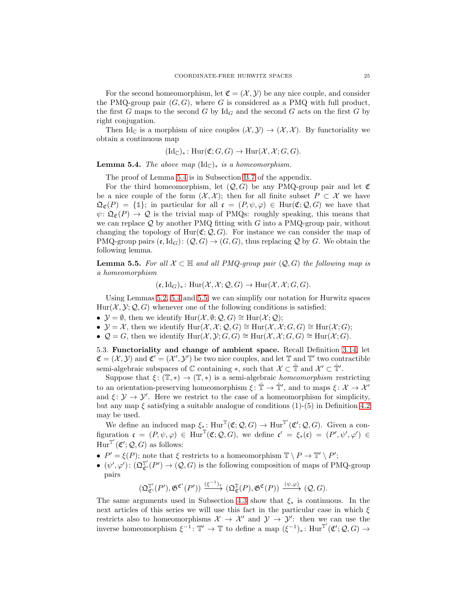For the second homeomorphism, let  $\mathfrak{C} = (\mathcal{X}, \mathcal{Y})$  be any nice couple, and consider the PMQ-group pair  $(G, G)$ , where G is considered as a PMQ with full product, the first G maps to the second G by  $\mathrm{Id}_G$  and the second G acts on the first G by right conjugation.

Then Id<sub>C</sub> is a morphism of nice couples  $(\mathcal{X}, \mathcal{Y}) \to (\mathcal{X}, \mathcal{X})$ . By functoriality we obtain a continuous map

$$
(\mathrm{Id}_{\mathbb{C}})_{*}\colon \mathrm{Hur}(\mathfrak{C};G,G)\to \mathrm{Hur}(\mathcal{X},\mathcal{X};G,G).
$$

<span id="page-24-1"></span>**Lemma 5.4.** The above map  $(\text{Id}_{\mathbb{C}})_*$  is a homeomorphism.

The proof of Lemma [5.4](#page-24-1) is in Subsection [B.7](#page-52-0) of the appendix.

For the third homeomorphism, let  $(Q, G)$  be any PMQ-group pair and let  $\mathfrak C$ be a nice couple of the form  $(\mathcal{X}, \mathcal{X})$ ; then for all finite subset  $P \subset \mathcal{X}$  we have  $\mathfrak{Q}_{\mathfrak{C}}(P) = \{\mathbb{1}\};$  in particular for all  $\mathfrak{c} = (P, \psi, \varphi) \in \text{Hur}(\mathfrak{C}; Q, G)$  we have that  $\psi: \mathfrak{Q}_{\mathfrak{C}}(P) \to \mathcal{Q}$  is the trivial map of PMQs: roughly speaking, this means that we can replace  $\mathcal Q$  by another PMQ fitting with G into a PMQ-group pair, without changing the topology of  $\text{Hur}(\mathfrak{C}; \mathcal{Q}, G)$ . For instance we can consider the map of PMQ-group pairs  $(e, Id_G): (Q, G) \to (G, G)$ , thus replacing Q by G. We obtain the following lemma.

<span id="page-24-2"></span>**Lemma 5.5.** For all  $X \subset \mathbb{H}$  and all PMQ-group pair  $(Q, G)$  the following map is a homeomorphism

$$
(\mathfrak{e},\mathrm{Id}_G)_* \colon \mathrm{Hur}(\mathcal{X},\mathcal{X};\mathcal{Q},G) \to \mathrm{Hur}(\mathcal{X},\mathcal{X};G,G).
$$

Using Lemmas [5.2,](#page-23-1) [5.4](#page-24-1) and [5.5,](#page-24-2) we can simplify our notation for Hurwitz spaces  $\text{Hur}(\mathcal{X}, \mathcal{Y}; \mathcal{Q}, G)$  whenever one of the following conditions is satisfied:

- $\mathcal{Y} = \emptyset$ , then we identify  $\text{Hur}(\mathcal{X}, \emptyset; \mathcal{Q}, G) \cong \text{Hur}(\mathcal{X}; \mathcal{Q});$
- $\mathcal{Y} = \mathcal{X}$ , then we identify  $\text{Hur}(\mathcal{X}, \mathcal{X}; \mathcal{Q}, G) \cong \text{Hur}(\mathcal{X}, \mathcal{X}; G, G) \cong \text{Hur}(\mathcal{X}; G);$
- <span id="page-24-0"></span>•  $\mathcal{Q} = G$ , then we identify  $\text{Hur}(\mathcal{X}, \mathcal{Y}; G, G) \cong \text{Hur}(\mathcal{X}, \mathcal{X}; G, G) \cong \text{Hur}(\mathcal{X}; G)$ .

5.3. Functoriality and change of ambient space. Recall Definition [3.14,](#page-15-1) let  $\mathfrak{C} = (\mathcal{X}, \mathcal{Y})$  and  $\mathfrak{C}' = (\mathcal{X}', \mathcal{Y}')$  be two nice couples, and let  $\mathbb{T}$  and  $\mathbb{T}'$  two contractible semi-algebraic subspaces of  $\mathbb C$  containing  $\ast$ , such that  $\mathcal X \subset \mathbb T$  and  $\mathcal X' \subset \mathbb T'$ .

Suppose that  $\xi: (\mathbb{T}, *) \to (\mathbb{T}, *)$  is a semi-algebraic *homeomorphism* restricting to an orientation-preserving homeomorphism  $\xi : \mathbb{T} \to \mathbb{T}'$ , and to maps  $\xi : \mathcal{X} \to \mathcal{X}'$ and  $\xi: \mathcal{Y} \to \mathcal{Y}'$ . Here we restrict to the case of a homeomorphism for simplicity, but any map  $\xi$  satisfying a suitable analogue of conditions (1)-(5) in Definition [4.2](#page-18-0) may be used.

We define an induced map  $\xi_*$ :  $\text{Hur}^{\mathbb{T}}(\mathfrak{C}; \mathcal{Q}, G) \to \text{Hur}^{\mathbb{T}'}(\mathfrak{C}'; \mathcal{Q}, G)$ . Given a configuration  $\mathfrak{c} = (P, \psi, \varphi) \in \text{Hur}^{\mathbb{T}}(\mathfrak{C}; Q, G)$ , we define  $\mathfrak{c}' = \xi_*(\mathfrak{c}) = (P', \psi', \varphi') \in$  $\mathrm{Hur}^{\mathbb{T}'}(\mathfrak{C}';\mathcal{Q},G)$  as follows:

- $P' = \xi(P)$ ; note that  $\xi$  restricts to a homeomorphism  $\mathbb{T} \setminus P \to \mathbb{T}' \setminus P'$ ;
- $(\psi', \varphi') : (\mathfrak{Q}^{\mathbb{T}'}_{\mathfrak{C}'}(P') \to (\mathcal{Q}, G)$  is the following composition of maps of PMQ-group pairs

 $(\mathfrak{Q}_{\mathfrak{C}'}^{\mathbb{T}'}(P'),\mathfrak{G}^{\mathfrak{C}'}(P'))\xrightarrow{(\xi^{-1})_{\mathfrak{F}}}(\mathfrak{Q}_{\mathfrak{C}}^{\mathbb{T}}(P),\mathfrak{G}^{\mathfrak{C}}(P))\xrightarrow{(\psi,\varphi)}(\mathcal{Q},G).$ 

The same arguments used in Subsection [4.3](#page-19-2) show that  $\xi_*$  is continuous. In the next articles of this series we will use this fact in the particular case in which  $\xi$ restricts also to homeomorphisms  $\mathcal{X} \to \mathcal{X}'$  and  $\mathcal{Y} \to \mathcal{Y}'$ : then we can use the inverse homeomorphism  $\xi^{-1} : \mathbb{T}' \to \mathbb{T}$  to define a map  $(\xi^{-1})_* : \text{Hur}^{\mathbb{T}'}(\mathfrak{C}'; \mathcal{Q}, G) \to$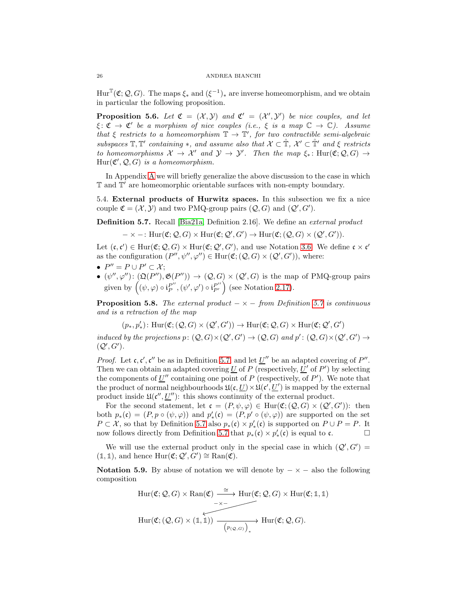$Hur^{\mathbb{T}}(\mathfrak{C};\mathcal{Q},G)$ . The maps  $\xi_*$  and  $(\xi^{-1})_*$  are inverse homeomorphism, and we obtain in particular the following proposition.

**Proposition 5.6.** Let  $\mathfrak{C} = (\mathcal{X}, \mathcal{Y})$  and  $\mathfrak{C}' = (\mathcal{X}', \mathcal{Y}')$  be nice couples, and let  $\xi \colon \mathfrak{C} \to \mathfrak{C}'$  be a morphism of nice couples (i.e.,  $\xi$  is a map  $\mathbb{C} \to \mathbb{C}$ ). Assume that  $\xi$  restricts to a homeomorphism  $\mathbb{T} \to \mathbb{T}'$ , for two contractible semi-algebraic subspaces  $\mathbb{T}, \mathbb{T}'$  containing  $*$ , and assume also that  $\mathcal{X} \subset \mathbb{T}, \mathcal{X}' \subset \mathbb{T}'$  and  $\xi$  restricts to homeomorphisms  $\mathcal{X} \to \mathcal{X}'$  and  $\mathcal{Y} \to \mathcal{Y}'$ . Then the map  $\xi_* \colon \text{Hur}(\mathfrak{C}; \mathcal{Q}, G) \to$  $\text{Hur}(\mathfrak{C}', \mathcal{Q}, G)$  is a homeomorphism.

In Appendix [A](#page-48-0) we will briefly generalize the above discussion to the case in which T and T ′ are homeomorphic orientable surfaces with non-empty boundary.

<span id="page-25-0"></span>5.4. External products of Hurwitz spaces. In this subsection we fix a nice couple  $\mathfrak{C} = (\mathcal{X}, \mathcal{Y})$  and two PMQ-group pairs  $(\mathcal{Q}, G)$  and  $(\mathcal{Q}', G')$ .

<span id="page-25-1"></span>Definition 5.7. Recall [\[Bia21a,](#page-56-0) Definition 2.16]. We define an external product

$$
-\times -: \mathrm{Hur}(\mathfrak{C}; \mathcal{Q}, G) \times \mathrm{Hur}(\mathfrak{C}; \mathcal{Q}', G') \to \mathrm{Hur}(\mathfrak{C}; (\mathcal{Q}, G) \times (\mathcal{Q}', G')).
$$

Let  $(c, c') \in \text{Hur}(\mathfrak{C}; \mathcal{Q}, G) \times \text{Hur}(\mathfrak{C}; \mathcal{Q}', G')$ , and use Notation [3.6.](#page-13-2) We define  $c \times c'$ as the configuration  $(P'', \psi'', \varphi'') \in \text{Hur}(\mathfrak{C}; (Q, G) \times (Q', G'))$ , where:

- $P'' = P \cup P' \subset \mathcal{X};$
- $\bullet$   $(\psi'', \varphi'') : (\mathfrak{Q}(P''), \mathfrak{G}(P'')) \to (\mathcal{Q}, G) \times (\mathcal{Q}', G)$  is the map of PMQ-group pairs given by  $((\psi, \varphi) \circ \mathfrak{i}_P^{P''})$  $P_P^{\prime\prime}$ ,  $(\psi^\prime,\varphi^\prime) \circ i_{P'}^{P^{\prime\prime}}$  (see Notation [2.17\)](#page-11-2).

**Proposition 5.8.** The external product  $-\times$  – from Definition [5.7](#page-25-1) is continuous and is a retraction of the map

 $(p_*, p'_*): \text{Hur}(\mathfrak{C}; (\mathcal{Q}, G) \times (\mathcal{Q}', G')) \to \text{Hur}(\mathfrak{C}; \mathcal{Q}, G) \times \text{Hur}(\mathfrak{C}; \mathcal{Q}', G')$ 

induced by the projections  $p: (Q, G) \times (Q', G') \to (Q, G)$  and  $p': (Q, G) \times (Q', G') \to$  $(Q', G')$ .

*Proof.* Let  $c, c', c''$  be as in Definition [5.7,](#page-25-1) and let  $\underline{U}''$  be an adapted covering of  $P''$ . Then we can obtain an adapted covering <u>U</u> of P (respectively, <u>U'</u> of P') by selecting the components of  $\underline{U}''$  containing one point of P (respectively, of P'). We note that the product of normal neighbourhoods  $\mathfrak{U}(\mathfrak{c}, \underline{U}) \times \mathfrak{U}(\mathfrak{c}', \underline{U}')$  is mapped by the external product inside  $\mathfrak{U}(\mathfrak{c}'', \underline{U}'')$ : this shows continuity of the external product.

For the second statement, let  $\mathfrak{c} = (P, \psi, \varphi) \in \text{Hur}(\mathfrak{C}; (\mathcal{Q}, G) \times (\mathcal{Q}', G'))$ : then both  $p_*(\mathfrak{c}) = (P, p \circ (\psi, \varphi))$  and  $p'_*(\mathfrak{c}) = (P, p' \circ (\psi, \varphi))$  are supported on the set  $P \subset \mathcal{X}$ , so that by Definition [5.7](#page-25-1) also  $p_*(c) \times p'_*(c)$  is supported on  $P \cup P = P$ . It now follows directly from Definition [5.7](#page-25-1) that  $p_*(\mathfrak{c}) \times p'_*(\mathfrak{c})$  is equal to  $\mathfrak{c}$ .  $\Box$ 

We will use the external product only in the special case in which  $(Q', G') =$  $(\mathbb{1}, \mathbb{1}),$  and hence  $\text{Hur}(\mathfrak{C}; \mathcal{Q}', G') \cong \text{Ran}(\mathfrak{C}).$ 

<span id="page-25-2"></span>Notation 5.9. By abuse of notation we will denote by  $-\times$  – also the following composition

$$
\mathrm{Hur}(\mathfrak{C}; Q, G) \times \mathrm{Ran}(\mathfrak{C}) \xrightarrow{\simeq} \mathrm{Hur}(\mathfrak{C}; Q, G) \times \mathrm{Hur}(\mathfrak{C}; 1, 1)
$$
\n
$$
\xrightarrow[\simeq]{\simeq} \mathrm{Hur}(\mathfrak{C}; (Q, G) \times (1, 1)) \xrightarrow{\simeq} \mathrm{Hur}(\mathfrak{C}; Q, G).
$$
\n
$$
\mathrm{Hur}(\mathfrak{C}; (Q, G) \times (1, 1)) \xrightarrow{\simeq} \mathrm{Hur}(\mathfrak{C}; Q, G).
$$

<span id="page-25-3"></span>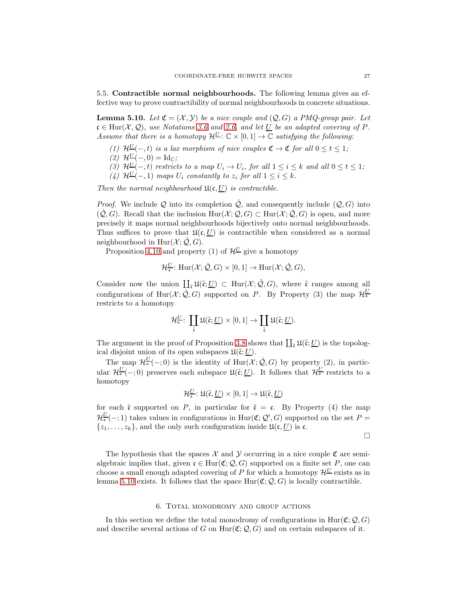<span id="page-26-1"></span>5.5. Contractible normal neighbourhoods. The following lemma gives an effective way to prove contractibility of normal neighbourhoods in concrete situations.

<span id="page-26-2"></span>**Lemma 5.10.** Let  $\mathfrak{C} = (\mathcal{X}, \mathcal{Y})$  be a nice couple and  $(\mathcal{Q}, G)$  a PMQ-group pair. Let  $c \in Hur(X, Q)$ , use Notations [3.6](#page-13-2) and [2.6,](#page-6-4) and let U be an adapted covering of P. Assume that there is a homotopy  $\mathcal{H}^{\underline{U}}$ :  $\mathbb{C} \times [0,1] \to \mathbb{C}$  satisfying the following:

- (1)  $\mathcal{H}^{\underline{U}}(-,t)$  is a lax morphism of nice couples  $\mathfrak{C} \to \mathfrak{C}$  for all  $0 \leq t \leq 1$ ;
- (2)  $\mathcal{H}^{\underline{U}}(-,0) = \mathrm{Id}_{\mathbb{C}};$
- (3)  $\mathcal{H}^{\underline{U}}(-,t)$  restricts to a map  $U_i \to U_i$ , for all  $1 \leq i \leq k$  and all  $0 \leq t \leq 1$ ;
- (4)  $\mathcal{H}^{\underline{U}}(-,1)$  maps  $U_i$  constantly to  $z_i$  for all  $1 \leq i \leq k$ .

Then the normal neighbourhood  $\mathfrak{U}(\mathfrak{c}, \underline{U})$  is contractible.

*Proof.* We include Q into its completion  $\mathcal{Q}$ , and consequently include  $(Q, G)$  into  $(\hat{Q}, G)$ . Recall that the inclusion  $\text{Hur}(\mathcal{X}; \mathcal{Q}, G) \subset \text{Hur}(\mathcal{X}; \hat{\mathcal{Q}}, G)$  is open, and more precisely it maps normal neighbourhoods bijectively onto normal neighbourhoods. Thus suffices to prove that  $\mathfrak{U}(\mathfrak{c}, U)$  is contractible when considered as a normal neighbourhood in Hur $(\mathcal{X}; \mathcal{Q}, G)$ .

Proposition [4.10](#page-22-3) and property (1) of  $\mathcal{H}^{\underline{U}}$  give a homotopy

$$
\mathcal{H}_{*}^{\underline{U}}\colon \mathrm{Hur}(\mathcal{X};\hat{\mathcal{Q}},G)\times[0,1]\to \mathrm{Hur}(\mathcal{X};\hat{\mathcal{Q}},G),
$$

Consider now the union  $\coprod_{\tilde{\mathfrak{c}}} \mathfrak{U}(\tilde{\mathfrak{c}};\underline{U}) \subset \text{Hur}(\mathcal{X};\hat{\mathcal{Q}},G)$ , where  $\tilde{\mathfrak{c}}$  ranges among all configurations of  $\text{Hur}(\mathcal{X}; \hat{\mathcal{Q}}, G)$  supported on P. By Property (3) the map  $\mathcal{H}^{\underline{U}}_*$ ∗ restricts to a homotopy

$$
\mathcal{H}^{\underline{U}}_*\colon\thinspace \coprod_{\widetilde{\mathfrak{c}}}\mathfrak{U}(\widetilde{\mathfrak{c}};\underline{U})\times [0,1]\to \coprod_{\widetilde{\mathfrak{c}}}\mathfrak{U}(\widetilde{\mathfrak{c}};\underline{U}).
$$

The argument in the proof of Proposition [3.8](#page-13-0) shows that  $\coprod_{\tilde{\mathfrak{c}}} \mathfrak{U}(\tilde{\mathfrak{c}};\underline{U})$  is the topological disjoint union of its open subspaces  $\mathfrak{U}(\tilde{\mathfrak{c}};\underline{U})$ .

The map  $\mathcal{H}^{\underline{U}}_*(-;0)$  is the identity of  $\text{Hur}(\mathcal{X};\hat{\mathcal{Q}},G)$  by property  $(2)$ , in particular  $\mathcal{H}^{\underline{U}}_*(-;0)$  preserves each subspace  $\mathfrak{U}(\tilde{\mathfrak{c}};\underline{U})$ . It follows that  $\mathcal{H}^{\underline{U}}_*$  restricts to a homotopy

$$
\mathcal{H}_{*}^{\underline{U}}\colon \mathfrak{U}(\tilde{\mathfrak{c}},\underline{U})\times [0,1]\to \mathfrak{U}(\tilde{\mathfrak{c}},\underline{U})
$$

for each  $\tilde{\mathfrak{c}}$  supported on P, in particular for  $\tilde{\mathfrak{c}} = \mathfrak{c}$ . By Property (4) the map  $\mathcal{H}_{*}^{\underline{U}}(-,1)$  takes values in configurations in Hur( $\mathfrak{C}; \mathcal{Q}', G$ ) supported on the set  $P =$  $\{z_1, \ldots, z_k\}$ , and the only such configuration inside  $\mathfrak{U}(\mathfrak{c}, \underline{U})$  is  $\mathfrak{c}$ .

 $\Box$ 

The hypothesis that the spaces  $\mathcal X$  and  $\mathcal Y$  occurring in a nice couple  $\mathfrak C$  are semialgebraic implies that, given  $\mathfrak{c} \in \text{Hur}(\mathfrak{C}; \mathcal{Q}, G)$  supported on a finite set P, one can choose a small enough adapted covering of P for which a homotopy  $\mathcal{H}^{\underline{U}}$  exists as in lemma [5.10](#page-26-2) exists. It follows that the space  $Hur(\mathfrak{C}; \mathcal{Q}, G)$  is locally contractible.

## 6. Total monodromy and group actions

<span id="page-26-0"></span>In this section we define the total monodromy of configurations in Hur( $\mathfrak{C}; \mathcal{Q}, G$ ) and describe several actions of G on Hur( $\mathfrak{C}; \mathcal{Q}, G$ ) and on certain subspaces of it.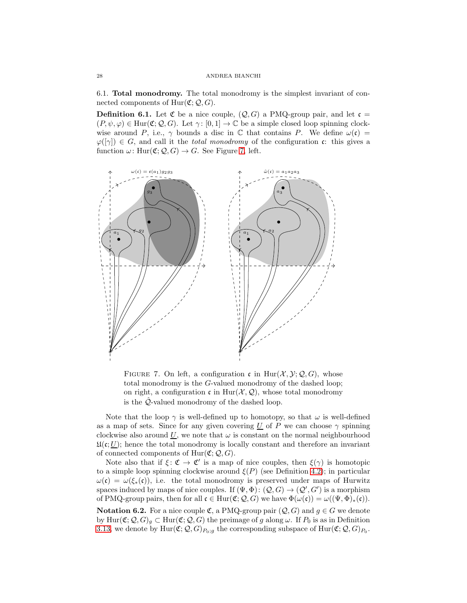<span id="page-27-0"></span>6.1. Total monodromy. The total monodromy is the simplest invariant of connected components of  $Hur(\mathfrak{C};\mathcal{Q},G)$ .

<span id="page-27-2"></span>**Definition 6.1.** Let  $\mathfrak{C}$  be a nice couple,  $(Q, G)$  a PMQ-group pair, and let  $\mathfrak{c} =$  $(P, \psi, \varphi) \in \text{Hur}(\mathfrak{C}; \mathcal{Q}, G)$ . Let  $\gamma : [0, 1] \to \mathbb{C}$  be a simple closed loop spinning clockwise around P, i.e.,  $\gamma$  bounds a disc in C that contains P. We define  $\omega(\mathfrak{c}) =$  $\varphi([\gamma]) \in G$ , and call it the *total monodromy* of the configuration c: this gives a function  $\omega$ : Hur $(\mathfrak{C}; \mathcal{Q}, G) \to G$ . See Figure [7,](#page-27-1) left.



<span id="page-27-1"></span>FIGURE 7. On left, a configuration c in  $\text{Hur}(\mathcal{X}, \mathcal{Y}; \mathcal{Q}, G)$ , whose total monodromy is the G-valued monodromy of the dashed loop; on right, a configuration c in Hur( $\mathcal{X}, \mathcal{Q}$ ), whose total monodromy is the  $\hat{Q}$ -valued monodromy of the dashed loop.

Note that the loop  $\gamma$  is well-defined up to homotopy, so that  $\omega$  is well-defined as a map of sets. Since for any given covering  $U$  of P we can choose  $\gamma$  spinning clockwise also around  $U$ , we note that  $\omega$  is constant on the normal neighbourhood  $\mathfrak{U}(\mathfrak{c};\underline{U})$ ; hence the total monodromy is locally constant and therefore an invariant of connected components of  $Hur(\mathfrak{C}; \mathcal{Q}, G)$ .

Note also that if  $\xi: \mathfrak{C} \to \mathfrak{C}'$  is a map of nice couples, then  $\xi(\gamma)$  is homotopic to a simple loop spinning clockwise around  $\xi(P)$  (see Definition [4.2\)](#page-18-0); in particular  $\omega(\mathfrak{c}) = \omega(\xi_*(\mathfrak{c}))$ , i.e. the total monodromy is preserved under maps of Hurwitz spaces induced by maps of nice couples. If  $(\Psi, \Phi) : (Q, G) \to (Q', G')$  is a morphism of PMQ-group pairs, then for all  $\mathfrak{c} \in \text{Hur}(\mathfrak{C}; \mathcal{Q}, G)$  we have  $\Phi(\omega(\mathfrak{c})) = \omega((\Psi, \Phi)_*(\mathfrak{c}))$ .

<span id="page-27-3"></span>**Notation 6.2.** For a nice couple  $\mathfrak{C}$ , a PMQ-group pair  $(Q, G)$  and  $g \in G$  we denote by  $\text{Hur}(\mathfrak{C}; \mathcal{Q}, G)_q \subset \text{Hur}(\mathfrak{C}; \mathcal{Q}, G)$  the preimage of g along  $\omega$ . If  $P_0$  is as in Definition [3.13,](#page-15-3) we denote by  $\text{Hur}(\mathfrak{C}; \mathcal{Q}, G)_{P_0;g}$  the corresponding subspace of  $\text{Hur}(\mathfrak{C}; \mathcal{Q}, G)_{P_0}$ .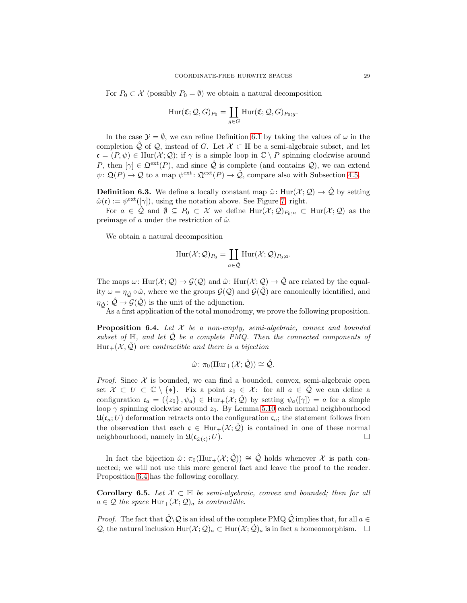For  $P_0 \subset \mathcal{X}$  (possibly  $P_0 = \emptyset$ ) we obtain a natural decomposition

$$
\mathrm{Hur}(\mathfrak{C};\mathcal{Q},G)_{P_0} = \coprod_{g \in G} \mathrm{Hur}(\mathfrak{C};\mathcal{Q},G)_{P_0;g}.
$$

In the case  $\mathcal{Y} = \emptyset$ , we can refine Definition [6.1](#page-27-2) by taking the values of  $\omega$  in the completion  $\mathcal Q$  of  $\mathcal Q$ , instead of G. Let  $\mathcal X \subset \mathbb H$  be a semi-algebraic subset, and let  $\mathfrak{c} = (P, \psi) \in \text{Hur}(\mathcal{X}; \mathcal{Q})$ ; if  $\gamma$  is a simple loop in  $\mathbb{C} \setminus P$  spinning clockwise around P, then  $[\gamma] \in \mathfrak{Q}^{\text{ext}}(P)$ , and since  $\tilde{\mathcal{Q}}$  is complete (and contains  $\mathcal{Q}$ ), we can extend  $\psi \colon \mathfrak{Q}(P) \to \mathcal{Q}$  to a map  $\psi^{\text{ext}} \colon \mathfrak{Q}^{\text{ext}}(P) \to \hat{\mathcal{Q}}$ , compare also with Subsection [4.5.](#page-21-1)

**Definition 6.3.** We define a locally constant map  $\hat{\omega}$ : Hur $(\mathcal{X}; \mathcal{Q}) \to \hat{\mathcal{Q}}$  by setting  $\hat{\omega}(\mathfrak{c}) := \psi^{\text{ext}}([\gamma]),$  using the notation above. See Figure [7,](#page-27-1) right.

For  $a \in \mathcal{Q}$  and  $\emptyset \subseteq P_0 \subset \mathcal{X}$  we define  $\text{Hur}(\mathcal{X};\mathcal{Q})_{P_0;a} \subset \text{Hur}(\mathcal{X};\mathcal{Q})$  as the preimage of a under the restriction of  $\hat{\omega}$ .

We obtain a natural decomposition

$$
\mathrm{Hur}(\mathcal{X};\mathcal{Q})_{P_0} = \coprod_{a \in \hat{\mathcal{Q}}} \mathrm{Hur}(\mathcal{X};\mathcal{Q})_{P_0;a}.
$$

The maps  $\omega: \text{Hur}(\mathcal{X}; \mathcal{Q}) \to \mathcal{G}(\mathcal{Q})$  and  $\hat{\omega}: \text{Hur}(\mathcal{X}; \mathcal{Q}) \to \hat{\mathcal{Q}}$  are related by the equality  $\omega = \eta_{\hat{Q}} \circ \hat{\omega}$ , where we the groups  $\mathcal{G}(Q)$  and  $\mathcal{G}(Q)$  are canonically identified, and  $\eta_{\hat{O}}: \hat{\mathcal{Q}} \to \mathcal{G}(\hat{\mathcal{Q}})$  is the unit of the adjunction.

As a first application of the total monodromy, we prove the following proposition.

<span id="page-28-0"></span>**Proposition 6.4.** Let  $X$  be a non-empty, semi-algebraic, convex and bounded subset of  $\mathbb{H}$ , and let  $\mathcal{Q}$  be a complete PMQ. Then the connected components of  $Hur_+(\mathcal{X},\mathcal{Q})$  are contractible and there is a bijection

$$
\hat{\omega} \colon \pi_0(\mathrm{Hur}_+(\mathcal{X};\hat{\mathcal{Q}})) \cong \hat{\mathcal{Q}}.
$$

*Proof.* Since  $X$  is bounded, we can find a bounded, convex, semi-algebraic open set  $\mathcal{X} \subset U \subset \mathbb{C} \setminus \{*\}.$  Fix a point  $z_0 \in \mathcal{X}$ : for all  $a \in \hat{\mathcal{Q}}$  we can define a configuration  $\mathfrak{c}_a = (\{z_0\}, \psi_a) \in \text{Hur}_+(\mathcal{X}; \hat{\mathcal{Q}})$  by setting  $\psi_a([\gamma]) = a$  for a simple loop  $\gamma$  spinning clockwise around  $z_0$ . By Lemma [5.10](#page-26-2) each normal neighbourhood  $\mathfrak{U}(\mathfrak{c}_a;U)$  deformation retracts onto the configuration  $\mathfrak{c}_a$ ; the statement follows from the observation that each  $\mathfrak{c} \in \text{Hur}_+(\mathcal{X}; \mathcal{Q})$  is contained in one of these normal neighbourhood, namely in  $\mathfrak{U}(\mathfrak{c}_{\hat{\omega}(\epsilon)}; U)$ . neighbourhood, namely in  $\mathfrak{U}(\mathfrak{c}_{\hat{\omega}(\mathfrak{c})};U)$ .  $;U$ ).

In fact the bijection  $\hat{\omega}$ :  $\pi_0(Hur_+(\mathcal{X}; \hat{\mathcal{Q}})) \cong \hat{\mathcal{Q}}$  holds whenever X is path connected; we will not use this more general fact and leave the proof to the reader. Proposition [6.4](#page-28-0) has the following corollary.

**Corollary 6.5.** Let  $X \subset \mathbb{H}$  be semi-algebraic, convex and bounded; then for all  $a \in \mathcal{Q}$  the space  $\text{Hur}_+(\mathcal{X};\mathcal{Q})_a$  is contractible.

*Proof.* The fact that  $\hat{Q} \backslash Q$  is an ideal of the complete PMQ  $\hat{Q}$  implies that, for all  $a \in$ Q, the natural inclusion  $\text{Hur}(\mathcal{X};\mathcal{Q})_a \subset \text{Hur}(\mathcal{X};\hat{\mathcal{Q}})_a$  is in fact a homeomorphism.  $\Box$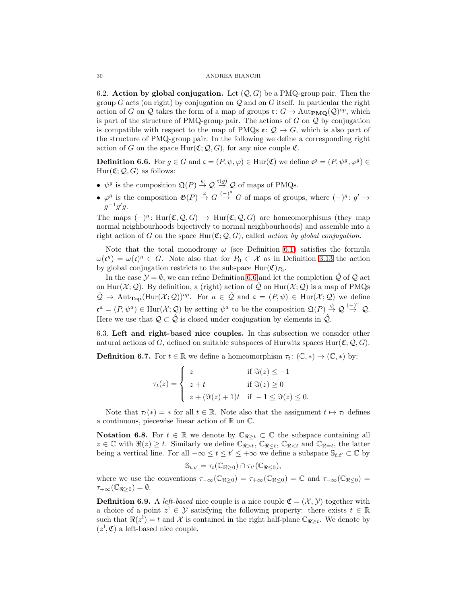<span id="page-29-0"></span>6.2. Action by global conjugation. Let  $(Q, G)$  be a PMQ-group pair. Then the group G acts (on right) by conjugation on  $\mathcal Q$  and on G itself. In particular the right action of G on Q takes the form of a map of groups  $\mathfrak{r}: G \to \text{Aut}_{\textbf{PMQ}}(\mathcal{Q})^{op}$ , which is part of the structure of PMQ-group pair. The actions of  $G$  on  $\mathcal Q$  by conjugation is compatible with respect to the map of PMQs  $e: \mathcal{Q} \to G$ , which is also part of the structure of PMQ-group pair. In the following we define a corresponding right action of G on the space  $Hur(\mathfrak{C};\mathcal{Q},G)$ , for any nice couple  $\mathfrak{C}$ .

<span id="page-29-2"></span>**Definition 6.6.** For  $g \in G$  and  $\mathfrak{c} = (P, \psi, \varphi) \in \text{Hur}(\mathfrak{C})$  we define  $\mathfrak{c}^g = (P, \psi^g, \varphi^g) \in$  $Hur(\mathfrak{C}; \mathcal{Q}, G)$  as follows:

- $\psi^g$  is the composition  $\mathfrak{Q}(P) \stackrel{\psi}{\rightarrow} \mathcal{Q} \stackrel{\mathfrak{r}(q)}{\rightarrow} \mathcal{Q}$  of maps of PMQs.
- $\varphi^g$  is the composition  $\mathfrak{G}(P) \stackrel{\varphi}{\to} G \stackrel{(-)^g}{\to} G$  of maps of groups, where  $(-)^g : g' \mapsto$  $g^{-1}g'g$ .

The maps  $(-)^g$ : Hur $(\mathfrak{C}, \mathcal{Q}, G) \to \text{Hur}(\mathfrak{C}; \mathcal{Q}, G)$  are homeomorphisms (they map normal neighbourhoods bijectively to normal neighbourhoods) and assemble into a right action of G on the space  $Hur(\mathfrak{C}; \mathcal{Q}, G)$ , called action by global conjugation.

Note that the total monodromy  $\omega$  (see Definition [6.1\)](#page-27-2) satisfies the formula  $\omega(\mathfrak{c}^g) = \omega(\mathfrak{c})^g \in G$ . Note also that for  $P_0 \subset \mathcal{X}$  as in Definition [3.13](#page-15-3) the action by global conjugation restricts to the subspace  $\text{Hur}(\mathfrak{C})_{P_0}$ .

In the case  $\mathcal{Y} = \emptyset$ , we can refine Definition [6.6](#page-29-2) and let the completion  $\mathcal{Q}$  of  $\mathcal{Q}$  act on Hur( $\mathcal{X}; \mathcal{Q}$ ). By definition, a (right) action of  $\hat{\mathcal{Q}}$  on Hur( $\mathcal{X}; \mathcal{Q}$ ) is a map of PMQs  $\hat{\mathcal{Q}} \to \text{Aut}_{\text{Top}}(\text{Hur}(\mathcal{X};\mathcal{Q}))^{op}$ . For  $a \in \hat{\mathcal{Q}}$  and  $\mathfrak{c} = (P,\psi) \in \text{Hur}(\mathcal{X};\mathcal{Q})$  we define  $\mathfrak{c}^a = (P, \psi^a) \in \text{Hur}(\mathcal{X}; \mathcal{Q})$  by setting  $\psi^a$  to be the composition  $\mathfrak{Q}(P) \stackrel{\psi}{\rightarrow} \mathcal{Q} \stackrel{(-)}{\rightarrow} \mathcal{Q}$ . Here we use that  $\mathcal{Q} \subset \hat{\mathcal{Q}}$  is closed under conjugation by elements in  $\hat{\mathcal{Q}}$ .

<span id="page-29-1"></span>6.3. Left and right-based nice couples. In this subsection we consider other natural actions of G, defined on suitable subspaces of Hurwitz spaces Hur( $\mathfrak{C}; \mathcal{Q}, G$ ).

**Definition 6.7.** For  $t \in \mathbb{R}$  we define a homeomorphism  $\tau_t: (\mathbb{C}, *) \to (\mathbb{C}, *)$  by:

$$
\tau_t(z) = \begin{cases}\nz & \text{if } \Im(z) \le -1 \\
z + t & \text{if } \Im(z) \ge 0 \\
z + (\Im(z) + 1)t & \text{if } -1 \le \Im(z) \le 0.\n\end{cases}
$$

Note that  $\tau_t(*) = *$  for all  $t \in \mathbb{R}$ . Note also that the assignment  $t \mapsto \tau_t$  defines a continuous, piecewise linear action of  $\mathbb R$  on  $\mathbb C$ .

<span id="page-29-4"></span>Notation 6.8. For  $t \in \mathbb{R}$  we denote by  $\mathbb{C}_{\Re>t} \subset \mathbb{C}$  the subspace containing all  $z \in \mathbb{C}$  with  $\Re(z) \geq t$ . Similarly we define  $\mathbb{C}_{\Re>t}$ ,  $\mathbb{C}_{\Re,  $\mathbb{C}_{\Re and  $\mathbb{C}_{\Re=t}$ , the latter$$ being a vertical line. For all  $-\infty \le t \le t' \le +\infty$  we define a subspace  $\mathbb{S}_{t,t'} \subset \mathbb{C}$  by

$$
\mathbb{S}_{t,t'} = \tau_t(\mathbb{C}_{\Re \geq 0}) \cap \tau_{t'}(\mathbb{C}_{\Re \leq 0}),
$$

where we use the conventions  $\tau_{-\infty}(\mathbb{C}_{\Re>0}) = \tau_{+\infty}(\mathbb{C}_{\Re<0}) = \mathbb{C}$  and  $\tau_{-\infty}(\mathbb{C}_{\Re<0}) =$  $\tau_{+\infty}(\mathbb{C}_{\Re>0})=\emptyset.$ 

<span id="page-29-3"></span>**Definition 6.9.** A *left-based* nice couple is a nice couple  $\mathfrak{C} = (\mathcal{X}, \mathcal{Y})$  together with a choice of a point  $z^1 \in \mathcal{Y}$  satisfying the following property: there exists  $t \in \mathbb{R}$ such that  $\Re(z^1) = t$  and X is contained in the right half-plane  $\mathbb{C}_{\Re \geq t}$ . We denote by  $(z^1, \mathfrak{C})$  a left-based nice couple.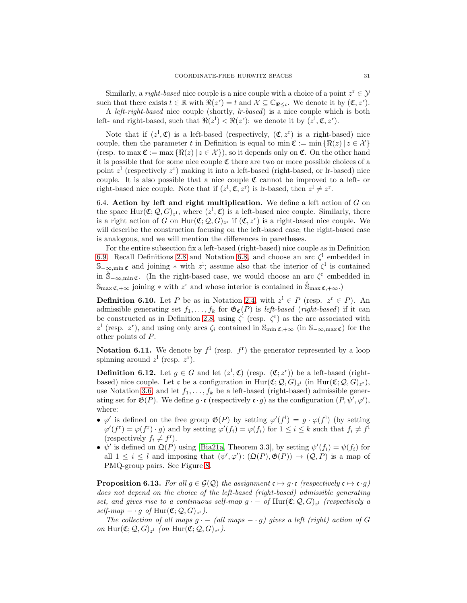<span id="page-30-5"></span>Similarly, a *right-based* nice couple is a nice couple with a choice of a point  $z^r \in \mathcal{Y}$ such that there exists  $t \in \mathbb{R}$  with  $\Re(z^r) = t$  and  $\mathcal{X} \subseteq \mathbb{C}_{\Re \leq t}$ . We denote it by  $(\mathfrak{C}, z^r)$ . A left-right-based nice couple (shortly, lr-based) is a nice couple which is both

left- and right-based, such that  $\Re(z^1) < \Re(z^r)$ : we denote it by  $(z^1, \mathfrak{C}, z^r)$ .

Note that if  $(z^1, \mathfrak{C})$  is a left-based (respectively,  $(\mathfrak{C}, z^r)$  is a right-based) nice couple, then the parameter t in Definition is equal to min  $\mathfrak{C} := \min \{ \Re(z) \mid z \in \mathcal{X} \}$ (resp. to max  $\mathfrak{C} := \max \{ \Re(z) | z \in \mathcal{X} \}$ ), so it depends only on  $\mathfrak{C}$ . On the other hand it is possible that for some nice couple  $\mathfrak C$  there are two or more possible choices of a point  $z^{\mathrm{l}}$  (respectively  $z^{\mathrm{r}}$ ) making it into a left-based (right-based, or lr-based) nice couple. It is also possible that a nice couple  $\mathfrak C$  cannot be improved to a left- or right-based nice couple. Note that if  $(z^1, \mathfrak{C}, z^r)$  is lr-based, then  $z^1 \neq z^r$ .

<span id="page-30-0"></span>6.4. Action by left and right multiplication. We define a left action of  $G$  on the space  $\text{Hur}(\mathfrak{C}; \mathcal{Q}, G)_{z^1}$ , where  $(z^1, \mathfrak{C})$  is a left-based nice couple. Similarly, there is a right action of G on  $Hur(\mathfrak{C}; \mathcal{Q}, G)_{z^r}$  if  $(\mathfrak{C}, z^r)$  is a right-based nice couple. We will describe the construction focusing on the left-based case; the right-based case is analogous, and we will mention the differences in paretheses.

For the entire subsection fix a left-based (right-based) nice couple as in Definition [6.9.](#page-29-3) Recall Definitions [2.8](#page-7-3) and Notation [6.8,](#page-29-4) and choose an arc  $\zeta^1$  embedded in  $\mathbb{S}_{-\infty,\min \mathfrak{C}}$  and joining  $*$  with  $z^1$ ; assume also that the interior of  $\zeta^1$  is contained in  $\mathring{S}_{-\infty,\min}$   $\mathfrak{c}$ . (In the right-based case, we would choose an arc  $\zeta^r$  embedded in  $\mathbb{S}_{\max \mathfrak{C},+\infty}$  joining \* with  $z^r$  and whose interior is contained in  $\mathbb{S}_{\max \mathfrak{C},+\infty}$ .

<span id="page-30-3"></span>**Definition 6.10.** Let P be as in Notation [2.4,](#page-6-2) with  $z^1 \in P$  (resp.  $z^r \in P$ ). An admissible generating set  $f_1, \ldots, f_k$  for  $\mathfrak{G}_{\mathfrak{C}}(P)$  is *left-based* (*right-based*) if it can be constructed as in Definition [2.8,](#page-7-3) using  $\zeta^{\dagger}$  (resp.  $\zeta^{\dagger}$ ) as the arc associated with z<sup>1</sup> (resp. z<sup>r</sup>), and using only arcs  $\zeta_i$  contained in  $\mathbb{S}_{\min \mathfrak{C},+\infty}$  (in  $\mathbb{S}_{-\infty,\max \mathfrak{C}}$ ) for the other points of P.

<span id="page-30-2"></span>**Notation 6.11.** We denote by  $f^1$  (resp.  $f^r$ ) the generator represented by a loop spinning around  $z^1$  (resp.  $z^r$ ).

<span id="page-30-4"></span>**Definition 6.12.** Let  $g \in G$  and let  $(z^1, \mathfrak{C})$  (resp.  $(\mathfrak{C}; z^r)$ ) be a left-based (rightbased) nice couple. Let  $\mathfrak c$  be a configuration in  $\text{Hur}(\mathfrak C; \mathcal Q, G)_{z^1}$  (in  $\text{Hur}(\mathfrak C; \mathcal Q, G)_{z^r}$ ), use Notation [3.6,](#page-13-2) and let  $f_1, \ldots, f_k$  be a left-based (right-based) admissible generating set for  $\mathfrak{G}(P)$ . We define  $g \cdot \mathfrak{c}$  (respectively  $\mathfrak{c} \cdot g$ ) as the configuration  $(P, \psi', \varphi')$ , where:

- $\varphi'$  is defined on the free group  $\mathfrak{G}(P)$  by setting  $\varphi'(f^1) = g \cdot \varphi(f^1)$  (by setting  $\varphi'(f^r) = \varphi(f^r) \cdot g$  and by setting  $\varphi'(f_i) = \varphi(f_i)$  for  $1 \leq i \leq k$  such that  $f_i \neq f^l$ (respectively  $f_i \neq f^r$ ).
- $\psi'$  is defined on  $\mathfrak{Q}(P)$  using [\[Bia21a,](#page-56-0) Theorem 3.3], by setting  $\psi'(f_i) = \psi(f_i)$  for all  $1 \leq i \leq l$  and imposing that  $(\psi', \varphi') : (\mathfrak{Q}(P), \mathfrak{G}(P)) \to (\mathcal{Q}, P)$  is a map of PMQ-group pairs. See Figure [8.](#page-31-1)

<span id="page-30-1"></span>**Proposition 6.13.** For all  $g \in \mathcal{G}(\mathcal{Q})$  the assignment  $\mathfrak{c} \mapsto g \cdot \mathfrak{c}$  (respectively  $\mathfrak{c} \mapsto \mathfrak{c} \cdot g$ ) does not depend on the choice of the left-based (right-based) admissible generating set, and gives rise to a continuous self-map  $g - of Hur(\mathfrak{C}; \mathcal{Q}, G)_{z}$  (respectively a  $self-map - g \ of \ Hur(\mathfrak{C}; \mathcal{Q}, G)_{z^r}).$ 

The collection of all maps  $g - (all \ maps - q)$  gives a left (right) action of G on Hur $(\mathfrak{C}; \mathcal{Q}, G)_{z^1}$  (on Hur $(\mathfrak{C}; \mathcal{Q}, G)_{z^r}$ ).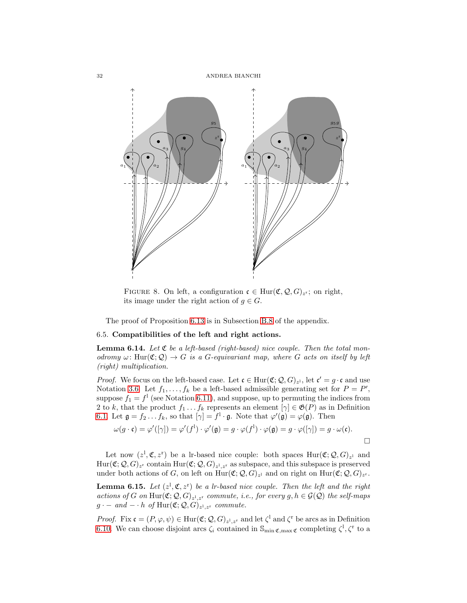

<span id="page-31-1"></span>FIGURE 8. On left, a configuration  $\mathfrak{c} \in \text{Hur}(\mathfrak{C}, \mathcal{Q}, G)_{z^r}$ ; on right, its image under the right action of  $g \in G$ .

The proof of Proposition [6.13](#page-30-1) is in Subsection [B.8](#page-52-1) of the appendix.

## <span id="page-31-0"></span>6.5. Compatibilities of the left and right actions.

<span id="page-31-2"></span>**Lemma 6.14.** Let  $\mathfrak{C}$  be a left-based (right-based) nice couple. Then the total monodromy  $\omega: \text{Hur}(\mathfrak{C}; \mathcal{Q}) \to G$  is a G-equivariant map, where G acts on itself by left (right) multiplication.

*Proof.* We focus on the left-based case. Let  $\mathfrak{c} \in \text{Hur}(\mathfrak{C}; \mathcal{Q}, G)_{z^1}$ , let  $\mathfrak{c}' = g \cdot \mathfrak{c}$  and use Notation [3.6.](#page-13-2) Let  $f_1, \ldots, f_k$  be a left-based admissible generating set for  $P = P'$ , suppose  $f_1 = f^1$  (see Notation [6.11\)](#page-30-2), and suppose, up to permuting the indices from 2 to k, that the product  $f_1 \tldots f_k$  represents an element  $[\gamma] \in \mathfrak{G}(P)$  as in Definition [6.1.](#page-27-2) Let  $\mathfrak{g} = f_2 \dots f_k$ , so that  $[\gamma] = f^1 \cdot \mathfrak{g}$ . Note that  $\varphi'(\mathfrak{g}) = \varphi(\mathfrak{g})$ . Then

$$
\omega(g \cdot \mathfrak{c}) = \varphi'([\gamma]) = \varphi'(f^1) \cdot \varphi'(\mathfrak{g}) = g \cdot \varphi(f^1) \cdot \varphi(\mathfrak{g}) = g \cdot \varphi([\gamma]) = g \cdot \omega(\mathfrak{c}).
$$

Let now  $(z^1, \mathfrak{C}, z^r)$  be a lr-based nice couple: both spaces  $\text{Hur}(\mathfrak{C}; \mathcal{Q}, G)_{z^1}$  and  $\text{Hur}(\mathfrak{C};\mathcal{Q},G)_{z^r}$  contain  $\text{Hur}(\mathfrak{C};\mathcal{Q},G)_{z^1,z^r}$  as subspace, and this subspace is preserved under both actions of G, on left on  $\text{Hur}(\mathfrak{C}; \mathcal{Q}, G)_{z^1}$  and on right on  $\text{Hur}(\mathfrak{C}; \mathcal{Q}, G)_{z^r}$ .

<span id="page-31-3"></span>**Lemma 6.15.** Let  $(z^1, \mathfrak{C}, z^r)$  be a lr-based nice couple. Then the left and the right actions of G on  $\text{Hur}(\mathfrak{C}; \mathcal{Q}, G)_{z^1, z^r}$  commute, i.e., for every  $g, h \in \mathcal{G}(\mathcal{Q})$  the self-maps  $g \cdot - \text{ and } - \cdot h \text{ of Hur}(\mathfrak{C}; \mathcal{Q}, G)_{z^1, z^r}$  commute.

*Proof.* Fix  $\mathfrak{c} = (P, \varphi, \psi) \in \text{Hur}(\mathfrak{C}; \mathcal{Q}, G)_{z^1, z^r}$  and let  $\zeta^1$  and  $\zeta^r$  be arcs as in Definition [6.10.](#page-30-3) We can choose disjoint arcs  $\zeta_i$  contained in  $\mathbb{S}_{\min \mathfrak{C}, \max \mathfrak{C}}$  completing  $\zeta^1, \zeta^r$  to a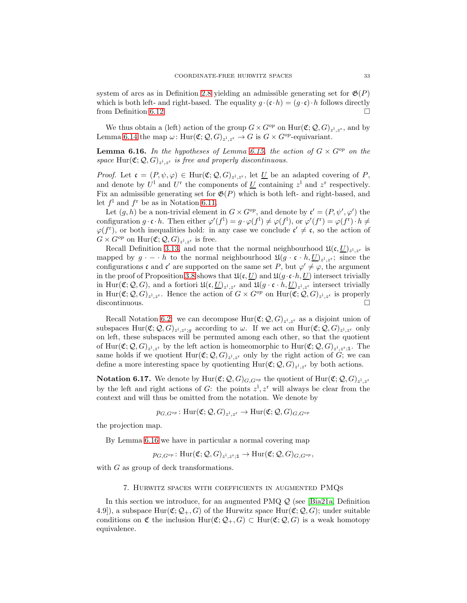<span id="page-32-2"></span>system of arcs as in Definition [2.8](#page-7-3) yielding an admissible generating set for  $\mathfrak{G}(P)$ which is both left- and right-based. The equality  $g \cdot (\mathfrak{c} \cdot h) = (g \cdot \mathfrak{c}) \cdot h$  follows directly from Definition 6.12. from Definition [6.12.](#page-30-4)

We thus obtain a (left) action of the group  $G \times G^{op}$  on  $\text{Hur}(\mathfrak{C}; \mathcal{Q}, G)_{z^1, z^r}$ , and by Lemma [6.14](#page-31-2) the map  $\omega$ : Hur $(\mathfrak{C}; \mathcal{Q}, G)_{z^1, z^r} \to G$  is  $G \times G^{op}$ -equivariant.

<span id="page-32-1"></span>**Lemma 6.16.** In the hypotheses of Lemma [6.15,](#page-31-3) the action of  $G \times G^{op}$  on the space  $\text{Hur}(\mathfrak{C}; \mathcal{Q}, G)_{z^1, z^r}$  is free and properly discontinuous.

*Proof.* Let  $\mathfrak{c} = (P, \psi, \varphi) \in \text{Hur}(\mathfrak{C}; \mathcal{Q}, G)_{z^1, z^r}$ , let <u>U</u> be an adapted covering of P, and denote by  $U^1$  and  $U^r$  the components of  $U$  containing  $z^1$  and  $z^r$  respectively. Fix an admissible generating set for  $\mathfrak{G}(P)$  which is both left- and right-based, and let  $f^1$  and  $f^r$  be as in Notation [6.11.](#page-30-2)

Let  $(g, h)$  be a non-trivial element in  $G \times G^{op}$ , and denote by  $\mathfrak{c}' = (P, \psi', \varphi')$  the configuration  $g \cdot \mathfrak{c} \cdot h$ . Then either  $\varphi'(f^1) = g \cdot \varphi(f^1) \neq \varphi(f^1)$ , or  $\varphi'(f^r) = \varphi(f^r) \cdot h \neq$  $\varphi(f^{\mathsf{r}})$ , or both inequalities hold: in any case we conclude  $\mathfrak{c}' \neq \mathfrak{c}$ , so the action of  $G \times G^{op}$  on  $\text{Hur}(\mathfrak{C}; \mathcal{Q}, G)_{z^1, z^r}$  is free.

Recall Definition [3.13,](#page-15-3) and note that the normal neighbourhood  $\mathfrak{U}(\mathfrak{c}, \underline{U})_{z^1, z^r}$  is mapped by  $g \cdot - \cdot h$  to the normal neighbourhood  $\mathfrak{U}(g \cdot \mathfrak{c} \cdot h, \underline{U})_{z^1, z^r}$ ; since the configurations c and c' are supported on the same set P, but  $\varphi' \neq \varphi$ , the argument in the proof of Proposition [3.8](#page-13-0) shows that  $\mathfrak{U}(\mathfrak{c}, \underline{U})$  and  $\mathfrak{U}(g \cdot \mathfrak{c} \cdot h, \underline{U})$  intersect trivially in Hur( $\mathfrak{C}; Q, G$ ), and a fortiori  $\mathfrak{U}(\mathfrak{c}, \underline{U})_{z^1, z^r}$  and  $\mathfrak{U}(g \cdot \mathfrak{c} \cdot h, \underline{U})_{z^1, z^r}$  intersect trivially in  $\text{Hur}(\mathfrak{C}; \mathcal{Q}, G)_{z^1, z^r}$ . Hence the action of  $G \times G^{op}$  on  $\text{Hur}(\mathfrak{C}; \mathcal{Q}, G)_{z^1, z^r}$  is properly discontinuous.

Recall Notation [6.2:](#page-27-3) we can decompose  $\text{Hur}(\mathfrak{C}; \mathcal{Q}, G)_{z^1, z^r}$  as a disjoint union of subspaces  $\text{Hur}(\mathfrak{C}; \mathcal{Q}, G)_{z^1, z^r; g}$  according to  $\omega$ . If we act on  $\text{Hur}(\mathfrak{C}; \mathcal{Q}, G)_{z^1, z^r}$  only on left, these subspaces will be permuted among each other, so that the quotient of Hur $(\mathfrak{C}; \mathcal{Q}, G)_{z^1, z^r}$  by the left action is homeomorphic to Hur $(\mathfrak{C}; \mathcal{Q}, G)_{z^1, z^r; \mathbf{1}}$ . The same holds if we quotient  $\text{Hur}(\mathfrak{C}; \mathcal{Q}, G)_{z^1, z^r}$  only by the right action of G; we can define a more interesting space by quotienting  $\text{Hur}(\mathfrak{C}; \mathcal{Q}, G)_{z^1, z^r}$  by both actions.

**Notation 6.17.** We denote by  $\text{Hur}(\mathfrak{C}; \mathcal{Q}, G)_{G, G^{op}}$  the quotient of  $\text{Hur}(\mathfrak{C}; \mathcal{Q}, G)_{z^1, z^r}$ by the left and right actions of G: the points  $z^1, z^r$  will always be clear from the context and will thus be omitted from the notation. We denote by

 $p_{G,G^{op}}\colon \mathrm{Hur}(\mathfrak{C};{\mathcal Q},G)_{z^1,z^r}\to \mathrm{Hur}(\mathfrak{C};{\mathcal Q},G)_{G,G^{op}}$ 

the projection map.

By Lemma [6.16](#page-32-1) we have in particular a normal covering map

 $p_{G,G^{op}}\colon \mathrm{Hur}(\mathfrak{C};{\mathcal Q},G)_{z^1,z^r;1}\to \mathrm{Hur}(\mathfrak{C};{\mathcal Q},G)_{G,G^{op}},$ 

<span id="page-32-0"></span>with G as group of deck transformations.

### 7. Hurwitz spaces with coefficients in augmented PMQs

In this section we introduce, for an augmented PMQ Q (see [\[Bia21a,](#page-56-0) Definition 4.9]), a subspace  $Hur(\mathfrak{C}; \mathcal{Q}_+, G)$  of the Hurwitz space  $Hur(\mathfrak{C}; \mathcal{Q}, G)$ ; under suitable conditions on  $\mathfrak C$  the inclusion  $\text{Hur}(\mathfrak C; \mathcal Q_+, G) \subset \text{Hur}(\mathfrak C; \mathcal Q, G)$  is a weak homotopy equivalence.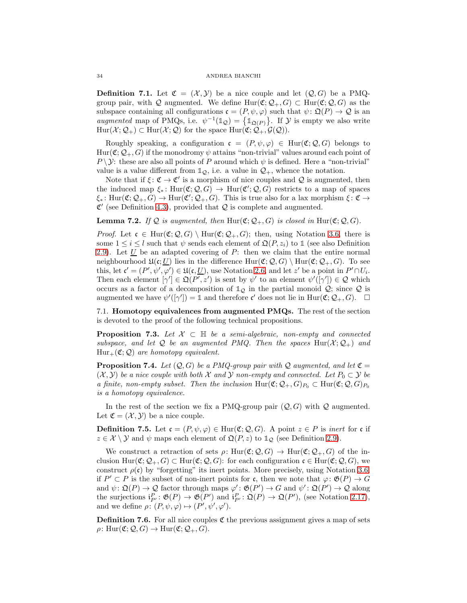#### 34 ANDREA BIANCHI

**Definition 7.1.** Let  $\mathfrak{C} = (\mathcal{X}, \mathcal{Y})$  be a nice couple and let  $(\mathcal{Q}, G)$  be a PMQgroup pair, with Q augmented. We define  $\text{Hur}(\mathfrak{C}; \mathcal{Q}_+, G) \subset \text{Hur}(\mathfrak{C}; \mathcal{Q}, G)$  as the subspace containing all configurations  $\mathfrak{c} = (P, \psi, \varphi)$  such that  $\psi \colon \mathfrak{Q}(P) \to \mathcal{Q}$  is an augmented map of PMQs, i.e.  $\psi^{-1}(\mathbb{1}_{\mathcal{Q}}) = \{\mathbb{1}_{\mathfrak{Q}(P)}\}$ . If  $\mathcal Y$  is empty we also write  $\text{Hur}(\mathcal{X}; \mathcal{Q}_+) \subset \text{Hur}(\mathcal{X}; \mathcal{Q})$  for the space  $\text{Hur}(\mathfrak{C}; \mathcal{Q}_+, \mathcal{G}(\mathcal{Q}))$ .

Roughly speaking, a configuration  $c = (P, \psi, \varphi) \in \text{Hur}(\mathfrak{C}; \mathcal{Q}, G)$  belongs to  $\text{Hur}(\mathfrak{C}; \mathcal{Q}_+, G)$  if the monodromy  $\psi$  attains "non-trivial" values around each point of P  $\setminus \mathcal{Y}$ : these are also all points of P around which  $\psi$  is defined. Here a "non-trivial" value is a value different from  $\mathbb{1}_{\mathcal{Q}}$ , i.e. a value in  $\mathcal{Q}_+$ , whence the notation.

Note that if  $\xi \colon \mathfrak{C} \to \mathfrak{C}'$  is a morphism of nice couples and  $\mathcal Q$  is augmented, then the induced map  $\xi_* \colon \text{Hur}(\mathfrak{C}; \mathcal{Q}, G) \to \text{Hur}(\mathfrak{C'}; \mathcal{Q}, G)$  restricts to a map of spaces  $\xi_*$ : Hur $(\mathfrak{C}; \mathcal{Q}_+, G) \to \text{Hur}(\mathfrak{C}'; \mathcal{Q}_+, G)$ . This is true also for a lax morphism  $\xi \colon \mathfrak{C} \to$  $\mathfrak{C}'$  (see Definition [4.3\)](#page-19-0), provided that  $\mathcal Q$  is complete and augmented.

**Lemma 7.2.** If Q is augmented, then  $Hur(\mathfrak{C}; \mathcal{Q}_+, G)$  is closed in  $Hur(\mathfrak{C}; \mathcal{Q}, G)$ .

*Proof.* Let  $\mathfrak{c} \in \text{Hur}(\mathfrak{C}; \mathcal{Q}, G) \setminus \text{Hur}(\mathfrak{C}; \mathcal{Q}_+, G);$  then, using Notation [3.6,](#page-13-2) there is some  $1 \leq i \leq l$  such that  $\psi$  sends each element of  $\mathfrak{Q}(P, z_i)$  to 1 (see also Definition [2.9\)](#page-8-2). Let  $U$  be an adapted covering of P: then we claim that the entire normal neighbourhood  $\mathfrak{U}(\mathfrak{c};\underline{U})$  lies in the difference  $\text{Hur}(\mathfrak{C};\mathcal{Q},G) \setminus \text{Hur}(\mathfrak{C};\mathcal{Q}_+,G)$ . To see this, let  $\mathfrak{c}' = (P', \psi', \varphi') \in \mathfrak{U}(\mathfrak{c}, \underline{U})$ , use Notation [2.6,](#page-6-4) and let z' be a point in  $P' \cap U_i$ . Then each element  $[\gamma'] \in \mathfrak{Q}(P', z')$  is sent by  $\psi'$  to an element  $\psi'([\gamma']) \in \mathcal{Q}$  which occurs as a factor of a decomposition of  $\mathbb{1}_{\mathcal{Q}}$  in the partial monoid  $\mathcal{Q}$ ; since  $\mathcal Q$  is augmented we have  $\psi'([\gamma']) = \mathbb{1}$  and therefore  $\mathfrak{c}'$  does not lie in Hur $(\mathfrak{C}; \mathcal{Q}_+, G)$ .  $\Box$ 

<span id="page-33-0"></span>7.1. Homotopy equivalences from augmented PMQs. The rest of the section is devoted to the proof of the following technical propositions.

<span id="page-33-1"></span>**Proposition 7.3.** Let  $X \subset \mathbb{H}$  be a semi-algebraic, non-empty and connected subspace, and let Q be an augmented PMQ. Then the spaces  $\text{Hur}(X; \mathcal{Q}_+)$  and  $Hur_+(\mathfrak{C};\mathcal{Q})$  are homotopy equivalent.

<span id="page-33-2"></span>**Proposition 7.4.** Let  $(Q, G)$  be a PMQ-group pair with Q augmented, and let  $\mathfrak{C} =$  $(\mathcal{X}, \mathcal{Y})$  be a nice couple with both X and Y non-empty and connected. Let  $P_0 \subset \mathcal{Y}$  be a finite, non-empty subset. Then the inclusion  $\text{Hur}(\mathfrak{C}; \mathcal{Q}_+, G)_{P_0} \subset \text{Hur}(\mathfrak{C}; \mathcal{Q}, G)_{P_0}$ is a homotopy equivalence.

In the rest of the section we fix a PMQ-group pair  $(Q, G)$  with  $Q$  augmented. Let  $\mathfrak{C} = (\mathcal{X}, \mathcal{Y})$  be a nice couple.

**Definition 7.5.** Let  $\mathfrak{c} = (P, \psi, \varphi) \in \text{Hur}(\mathfrak{C}; \mathcal{Q}, G)$ . A point  $z \in P$  is *inert* for c if  $z \in \mathcal{X} \setminus \mathcal{Y}$  and  $\psi$  maps each element of  $\mathfrak{Q}(P, z)$  to  $\mathbb{1}_{\mathcal{Q}}$  (see Definition [2.9\)](#page-8-2).

We construct a retraction of sets  $\rho: \text{Hur}(\mathfrak{C}; \mathcal{Q}, G) \to \text{Hur}(\mathfrak{C}; \mathcal{Q}_+, G)$  of the inclusion  $\text{Hur}(\mathfrak{C}; \mathcal{Q}_+, G) \subset \text{Hur}(\mathfrak{C}; \mathcal{Q}, G)$ : for each configuration  $\mathfrak{c} \in \text{Hur}(\mathfrak{C}; \mathcal{Q}, G)$ , we construct  $\rho(\mathfrak{c})$  by "forgetting" its inert points. More precisely, using Notation [3.6,](#page-13-2) if  $P' \subset P$  is the subset of non-inert points for c, then we note that  $\varphi \colon \mathfrak{G}(P) \to G$ and  $\psi \colon \mathfrak{Q}(P) \to \mathcal{Q}$  factor through maps  $\varphi' \colon \mathfrak{G}(P') \to G$  and  $\psi' \colon \mathfrak{Q}(P') \to \mathcal{Q}$  along the surjections  $i_{P'}^P: \mathfrak{G}(P) \to \mathfrak{G}(P')$  and  $i_{P'}^P: \mathfrak{Q}(P) \to \mathfrak{Q}(P')$ , (see Notation [2.17\)](#page-11-2), and we define  $\rho \colon (P, \psi, \varphi) \mapsto (P', \psi', \varphi').$ 

**Definition 7.6.** For all nice couples  $\mathfrak{C}$  the previous assignment gives a map of sets  $\rho: \text{Hur}(\mathfrak{C}; \mathcal{Q}, G) \to \text{Hur}(\mathfrak{C}; \mathcal{Q}_+, G).$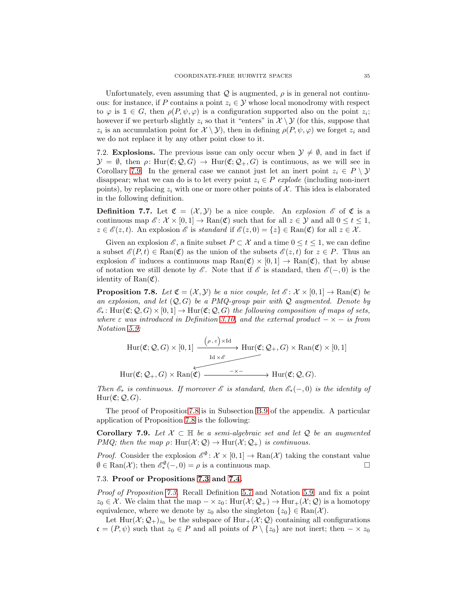Unfortunately, even assuming that  $\mathcal Q$  is augmented,  $\rho$  is in general not continuous: for instance, if P contains a point  $z_i \in \mathcal{Y}$  whose local monodromy with respect to  $\varphi$  is  $\mathbb{1} \in G$ , then  $\rho(P, \psi, \varphi)$  is a configuration supported also on the point  $z_i$ ; however if we perturb slightly  $z_i$  so that it "enters" in  $\mathcal{X} \setminus \mathcal{Y}$  (for this, suppose that  $z_i$  is an accumulation point for  $\mathcal{X} \setminus \mathcal{Y}$ , then in defining  $\rho(P, \psi, \varphi)$  we forget  $z_i$  and we do not replace it by any other point close to it.

<span id="page-34-0"></span>7.2. Explosions. The previous issue can only occur when  $\mathcal{Y} \neq \emptyset$ , and in fact if  $\mathcal{Y} = \emptyset$ , then  $\rho: \text{Hur}(\mathfrak{C}; \mathcal{Q}, G) \to \text{Hur}(\mathfrak{C}; \mathcal{Q}_+, G)$  is continuous, as we will see in Corollary [7.9.](#page-34-3) In the general case we cannot just let an inert point  $z_i \in P \setminus \mathcal{Y}$ disappear; what we can do is to let every point  $z_i \in P$  explode (including non-inert points), by replacing  $z_i$  with one or more other points of X. This idea is elaborated in the following definition.

<span id="page-34-4"></span>**Definition 7.7.** Let  $\mathfrak{C} = (\mathcal{X}, \mathcal{Y})$  be a nice couple. An explosion  $\mathcal{E}$  of  $\mathfrak{C}$  is a continuous map  $\mathscr{E} \colon \mathcal{X} \times [0,1] \to \text{Ran}(\mathfrak{C})$  such that for all  $z \in \mathcal{Y}$  and all  $0 \leq t \leq 1$ ,  $z \in \mathscr{E}(z, t)$ . An explosion  $\mathscr{E}$  is standard if  $\mathscr{E}(z, 0) = \{z\} \in \text{Ran}(\mathfrak{C})$  for all  $z \in \mathcal{X}$ .

Given an explosion  $\mathscr{E}$ , a finite subset  $P \subset \mathcal{X}$  and a time  $0 \le t \le 1$ , we can define a subset  $\mathscr{E}(P,t) \in \text{Ran}(\mathfrak{C})$  as the union of the subsets  $\mathscr{E}(z,t)$  for  $z \in P$ . Thus an explosion  $\mathscr E$  induces a continuous map  $\text{Ran}(\mathfrak{C}) \times [0,1] \to \text{Ran}(\mathfrak{C})$ , that by abuse of notation we still denote by  $\mathscr E$ . Note that if  $\mathscr E$  is standard, then  $\mathscr E(-,0)$  is the identity of  $\text{Ran}(\mathfrak{C})$ .

<span id="page-34-2"></span>**Proposition 7.8.** Let  $\mathfrak{C} = (\mathcal{X}, \mathcal{Y})$  be a nice couple, let  $\mathcal{E}: \mathcal{X} \times [0, 1] \to \text{Ran}(\mathfrak{C})$  be an explosion, and let  $(Q, G)$  be a PMQ-group pair with Q augmented. Denote by  $\mathscr{E}_*$ : Hur( $\mathfrak{C}; Q, G$ ) × [0, 1]  $\rightarrow$  Hur( $\mathfrak{C}; Q, G$ ) the following composition of maps of sets, where  $\varepsilon$  was introduced in Definition [3.10,](#page-14-1) and the external product  $-\times -i$  is from Notation [5.9:](#page-25-2)

$$
\text{Hur}(\mathfrak{C};\mathcal{Q},G)\times[0,1]\xrightarrow{\begin{array}{c}\begin{array}{c}\begin{smallmatrix}\begin{smallmatrix}\end{smallmatrix}\\ \end{array}\end{array}}{\text{Hur}(\mathfrak{C};\mathcal{Q}_+,G)\times\text{Ran}(\mathfrak{C})\times[0,1]\end{array}}\end{array}}\text{Hur}(\mathfrak{C};\mathcal{Q}_+,G)\times\text{Ran}(\mathfrak{C})\times[0,1]
$$
\n
$$
\text{Hur}(\mathfrak{C};\mathcal{Q}_+,G)\times\text{Ran}(\mathfrak{C})\xrightarrow{\begin{array}{c}\begin{smallmatrix}\begin{smallmatrix}\end{smallmatrix}\\ \end{smallmatrix}\end{array}}\end{array}}\text{Hur}(\mathfrak{C};\mathcal{Q},G).
$$

Then  $\mathscr{E}_*$  is continuous. If moreover  $\mathscr{E}$  is standard, then  $\mathscr{E}_*(-,0)$  is the identity of  $Hur(\mathfrak{C}; \mathcal{Q}, G).$ 

The proof of Propositio[n7.8](#page-34-2) is in Subsection [B.9](#page-53-0) of the appendix. A particular application of Proposition [7.8](#page-34-2) is the following:

<span id="page-34-3"></span>Corollary 7.9. Let  $X \subset \mathbb{H}$  be a semi-algebraic set and let Q be an augmented PMQ; then the map  $\rho: \text{Hur}(\mathcal{X}; \mathcal{Q}) \to \text{Hur}(\mathcal{X}; \mathcal{Q}_+)$  is continuous.

*Proof.* Consider the explosion  $\mathscr{E}^{\emptyset}$ :  $\mathcal{X} \times [0,1] \to \text{Ran}(\mathcal{X})$  taking the constant value  $\emptyset \in \text{Ran}(\mathcal{X})$ ; then  $\mathscr{E}_{*}^{\emptyset}(-,0) = \rho$  is a continuous map.

# <span id="page-34-1"></span>7.3. Proof or Propositions [7.3](#page-33-1) and [7.4.](#page-33-2)

Proof of Proposition [7.3.](#page-33-1) Recall Definition [5.7](#page-25-1) and Notation [5.9,](#page-25-2) and fix a point  $z_0 \in \mathcal{X}$ . We claim that the map  $-\times z_0$ : Hur $(\mathcal{X}; \mathcal{Q}_+) \to$  Hur $_+(\mathcal{X}; \mathcal{Q})$  is a homotopy equivalence, where we denote by  $z_0$  also the singleton  $\{z_0\} \in \text{Ran}(\mathcal{X})$ .

Let Hur $(\mathcal{X}; \mathcal{Q}_+)_{z_0}$  be the subspace of Hur<sub>+</sub>( $\mathcal{X}; \mathcal{Q}$ ) containing all configurations  $\mathfrak{c} = (P, \psi)$  such that  $z_0 \in P$  and all points of  $P \setminus \{z_0\}$  are not inert; then  $-\times z_0$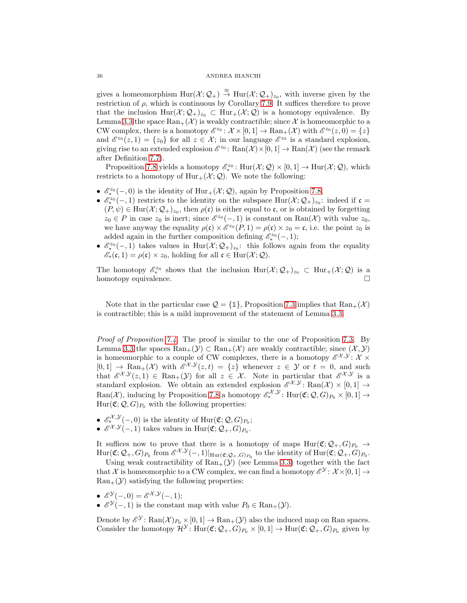### 36 ANDREA BIANCHI

gives a homeomorphism  $\text{Hur}(\mathcal{X};\mathcal{Q}_+) \stackrel{\cong}{\to} \text{Hur}(\mathcal{X};\mathcal{Q}_+)_{z_0}$ , with inverse given by the restriction of  $\rho$ , which is continuous by Corollary [7.9.](#page-34-3) It suffices therefore to prove that the inclusion  $\text{Hur}(\mathcal{X};\mathcal{Q}_+)_{z_0} \subset \text{Hur}_+(\mathcal{X};\mathcal{Q})$  is a homotopy equivalence. By Lemma [3.3](#page-12-4) the space  $\text{Ran}_+(\mathcal{X})$  is weakly contractible; since X is homeomorphic to a CW complex, there is a homotopy  $\mathscr{E}^{z_0}$ :  $\mathcal{X} \times [0,1] \to \text{Ran}_+(\mathcal{X})$  with  $\mathscr{E}^{z_0}(z,0) = \{z\}$ and  $\mathscr{E}^{z_0}(z,1) = \{z_0\}$  for all  $z \in \mathcal{X}$ ; in our language  $\mathscr{E}^{z_0}$  is a standard explosion, giving rise to an extended explosion  $\mathscr{E}^{z_0}$ :  $\text{Ran}(\mathcal{X}) \times [0, 1] \to \text{Ran}(\mathcal{X})$  (see the remark after Definition [7.7\)](#page-34-4).

Proposition [7.8](#page-34-2) yields a homotopy  $\mathscr{E}_*^{z_0}$ :  $\text{Hur}(\mathcal{X};\mathcal{Q})\times[0,1]\to\text{Hur}(\mathcal{X};\mathcal{Q})$ , which restricts to a homotopy of  $\text{Hur}_+(\mathcal{X}; \mathcal{Q})$ . We note the following:

- $e_{\ast}^{\infty}(-,0)$  is the identity of  $Hur_+(\mathcal{X};\mathcal{Q})$ , again by Proposition [7.8;](#page-34-2)
- $e_{*0}^{z_0}(-,1)$  restricts to the identity on the subspace Hur( $\chi$ ;  $Q_{+}$ )<sub>z0</sub>: indeed if  $\mathfrak{c} =$  $(P, \psi) \in \text{Hur}(\mathcal{X}; \mathcal{Q}_+)_{z_0}$ , then  $\rho(\mathfrak{c})$  is either equal to  $\mathfrak{c}$ , or is obtained by forgetting  $z_0 \in P$  in case  $z_0$  is inert; since  $\mathscr{E}^{z_0}(-,1)$  is constant on  $\text{Ran}(\mathcal{X})$  with value  $z_0$ , we have anyway the equality  $\rho(\mathfrak{c}) \times \mathcal{E}^{z_0}(P, 1) = \rho(\mathfrak{c}) \times z_0 = \mathfrak{c}$ , i.e. the point  $z_0$  is added again in the further composition defining  $e^{2z_0}(-,1);$
- $\mathcal{E}^{z_0}_{*}(-,1)$  takes values in  $\text{Hur}(\mathcal{X}; \mathcal{Q}_+)_{z_0}$ : this follows again from the equality  $\mathscr{E}_*(\mathfrak{c}, 1) = \rho(\mathfrak{c}) \times z_0$ , holding for all  $\mathfrak{c} \in \text{Hur}(\mathcal{X}; \mathcal{Q})$ .

The homotopy  $\mathscr{E}_*^{z_0}$  shows that the inclusion  $\text{Hur}(\mathcal{X};\mathcal{Q}_+)_{z_0} \subset \text{Hur}_+(\mathcal{X};\mathcal{Q})$  is a homotopy equivalence.

Note that in the particular case  $\mathcal{Q} = \{\mathbb{1}\}\$ , Proposition [7.3](#page-33-1) implies that  $\text{Ran}_+(\mathcal{X})$ is contractible; this is a mild improvement of the statement of Lemma [3.3.](#page-12-4)

Proof of Proposition [7.4.](#page-33-2) The proof is similar to the one of Proposition [7.3.](#page-33-1) By Lemma [3.3](#page-12-4) the spaces  $\text{Ran}_+(\mathcal{Y}) \subset \text{Ran}_+(\mathcal{X})$  are weakly contractible; since  $(\mathcal{X}, \mathcal{Y})$ is homeomorphic to a couple of CW complexes, there is a homotopy  $\mathscr{E}^{\mathcal{X}, \mathcal{Y}}$ :  $\mathcal{X} \times$  $[0,1] \rightarrow \text{Ran}_+(\mathcal{X})$  with  $\mathscr{E}^{\mathcal{X},\mathcal{Y}}(z,t) = \{z\}$  whenever  $z \in \mathcal{Y}$  or  $t = 0$ , and such that  $\mathscr{E}^{\mathcal{X},\mathcal{Y}}(z,1) \in \operatorname{Ran}_+(\mathcal{Y})$  for all  $z \in \mathcal{X}$ . Note in particular that  $\mathscr{E}^{\mathcal{X},\mathcal{Y}}$  is a standard explosion. We obtain an extended explosion  $\mathscr{E}^{\mathcal{X}, \mathcal{Y}}$ : Ran $(\mathcal{X}) \times [0, 1] \rightarrow$  $\text{Ran}(\mathcal{X})$ , inducing by Proposition [7.8](#page-34-2) a homotopy  $\mathscr{E}_*^{\mathcal{X}, \mathcal{Y}}$ :  $\text{Hur}(\mathfrak{C}; \mathcal{Q}, G)_{P_0} \times [0, 1] \rightarrow$  $Hur(\mathfrak{C};\mathcal{Q},G)_{P_0}$  with the following properties:

- $\mathscr{E}_*^{\mathcal{X}, \mathcal{Y}}(-,0)$  is the identity of  $\text{Hur}(\mathfrak{C}; \mathcal{Q}, G)_{P_0};$
- $\mathscr{E}^{\mathcal{X}, \mathcal{Y}}(-, 1)$  takes values in  $\text{Hur}(\mathfrak{C}; \mathcal{Q}_+, G)_{P_0}$ .

It suffices now to prove that there is a homotopy of maps  $Hur(\mathfrak{C}; \mathcal{Q}_+, G)_{P_0} \to$  $\text{Hur}(\mathfrak{C}; \mathcal{Q}_+, G)_{P_0}$  from  $\mathscr{E}^{\mathcal{X}, \mathcal{Y}}(-, 1)|_{\text{Hur}(\mathfrak{C}; \mathcal{Q}_+, G)_{P_0}}$  to the identity of  $\text{Hur}(\mathfrak{C}; \mathcal{Q}_+, G)_{P_0}$ .

Using weak contractibility of  $\text{Ran}_+(\mathcal{Y})$  (see Lemma [3.3\)](#page-12-4) together with the fact that X is homeomorphic to a CW complex, we can find a homotopy  $\mathscr{E}^{\mathcal{Y}}\colon \mathcal{X} \times [0,1] \to \mathcal{Y}$  $\text{Ran}_+(\mathcal{Y})$  satisfying the following properties:

- $\mathscr{E}^{\mathcal{Y}}(-,0) = \mathscr{E}^{\mathcal{X},\mathcal{Y}}(-,1);$
- $\mathscr{E}^{\mathcal{Y}}(-,1)$  is the constant map with value  $P_0 \in \text{Ran}_+(\mathcal{Y})$ .

Denote by  $\mathscr{E}^{\mathcal{Y}}$ : Ran $(\mathcal{X})_{P_0} \times [0, 1] \to \text{Ran}_+(\mathcal{Y})$  also the induced map on Ran spaces. Consider the homotopy  $\mathcal{H}^{\mathcal{Y}}$ : Hur $(\mathfrak{C}; \mathcal{Q}_+, G)_{P_0} \times [0, 1] \to \text{Hur}(\mathfrak{C}; \mathcal{Q}_+, G)_{P_0}$  given by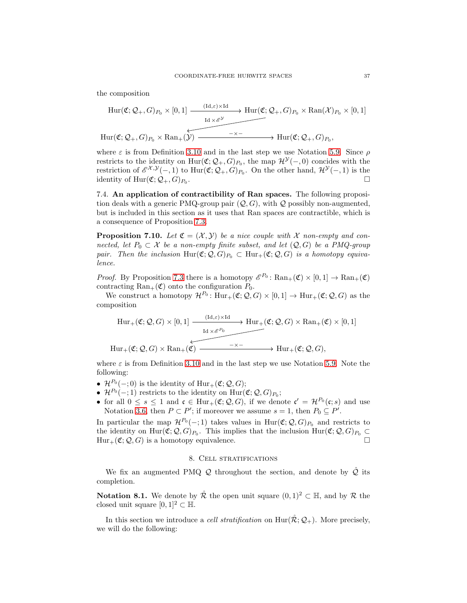the composition

$$
\text{Hur}(\mathfrak{C};\mathcal{Q}_+,G)_{P_0}\times[0,1]\xrightarrow{\text{Idx}(\mathfrak{C};\mathcal{Q}_+,G)_{P_0}\times\text{Ran}(\mathcal{X})_{P_0}\times[0,1]}
$$
\n
$$
\text{Hur}(\mathfrak{C};\mathcal{Q}_+,G)_{P_0}\times\text{Ran}_+(\mathcal{Y})\xrightarrow{\qquad \qquad \text{Aux}} \text{Hur}(\mathfrak{C};\mathcal{Q}_+,G)_{P_0}\times\text{Ran}_+(\mathcal{Y})\xrightarrow{\qquad \qquad \text{Aux}} \text{Hur}(\mathfrak{C};\mathcal{Q}_+,G)_{P_0},
$$

where  $\varepsilon$  is from Definition [3.10](#page-14-1) and in the last step we use Notation [5.9.](#page-25-2) Since  $\rho$ restricts to the identity on  $\text{Hur}(\mathfrak{C}; \mathcal{Q}_+, G)_{P_0}$ , the map  $\mathcal{H}^{\mathcal{Y}}(-, 0)$  concides with the restriction of  $\mathscr{E}^{X,Y}(-,1)$  to  $\text{Hur}(\mathfrak{C};\mathcal{Q}_+,G)_{P_0}$ . On the other hand,  $\mathcal{H}^{Y}(-,1)$  is the identity of  $\text{Hur}(\mathfrak{C}; \mathcal{Q}_+, G)_{P_0}$ . .

<span id="page-36-1"></span>7.4. An application of contractibility of Ran spaces. The following proposition deals with a generic PMQ-group pair  $(Q, G)$ , with Q possibly non-augmented, but is included in this section as it uses that Ran spaces are contractible, which is a consequence of Proposition [7.3.](#page-33-1)

**Proposition 7.10.** Let  $\mathfrak{C} = (\mathcal{X}, \mathcal{Y})$  be a nice couple with X non-empty and connected, let  $P_0 \subset \mathcal{X}$  be a non-empty finite subset, and let  $(Q, G)$  be a PMQ-group pair. Then the inclusion  $\text{Hur}(\mathfrak{C}; Q, G)_{P_0} \subset \text{Hur}_+(\mathfrak{C}; Q, G)$  is a homotopy equivalence.

*Proof.* By Proposition [7.3](#page-33-1) there is a homotopy  $\mathscr{E}^{P_0}$ :  $\text{Ran}_+(\mathfrak{C}) \times [0,1] \to \text{Ran}_+(\mathfrak{C})$ contracting  $\text{Ran}_+(\mathfrak{C})$  onto the configuration  $P_0$ .

We construct a homotopy  $\mathcal{H}^{P_0}$ :  $\text{Hur}_+(\mathfrak{C}; \mathcal{Q}, G) \times [0, 1] \to \text{Hur}_+(\mathfrak{C}; \mathcal{Q}, G)$  as the composition

$$
\text{Hur}_{+}(\mathfrak{C}; Q, G) \times [0, 1] \xrightarrow{\text{Id}_{\mathfrak{C}} \otimes \text{Kd}_{\mathfrak{C}}} \text{Hur}_{+}(\mathfrak{C}; Q, G) \times \text{Ran}_{+}(\mathfrak{C}) \times [0, 1]
$$
\n
$$
\text{Hur}_{+}(\mathfrak{C}; Q, G) \times \text{Ran}_{+}(\mathfrak{C}) \xrightarrow{\text{Id}_{\mathfrak{C}} \otimes \text{Kd}_{\mathfrak{C}}} \text{Hur}_{+}(\mathfrak{C}; Q, G),
$$

where  $\varepsilon$  is from Definition [3.10](#page-14-1) and in the last step we use Notation [5.9.](#page-25-2) Note the following:

- $\mathcal{H}^{P_0}(-;0)$  is the identity of  $\text{Hur}_+(\mathfrak{C};\mathcal{Q},G);$
- $\mathcal{H}^{P_0}(-;1)$  restricts to the identity on  $\text{Hur}(\mathfrak{C}; \mathcal{Q}, G)_{P_0};$
- for all  $0 \leq s \leq 1$  and  $\mathfrak{c} \in \text{Hur}_+(\mathfrak{C}; \mathcal{Q}, G)$ , if we denote  $\mathfrak{c}' = \mathcal{H}^{P_0}(\mathfrak{c}; s)$  and use Notation [3.6,](#page-13-2) then  $P \subset P'$ ; if moreover we assume  $s = 1$ , then  $P_0 \subseteq P'$ .

In particular the map  $\mathcal{H}^{P_0}(-;1)$  takes values in Hur $(\mathfrak{C}; \mathcal{Q}, G)_{P_0}$  and restricts to the identity on  $\text{Hur}(\mathfrak{C}; \mathcal{Q}, G)_{P_0}$ . This implies that the inclusion  $\text{Hur}(\mathfrak{C}; \mathcal{Q}, G)_{P_0} \subset$  $Hur_+(\mathfrak{C}; \mathcal{Q}, G)$  is a homotopy equivalence.

### 8. Cell stratifications

<span id="page-36-0"></span>We fix an augmented PMQ  $Q$  throughout the section, and denote by  $\overline{Q}$  its completion.

**Notation 8.1.** We denote by  $\mathcal{R}$  the open unit square  $(0, 1)^2 \subset \mathbb{H}$ , and by  $\mathcal{R}$  the closed unit square  $[0, 1]^2 \subset \mathbb{H}$ .

In this section we introduce a *cell stratification* on  $\text{Hur}(\mathcal{R}; \mathcal{Q}_+)$ . More precisely, we will do the following: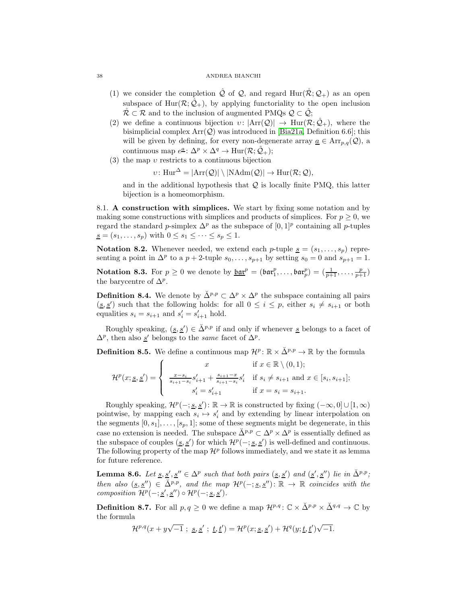#### <span id="page-37-4"></span>38 ANDREA BIANCHI

- (1) we consider the completion  $\mathcal Q$  of  $\mathcal Q$ , and regard Hur( $\mathcal R; \mathcal Q_+$ ) as an open subspace of Hur( $\mathcal{R}; \mathcal{Q}_+$ ), by applying functoriality to the open inclusion  $\mathcal{R} \subset \mathcal{R}$  and to the inclusion of augmented PMQs  $\mathcal{Q} \subset \hat{\mathcal{Q}}$ ;
- (2) we define a continuous bijection  $v: |Arr(Q)| \rightarrow Hur(R; \hat{Q}_+)$ , where the bisimplicial complex  $Arr(Q)$  was introduced in [\[Bia21a,](#page-56-0) Definition 6.6]; this will be given by defining, for every non-degenerate array  $\underline{a} \in \text{Arr}_{p,q}(\mathcal{Q})$ , a continuous map  $e^{\underline{a}}$ :  $\Delta^p \times \Delta^q \to \text{Hur}(\mathcal{R}; \hat{\mathcal{Q}}_+)$ ;
- (3) the map  $v$  restricts to a continuous bijection

 $v: \text{Hur}^{\Delta} = |\text{Arr}(\mathcal{Q})| \setminus |\text{NAdm}(\mathcal{Q})| \to \text{Hur}(\mathcal{R}; \mathcal{Q}),$ 

and in the additional hypothesis that  $\mathcal Q$  is locally finite PMQ, this latter bijection is a homeomorphism.

<span id="page-37-0"></span>8.1. A construction with simplices. We start by fixing some notation and by making some constructions with simplices and products of simplices. For  $p \geq 0$ , we regard the standard p-simplex  $\Delta^p$  as the subspace of  $[0,1]^p$  containing all p-tuples  $s = (s_1, \ldots, s_p)$  with  $0 \leq s_1 \leq \cdots \leq s_p \leq 1$ .

**Notation 8.2.** Whenever needed, we extend each p-tuple  $\underline{s} = (s_1, \ldots, s_p)$  representing a point in  $\Delta^p$  to a  $p + 2$ -tuple  $s_0, \ldots, s_{p+1}$  by setting  $s_0 = 0$  and  $s_{p+1} = 1$ .

<span id="page-37-2"></span>**Notation 8.3.** For  $p \ge 0$  we denote by  $\underline{\mathfrak{bar}}^p = (\mathfrak{bar}_1^p, \ldots, \mathfrak{bar}_p^p) = (\frac{1}{p+1}, \ldots, \frac{p}{p+1})$ the barycentre of  $\Delta^p$ .

<span id="page-37-3"></span>**Definition 8.4.** We denote by  $\check{\Delta}^{p,p} \subset \Delta^p \times \Delta^p$  the subspace containing all pairs  $(s, s')$  such that the following holds: for all  $0 \leq i \leq p$ , either  $s_i \neq s_{i+1}$  or both equalities  $s_i = s_{i+1}$  and  $s'_i = s'_{i+1}$  hold.

Roughly speaking,  $(\underline{s}, \underline{s}') \in \check{\Delta}^{p,p}$  if and only if whenever <u>s</u> belongs to a facet of  $\Delta^p$ , then also <u>s'</u> belongs to the *same* facet of  $\Delta^p$ .

**Definition 8.5.** We define a continuous map  $\mathcal{H}^p : \mathbb{R} \times \check{\Delta}^{p,p} \to \mathbb{R}$  by the formula

$$
\mathcal{H}^{p}(x; \underline{s}, \underline{s}') = \begin{cases} x & \text{if } x \in \mathbb{R} \setminus (0, 1); \\ \frac{x - s_{i}}{s_{i+1} - s_{i}} s'_{i+1} + \frac{s_{i+1} - x}{s_{i+1} - s_{i}} s'_{i} & \text{if } s_{i} \neq s_{i+1} \text{ and } x \in [s_{i}, s_{i+1}]; \\ s'_{i} = s'_{i+1} & \text{if } x = s_{i} = s_{i+1}. \end{cases}
$$

Roughly speaking,  $\mathcal{H}^p(-; \underline{s}, \underline{s}') : \mathbb{R} \to \mathbb{R}$  is constructed by fixing  $(-\infty, 0] \cup [1, \infty)$ pointwise, by mapping each  $s_i \mapsto s'_i$  and by extending by linear interpolation on the segments  $[0, s_1], \ldots, [s_p, 1]$ ; some of these segments might be degenerate, in this case no extension is needed. The subspace  $\check{\Delta}^{p,p} \subset \Delta^p \times \Delta^p$  is essentially defined as the subspace of couples  $(s, s')$  for which  $\mathcal{H}^p(-; s, s')$  is well-defined and continuous. The following property of the map  $\mathcal{H}^p$  follows immediately, and we state it as lemma for future reference.

<span id="page-37-1"></span>**Lemma 8.6.** Let <u>s</u>,  $\underline{s}'$ , <u>s'</u>  $\in \Delta^p$  such that both pairs  $(\underline{s}, \underline{s}')$  and  $(\underline{s}', \underline{s}'')$  lie in  $\Delta^{p,p}$ ; then also  $(s, s'') \in \check{\Delta}^{p,p}$ , and the map  $\mathcal{H}^p(-; s, s'') : \mathbb{R} \to \mathbb{R}$  coincides with the composition  $\mathcal{H}^p(-; \underline{s}', \underline{s}'') \circ \mathcal{H}^p(-; \underline{s}, \underline{s}')$ .

**Definition 8.7.** For all  $p, q \geq 0$  we define a map  $\mathcal{H}^{p,q} \colon \mathbb{C} \times \mathbb{Z}^{p,p} \times \mathbb{Z}^{q,q} \to \mathbb{C}$  by the formula

$$
\mathcal{H}^{p,q}(x+y\sqrt{-1} \ ; \ \underline{s},\underline{s}' \ ; \ \underline{t},\underline{t}') = \mathcal{H}^p(x;\underline{s},\underline{s}') + \mathcal{H}^q(y;\underline{t},\underline{t}')\sqrt{-1}.
$$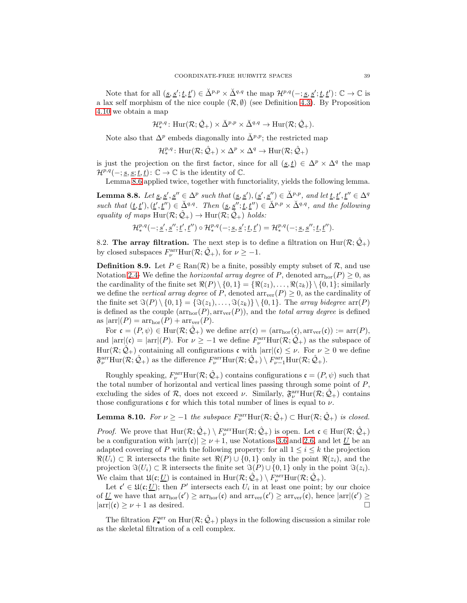Note that for all  $(\underline{s}, \underline{s}'; \underline{t}, \underline{t}') \in \check{\Delta}^{p,p} \times \check{\Delta}^{q,q}$  the map  $\mathcal{H}^{p,q}(-; \underline{s}, \underline{s}'; \underline{t}, \underline{t}') : \mathbb{C} \to \mathbb{C}$  is a lax self morphism of the nice couple  $(\mathcal{R}, \emptyset)$  (see Definition [4.3\)](#page-19-0). By Proposition [4.10](#page-22-3) we obtain a map

$$
\mathcal{H}^{p,q}_* \colon \mathrm{Hur}(\mathcal{R};\hat{\mathcal{Q}}_+) \times \check{\Delta}^{p,p} \times \check{\Delta}^{q,q} \to \mathrm{Hur}(\mathcal{R};\hat{\mathcal{Q}}_+).
$$

Note also that  $\Delta^p$  embeds diagonally into  $\check{\Delta}^{p,p}$ ; the restricted map

 $\mathcal{H}^{p,q}_* \colon \text{Hur}(\mathcal{R};\hat{\mathcal{Q}}_+) \times \Delta^p \times \Delta^q \to \text{Hur}(\mathcal{R};\hat{\mathcal{Q}}_+)$ 

is just the projection on the first factor, since for all  $(s, t) \in \Delta^p \times \Delta^q$  the map  $\mathcal{H}^{p,q}(-; \underline{s}, \underline{s}; \underline{t}, \underline{t})$ :  $\mathbb{C} \to \mathbb{C}$  is the identity of  $\mathbb{C}$ .

Lemma [8.6](#page-37-1) applied twice, together with functoriality, yields the following lemma.

<span id="page-38-1"></span>**Lemma 8.8.** Let <u>s</u>, <u>s'</u>, <u>s''</u>  $\in \Delta^p$  such that  $(\underline{s}, \underline{s}')$ ,  $(\underline{s}', \underline{s}'') \in \Delta^{p,p}$ , and let  $\underline{t}, \underline{t}', \underline{t}'' \in \Delta^q$ such that  $(\underline{t}, \underline{t}'), (\underline{t}', \underline{t}'') \in \underline{\check{\Delta}}^{q,q}$ . Then  $(\underline{s}, \underline{s}''; \underline{t}, \underline{t}'') \in \underline{\check{\Delta}}^{p,p} \times \underline{\check{\Delta}}^{q,q}$ , and the following equality of maps  $\text{Hur}(\mathcal{R}; \hat{\mathcal{Q}}_+) \to \text{Hur}(\mathcal{R}; \hat{\mathcal{Q}}_+)$  holds:

$$
\mathcal{H}^{p,q}_*(-; \underline{s}', \underline{s}''; \underline{t}', \underline{t}'') \circ \mathcal{H}^{p,q}_*(-; \underline{s}, \underline{s}'; \underline{t}, \underline{t}') = \mathcal{H}^{p,q}_*(-; \underline{s}, \underline{s}''; \underline{t}, \underline{t}'').
$$

<span id="page-38-0"></span>8.2. The array filtration. The next step is to define a filtration on  $\text{Hur}(\mathcal{R}; \mathcal{Q}_+)$ by closed subspaces  $F_{\nu}^{\text{arr}}\text{Hur}(\mathcal{R};\hat{\mathcal{Q}}_+)$ , for  $\nu \geq -1$ .

**Definition 8.9.** Let  $P \in \text{Ran}(\mathcal{R})$  be a finite, possibly empty subset of  $\mathcal{R}$ , and use Notation [2.4-](#page-6-2) We define the *horizontal array degree* of P, denoted  $arr<sub>hor</sub>(P) \ge 0$ , as the cardinality of the finite set  $\Re(P) \setminus \{0,1\} = \{\Re(z_1), \ldots, \Re(z_k)\} \setminus \{0,1\}$ ; similarly we define the *vertical array degree* of P, denoted  $\arccurner(r) \geq 0$ , as the cardinality of the finite set  $\Im(P) \setminus \{0, 1\} = \{\Im(z_1), \ldots, \Im(z_k)\} \setminus \{0, 1\}$ . The array bidegree arr $(P)$ is defined as the couple  $(\arctan(T), \arctan(T))$ , and the *total array degree* is defined as  $|\arr| (P) = \arr_{hor}(P) + \arr_{ver}(P)$ .

For  $\mathfrak{c} = (P, \psi) \in \text{Hur}(\mathcal{R}; \hat{\mathcal{Q}}_+)$  we define  $\text{arr}(\mathfrak{c}) = (\text{arr}_{\text{hor}}(\mathfrak{c}), \text{arr}_{\text{ver}}(\mathfrak{c})) := \text{arr}(P)$ , and  $|\arr|(\mathfrak{c}) = |\arr|(P)$ . For  $\nu \geq -1$  we define  $F_{\nu}^{\text{arr}}\text{Hur}(\mathcal{R}; \hat{\mathcal{Q}}_{+})$  as the subspace of Hur( $\mathcal{R}; \hat{\mathcal{Q}}_+$ ) containing all configurations c with  $|\text{arr}|(c) \leq \nu$ . For  $\nu \geq 0$  we define  $\mathfrak{F}_{\nu}^{\text{arr}}\text{Hur}(\mathcal{R};\hat{\mathcal{Q}}_+)$  as the difference  $F_{\nu}^{\text{arr}}\text{Hur}(\mathcal{R};\hat{\mathcal{Q}}_+) \setminus F_{\nu-1}^{\text{arr}}\text{Hur}(\mathcal{R};\hat{\mathcal{Q}}_+).$ 

Roughly speaking,  $F_{\nu}^{\text{arr}}\text{Hur}(\mathcal{R};\hat{\mathcal{Q}}_+)$  contains configurations  $\mathfrak{c} = (P,\psi)$  such that the total number of horizontal and vertical lines passing through some point of  $P$ , excluding the sides of  $\mathcal{R}$ , does not exceed  $\nu$ . Similarly,  $\mathfrak{F}^{\text{arr}}_{\nu}\text{Hur}(\mathcal{R};\hat{\mathcal{Q}}_+)$  contains those configurations  $\mathfrak c$  for which this total number of lines is equal to  $\nu$ .

**Lemma 8.10.** For  $\nu \ge -1$  the subspace  $F_{\nu}^{\text{arr}}\text{Hur}(\mathcal{R}; \hat{\mathcal{Q}}_{+}) \subset \text{Hur}(\mathcal{R}; \hat{\mathcal{Q}}_{+})$  is closed.

*Proof.* We prove that  $\text{Hur}(\mathcal{R}; \hat{\mathcal{Q}}_+) \setminus F^{\text{arr}}_{\nu} \text{Hur}(\mathcal{R}; \hat{\mathcal{Q}}_+)$  is open. Let  $\mathfrak{c} \in \text{Hur}(\mathcal{R}; \hat{\mathcal{Q}}_+)$ be a configuration with  $|\ar(c)| \geq \nu + 1$ , use Notations [3.6](#page-13-2) and [2.6,](#page-6-4) and let U be an adapted covering of P with the following property: for all  $1 \leq i \leq k$  the projection  $\Re(U_i) \subset \mathbb{R}$  intersects the finite set  $\Re(P) \cup \{0,1\}$  only in the point  $\Re(z_i)$ , and the projection  $\Im(U_i) \subset \mathbb{R}$  intersects the finite set  $\Im(P) \cup \{0,1\}$  only in the point  $\Im(z_i)$ . We claim that  $\mathfrak{U}(\mathfrak{c}; \underline{U})$  is contained in  $\text{Hur}(\mathcal{R}; \hat{\mathcal{Q}}_+) \setminus F^{\text{arr}}_{\nu} \text{Hur}(\mathcal{R}; \hat{\mathcal{Q}}_+).$ 

Let  $\mathfrak{c}' \in \mathfrak{U}(\mathfrak{c}; \underline{U})$ ; then P' intersects each  $U_i$  in at least one point; by our choice of U we have that  $arr<sub>hor</sub>(c') \geq arr<sub>hor</sub>(c)$  and  $arr<sub>ver</sub>(c') \geq arr<sub>ver</sub>(c)$ , hence  $|arr|(c') \geq$  $|\arr(c) \geq \nu + 1$  as desired.

The filtration  $F^{\text{arr}}_{\bullet}$  on  $\text{Hur}(\mathcal{R}; \hat{\mathcal{Q}}_{+})$  plays in the following discussion a similar role as the skeletal filtration of a cell complex.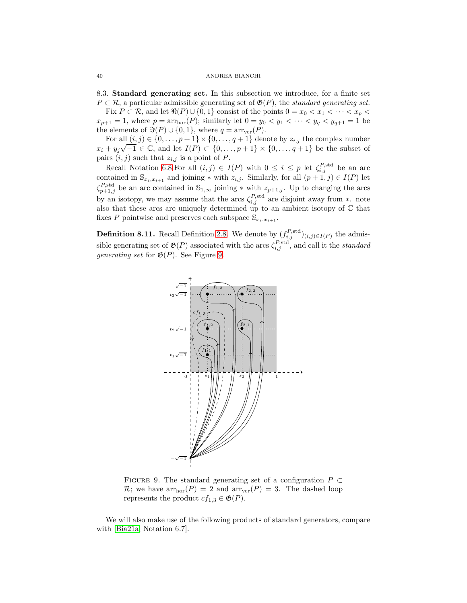8.3. Standard generating set. In this subsection we introduce, for a finite set  $P \subset \mathcal{R}$ , a particular admissible generating set of  $\mathfrak{G}(P)$ , the *standard generating set*.

Fix  $P \subset \mathcal{R}$ , and let  $\Re(P) \cup \{0,1\}$  consist of the points  $0 = x_0 < x_1 < \cdots < x_p <$  $x_{p+1} = 1$ , where  $p = \arctan{P}$ ; similarly let  $0 = y_0 < y_1 < \cdots < y_q < y_{q+1} = 1$  be the elements of  $\Im(P) \cup \{0,1\}$ , where  $q = \ar{r_{ver}(P)}$ .

For all  $(i, j) \in \{0, \ldots, p + 1\} \times \{0, \ldots, q + 1\}$  denote by  $z_{i,j}$  the complex number  $x_i + y_j \sqrt{-1} \in \mathbb{C}$ , and let  $I(P) \subset \{0, \ldots, p+1\} \times \{0, \ldots, q+1\}$  be the subset of pairs  $(i, j)$  such that  $z_{i,j}$  is a point of P.

Recall Notation [6.8.](#page-29-4) For all  $(i, j) \in I(P)$  with  $0 \leq i \leq p$  let  $\zeta_{i,j}^{P, \text{std}}$  be an arc contained in  $\mathbb{S}_{x_i,x_{i+1}}$  and joining  $*$  with  $z_{i,j}$ . Similarly, for all  $(p+1,j) \in I(P)$  let  $\zeta_{p+1,j}^{P,\text{std}}$  be an arc contained in  $\mathbb{S}_{1,\infty}$  joining  $*$  with  $z_{p+1,j}$ . Up to changing the arcs by an isotopy, we may assume that the arcs  $\zeta_{i,j}^{P,\text{std}}$  are disjoint away from ∗. note also that these arcs are uniquely determined up to an ambient isotopy of C that fixes P pointwise and preserves each subspace  $\mathbb{S}_{x_i,x_{i+1}}$ .

<span id="page-39-2"></span>**Definition 8.11.** Recall Definition [2.8.](#page-7-3) We denote by  $(f_{i,j}^{P,\text{std}})_{(i,j)\in I(P)}$  the admissible generating set of  $\mathfrak{G}(P)$  associated with the arcs  $\zeta_{i,j}^{P, \text{std}}$ , and call it the *standard* generating set for  $\mathfrak{G}(P)$ . See Figure [9.](#page-39-1)



<span id="page-39-1"></span>FIGURE 9. The standard generating set of a configuration  $P \subset$  $\mathcal{R}$ ; we have  $arr<sub>hor</sub>(P) = 2$  and  $arr<sub>ver</sub>(P) = 3$ . The dashed loop represents the product  $cf_{1,3} \in \mathfrak{G}(P)$ .

We will also make use of the following products of standard generators, compare with [\[Bia21a,](#page-56-0) Notation 6.7].

<span id="page-39-3"></span><span id="page-39-0"></span>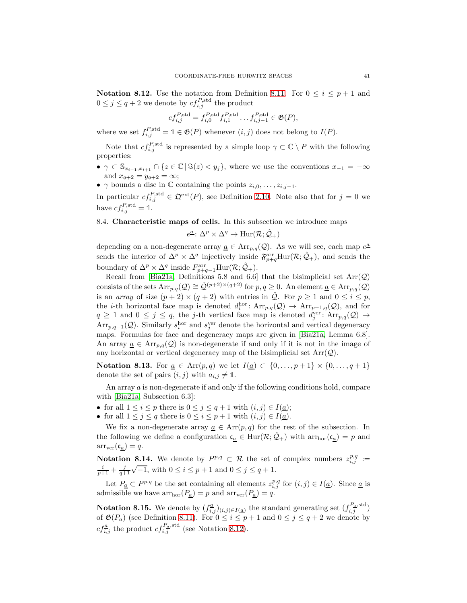<span id="page-40-4"></span><span id="page-40-1"></span>**Notation 8.12.** Use the notation from Definition [8.11.](#page-39-2) For  $0 \le i \le p+1$  and  $0 \leq j \leq q+2$  we denote by  $cf_{i,j}^{P, \text{std}}$  the product

$$
cf_{i,j}^{P,\text{std}} = f_{i,0}^{P,\text{std}} f_{i,1}^{P,\text{std}} \dots f_{i,j-1}^{P,\text{std}} \in \mathfrak{G}(P),
$$

where we set  $f_{i,j}^{P,\text{std}} = \mathbb{1} \in \mathfrak{G}(P)$  whenever  $(i, j)$  does not belong to  $I(P)$ .

Note that  $cf_{i,j}^{P,\text{std}}$  is represented by a simple loop  $\gamma \subset \mathbb{C} \setminus P$  with the following properties:

- $\gamma \subset \mathbb{S}_{x_{i-1},x_{i+1}} \cap \{z \in \mathbb{C} \mid \Im(z) < y_j\}$ , where we use the conventions  $x_{-1} = -\infty$ and  $x_{q+2} = y_{q+2} = \infty$ ;
- $\gamma$  bounds a disc in  $\mathbb C$  containing the points  $z_{i,0}, \ldots, z_{i,j-1}$ .

In particular  $cf_{i,j}^{P,\text{std}} \in \mathfrak{Q}^{\text{ext}}(P)$ , see Definition [2.10.](#page-8-3) Note also that for  $j=0$  we have  $cf_{i,j}^{P,\text{std}} = \mathbb{1}.$ 

<span id="page-40-0"></span>8.4. Characteristic maps of cells. In this subsection we introduce maps

$$
e^{\underline{a}}\colon \Delta^p \times \Delta^q \to \text{Hur}(\mathcal{R}; \hat{\mathcal{Q}}_+)
$$

depending on a non-degenerate array  $\underline{a} \in \text{Arr}_{p,q}(\mathcal{Q})$ . As we will see, each map  $e^{\underline{a}}$ sends the interior of  $\Delta^p \times \Delta^q$  injectively inside  $\mathfrak{F}_{p+q}^{\text{arr}}\text{Hur}(\mathcal{R};\hat{\mathcal{Q}}_+)$ , and sends the boundary of  $\Delta^p \times \Delta^q$  inside  $F_{p+q-1}^{\text{arr}}$  Hur $(\mathcal{R}; \hat{\mathcal{Q}}_+)$ .

Recall from [\[Bia21a,](#page-56-0) Definitions 5.8 and 6.6] that the bisimplicial set  $Arr(Q)$ consists of the sets  $Arr_{p,q}(Q) \cong \hat{Q}^{(p+2)\times(q+2)}$  for  $p,q\geq 0$ . An element  $\underline{a} \in Arr_{p,q}(Q)$ is an array of size  $(p+2) \times (q+2)$  with entries in  $\hat{Q}$ . For  $p \geq 1$  and  $0 \leq i \leq p$ , the *i*-th horizontal face map is denoted  $d_i^{\text{hor}}$ :  $Arr_{p,q}(Q) \rightarrow Arr_{p-1,q}(Q)$ , and for  $q \geq 1$  and  $0 \leq j \leq q$ , the j-th vertical face map is denoted  $d_j^{\text{ver}}$ :  $\text{Arr}_{p,q}(Q) \to$  $Arr_{p,q-1}(Q)$ . Similarly  $s_i^{\text{hor}}$  and  $s_j^{\text{ver}}$  denote the horizontal and vertical degeneracy maps. Formulas for face and degeneracy maps are given in [\[Bia21a,](#page-56-0) Lemma 6.8]. An array  $\underline{a} \in \text{Arr}_{p,q}(\mathcal{Q})$  is non-degenerate if and only if it is not in the image of any horizontal or vertical degeneracy map of the bisimplicial set  $Arr(Q)$ .

Notation 8.13. For  $\underline{a} \in \text{Arr}(p,q)$  we let  $I(\underline{a}) \subset \{0,\ldots,p+1\} \times \{0,\ldots,q+1\}$ denote the set of pairs  $(i, j)$  with  $a_{i,j} \neq \mathbb{1}$ .

An array a is non-degenerate if and only if the following conditions hold, compare with [\[Bia21a,](#page-56-0) Subsection 6.3]:

- for all  $1 \leq i \leq p$  there is  $0 \leq j \leq q+1$  with  $(i, j) \in I(\underline{a})$ ;
- for all  $1 \leq j \leq q$  there is  $0 \leq i \leq p+1$  with  $(i, j) \in I(\underline{a})$ .

We fix a non-degenerate array  $\underline{a} \in \text{Arr}(p, q)$  for the rest of the subsection. In the following we define a configuration  $\mathfrak{c}_{\underline{a}} \in \text{Hur}(\mathcal{R}; \mathcal{Q}_+)$  with  $\arctan(\mathfrak{c}_{\underline{a}}) = p$  and  $arr_{ver}(\mathfrak{c}_a) = q.$ 

<span id="page-40-2"></span>**Notation 8.14.** We denote by  $P^{p,q} \subset \mathcal{R}$  the set of complex numbers  $z_{i,j}^{p,q} :=$  $\frac{i}{p+1} + \frac{j}{q+1}\sqrt{-1}$ , with  $0 \le i \le p+1$  and  $0 \le j \le q+1$ .

Let  $P_{\underline{a}} \subset P^{p,q}$  be the set containing all elements  $z_{i,j}^{p,q}$  for  $(i,j) \in I(\underline{a})$ . Since  $\underline{a}$  is admissible we have  $arr<sub>hor</sub>(P_a) = p$  and  $arr<sub>ver</sub>(P_a) = q$ .

<span id="page-40-3"></span>**Notation 8.15.** We denote by  $(f_{i,j}^{\underline{a}})_{(i,j)\in I(\underline{a})}$  the standard generating set  $(f_{i,j}^{\underline{P}_{\underline{a}}, \text{std}})$ of  $\mathfrak{G}(P_{\underline{a}})$  (see Definition [8.11\)](#page-39-2). For  $0 \leq i \leq p+1$  and  $0 \leq j \leq q+2$  we denote by  $cf_{i,j}^{\underline{a}}$  the product  $cf_{i,j}^{P_{\underline{a}},\text{std}}$  (see Notation [8.12\)](#page-40-1).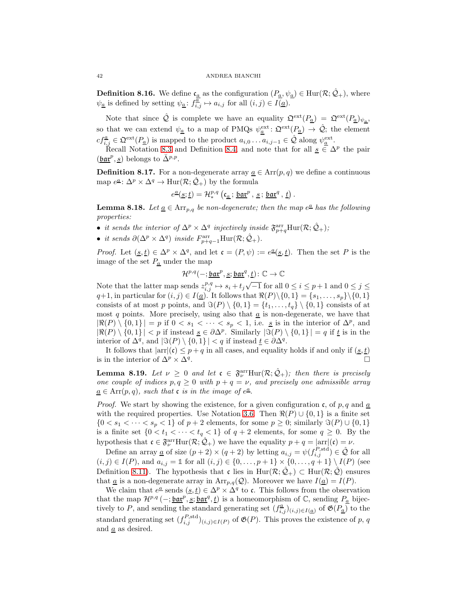<span id="page-41-1"></span>**Definition 8.16.** We define  $c_a$  as the configuration  $(P_a, \psi_a) \in \text{Hur}(\mathcal{R}; \mathcal{Q}_+)$ , where  $\psi_{\underline{a}}$  is defined by setting  $\psi_{\underline{a}}: f^{\overline{\underline{a}}}_{i,j} \mapsto a_{i,j}$  for all  $(i,j) \in I(\underline{a})$ .

Note that since  $\hat{Q}$  is complete we have an equality  $\mathfrak{Q}^{\text{ext}}(P_{\underline{a}}) = \mathfrak{Q}^{\text{ext}}(P_{\underline{a}})_{\psi_{\underline{a}}},$ so that we can extend  $\psi_{\underline{a}}$  to a map of PMQs  $\psi_{\underline{a}}^{\text{ext}}\colon \mathfrak{Q}^{\text{ext}}(P_{\underline{a}}) \to \hat{\mathcal{Q}}$ ; the element  $cf_{i,j}^{\underline{a}} \in \mathfrak{Q}^{\text{ext}}(P_{\underline{a}})$  is mapped to the product  $a_{i,0} \ldots a_{i,j-1} \in \hat{\mathcal{Q}}$  along  $\psi_{\underline{a}}^{\text{ext}}$ .

Recall Notation [8.3](#page-37-2) and Definition [8.4,](#page-37-3) and note that for all  $s \in \Delta^p$  the pair  $(\underline{\mathfrak{bar}}^p, \underline{s})$  belongs to  $\check{\Delta}^{p,p}$ .

**Definition 8.17.** For a non-degenerate array  $\underline{a} \in \text{Arr}(p, q)$  we define a continuous map  $e^{\underline{a}}$ :  $\Delta^p \times \Delta^q \to \text{Hur}(\mathcal{R}; \hat{\mathcal{Q}}_+)$  by the formula

$$
e^{\underline{a}}(\underline{s};\underline{t})=\mathcal{H}^{p,q}_*\left(\mathfrak{c}_{\underline{a}}\,;\,\underline{\mathfrak{bar}}^p\,,\,\underline{s}\,;\,\underline{\mathfrak{bar}}^q\,,\,\underline{t}\right).
$$

<span id="page-41-0"></span>**Lemma 8.18.** Let  $\underline{a} \in \text{Arr}_{p,q}$  be non-degenerate; then the map  $e^{\underline{a}}$  has the following properties:

- it sends the interior of  $\Delta^p \times \Delta^q$  injectively inside  $\mathfrak{F}^{\text{arr}}_{p+q}$ Hur $(\mathcal{R}; \hat{\mathcal{Q}}_+)$ ;
- it sends  $\partial(\Delta^p \times \Delta^q)$  inside  $F_{p+q-1}^{\text{arr}}$ Hur $(\mathcal{R}; \hat{\mathcal{Q}}_+)$ .

*Proof.* Let  $(\underline{s}, \underline{t}) \in \Delta^p \times \Delta^q$ , and let  $\mathfrak{c} = (P, \psi) := e^{\underline{a}}(\underline{s}, \underline{t})$ . Then the set P is the image of the set  $P_a$  under the map

$$
\mathcal{H}^{p,q}(-;\underline{\mathfrak{bar}}^p,\underline{s};\underline{\mathfrak{bar}}^q,\underline{t})\colon\mathbb{C}\to\mathbb{C}
$$

Note that the latter map sends  $z_{i,j}^{p,q} \mapsto s_i + t_j \sqrt{-1}$  for all  $0 \le i \le p+1$  and  $0 \le j \le n$  $q+1$ , in particular for  $(i, j) \in I(\underline{a})$ . It follows that  $\Re(P) \setminus \{0, 1\} = \{s_1, \ldots, s_p\} \setminus \{0, 1\}$ consists of at most p points, and  $\Im(P) \setminus \{0,1\} = \{t_1, \ldots, t_q\} \setminus \{0,1\}$  consists of at most q points. More precisely, using also that  $\underline{a}$  is non-degenerate, we have that  $|\Re(P) \setminus \{0,1\}| = p$  if  $0 < s_1 < \cdots < s_p < 1$ , i.e. <u>s</u> is in the interior of  $\Delta^p$ , and  $|\Re(P) \setminus \{0,1\}| < p$  if instead  $\underline{s} \in \partial \Delta^p$ . Similarly  $|\Im(P) \setminus \{0,1\}| = q$  if  $\underline{t}$  is in the interior of  $\Delta^q$ , and  $|\Im(P) \setminus \{0,1\}| < q$  if instead  $\underline{t} \in \partial \Delta^q$ .

It follows that  $|\text{arr}|(c) \leq p + q$  in all cases, and equality holds if and only if  $(\underline{s}, \underline{t})$ <br>in the interior of  $\Delta^p \times \Delta^q$ . is in the interior of  $\Delta^p \times \Delta^q$ . .

<span id="page-41-2"></span>**Lemma 8.19.** Let  $\nu \geq 0$  and let  $\mathfrak{c} \in \mathfrak{F}_{\nu}^{\text{arr}}\text{Hur}(\mathcal{R}; \hat{\mathcal{Q}}_+)$ ; then there is precisely one couple of indices  $p, q \geq 0$  with  $p + q = \nu$ , and precisely one admissible array  $\underline{a} \in \text{Arr}(p, q)$ , such that **c** is in the image of  $e^{\underline{a}}$ .

*Proof.* We start by showing the existence, for a given configuration c, of p, q and  $\underline{a}$ with the required properties. Use Notation [3.6.](#page-13-2) Then  $\Re(P) \cup \{0,1\}$  is a finite set  ${0 < s_1 < \cdots < s_p < 1}$  of  $p + 2$  elements, for some  $p \geq 0$ ; similarly  $\Im(P) \cup \{0, 1\}$ is a finite set  $\{0 < t_1 < \cdots < t_q < 1\}$  of  $q + 2$  elements, for some  $q \geq 0$ . By the hypothesis that  $\mathfrak{c} \in \mathfrak{F}^{\text{arr}}_{\nu} \text{Hur}(\mathcal{R}; \hat{\mathcal{Q}}_{+})$  we have the equality  $p + q = |\text{arr}|(\mathfrak{c}) = \nu$ .

Define an array <u>a</u> of size  $(p+2) \times (q+2)$  by letting  $a_{i,j} = \psi(f_{i,j}^{P,\text{std}}) \in \hat{\mathcal{Q}}$  for all  $(i, j) \in I(P)$ , and  $a_{i,j} = \mathbb{1}$  for all  $(i, j) \in \{0, ..., p + 1\} \times \{0, ..., q + 1\} \setminus I(P)$  (see Definition [8.11\)](#page-39-2). The hypothesis that c lies in  $\text{Hur}(\mathcal{R};\mathcal{Q}_+) \subset \text{Hur}(\mathcal{R};\mathcal{Q})$  ensures that  $\underline{a}$  is a non-degenerate array in Arr<sub>p,q</sub>( $\underline{Q}$ ). Moreover we have  $I(\underline{a}) = I(P)$ .

We claim that  $e^{\underline{a}}$  sends  $(\underline{s}, \underline{t}) \in \Delta^p \times \Delta^q$  to  $\mathfrak{c}$ . This follows from the observation that the map  $\mathcal{H}^{p,q}(-; \underline{\mathfrak{bar}}^p, \underline{s}; \underline{\mathfrak{bar}}^q, \underline{t})$  is a homeomorphism of  $\mathbb{C}$ , sending  $P_{\underline{a}}$  bijectively to P, and sending the standard generating set  $(f_{i,j}^{\underline{a}})_{(i,j)\in I(\underline{a})}$  of  $\mathfrak{G}(P_{\underline{a}})$  to the standard generating set  $(f_{i,j}^{P,\text{std}})_{(i,j)\in I(P)}$  of  $\mathfrak{G}(P)$ . This proves the existence of p, q and  $\underline{a}$  as desired.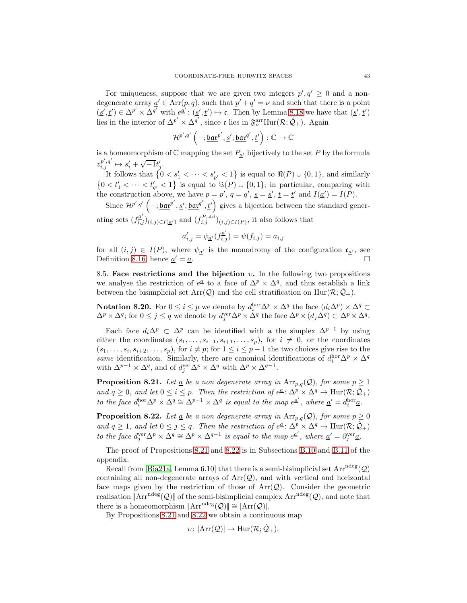<span id="page-42-4"></span>For uniqueness, suppose that we are given two integers  $p', q' \geq 0$  and a nondegenerate array  $\underline{a}' \in \text{Arr}(p, q)$ , such that  $p' + q' = \nu$  and such that there is a point  $(\underline{s}', \underline{t}') \in \Delta^{p'} \times \Delta^{q'}$  with  $e^{\underline{a}'} : (\underline{s}', \underline{t}') \mapsto \mathfrak{c}$ . Then by Lemma [8.18](#page-41-0) we have that  $(\underline{s}', \underline{t}')$ lies in the interior of  $\Delta^{p'} \times \Delta^{q'}$ , since c lies in  $\mathfrak{F}_{\nu}^{\text{arr}}\text{Hur}(\mathcal{R};\hat{\mathcal{Q}}_+)$ . Again

$$
\mathcal{H}^{p',q'}\left(-;\underline{\mathtt{bar}}^{p'},\underline{s'};\underline{\mathtt{bar}}^{q'},\underline{t'}\right):\mathbb{C}\to\mathbb{C}
$$

is a homeomorphism of  $\mathbb C$  mapping the set  $P_{\underline{a'}}$  bijectively to the set P by the formula  $z_{i,j}^{p',q'} \mapsto s_i' + \sqrt{-1}t_j'.$ 

It follows that  $\{0 \lt s_1' \lt \cdots \lt s_{p'}' \lt 1\}$  is equal to  $\Re(P) \cup \{0,1\}$ , and similarly  $\{0 < t'_1 < \cdots < t'_{q'} < 1\}$  is equal to  $\Im(P) \cup \{0, 1\}$ ; in particular, comparing with the construction above, we have  $p = p'$ ,  $q = q'$ ,  $s = s'$ ,  $t = t'$  and  $I(\underline{a}') = I(P)$ .

Since  $\mathcal{H}^{p',q'}\left(-;\underline{\mathfrak{bar}v'}',\underline{s'};\underline{\mathfrak{bar}v'}',\underline{t'}\right)$  gives a bijection between the standard generating sets  $(f_{i,j}^{a'})_{(i,j)\in I(\underline{a'})}$  and  $(f_{i,j}^{P,\text{std}})_{(i,j)\in I(P)}$ , it also follows that

$$
a'_{i,j}=\psi_{\underline{a}'}(f_{i,j}^{\underline{a}'})=\psi(f_{i,j})=a_{i,j}
$$

for all  $(i, j) \in I(P)$ , where  $\psi_{\underline{\alpha'}}$  is the monodromy of the configuration  $\mathfrak{c}_{\underline{\alpha'}}$ , see<br>Definition 8.16; hence  $a' = a$ Definition [8.16;](#page-41-1) hence  $\underline{a}' = \underline{a}$ .  $\alpha' = \underline{a}.$ 

<span id="page-42-0"></span>8.5. Face restrictions and the bijection  $v$ . In the following two propositions we analyse the restriction of  $e^{\underline{a}}$  to a face of  $\Delta^p \times \Delta^q$ , and thus establish a link between the bisimplicial set  $Arr(Q)$  and the cell stratification on  $Hur(R; \hat{Q}_+)$ .

<span id="page-42-3"></span>**Notation 8.20.** For  $0 \le i \le p$  we denote by  $d_i^{\text{hor}} \Delta^p \times \Delta^q$  the face  $(d_i \Delta^p) \times \Delta^q \subset \Delta^q$  $\Delta^p \times \Delta^q$ ; for  $0 \leq j \leq q$  we denote by  $d_j^{\text{ver}} \Delta^p \times \Delta^q$  the face  $\Delta^p \times (d_j \Delta^q) \subset \Delta^p \times \Delta^q$ .

Each face  $d_i \Delta^p \subset \Delta^p$  can be identified with a the simplex  $\Delta^{p-1}$  by using either the coordinates  $(s_1, \ldots, s_{i-1}, s_{i+1}, \ldots, s_p)$ , for  $i \neq 0$ , or the coordinates  $(s_1, \ldots, s_i, s_{i+2}, \ldots, s_p)$ , for  $i \neq p$ ; for  $1 \leq i \leq p-1$  the two choices give rise to the same identification. Similarly, there are canonical identifications of  $d_i^{\text{hor}} \Delta^p \times \Delta^q$ with  $\Delta^{p-1} \times \Delta^q$ , and of  $d_j^{\text{ver}} \Delta^p \times \Delta^q$  with  $\Delta^p \times \Delta^{q-1}$ .

<span id="page-42-1"></span>**Proposition 8.21.** Let <u>a</u> be a non degenerate array in  $Arr_{p,q}(Q)$ , for some  $p \ge 1$ and  $q \geq 0$ , and let  $0 \leq i \leq p$ . Then the restriction of  $e^{\underline{a}}$ :  $\Delta^p \times \Delta^q \to \text{Hur}(\mathcal{R}; \hat{\mathcal{Q}}_+)$ to the face  $d_i^{\text{hor}} \Delta^p \times \Delta^q \cong \Delta^{p-1} \times \Delta^q$  is equal to the map  $e^{\underline{a}'}$ , where  $\underline{a}' = d_i^{\text{hor}} \underline{a}$ .

<span id="page-42-2"></span>**Proposition 8.22.** Let <u>a</u> be a non degenerate array in  $Arr_{p,q}(Q)$ , for some  $p \ge 0$ and  $q \geq 1$ , and let  $0 \leq j \leq q$ . Then the restriction of  $e^{\underline{a}} \colon \Delta^p \times \Delta^q \to \text{Hur}(\mathcal{R}; \hat{\mathcal{Q}}_+)$ to the face  $d_j^{\text{ver}} \Delta^p \times \Delta^q \cong \Delta^p \times \Delta^{q-1}$  is equal to the map  $e^{\underline{a}'}$ , where  $\underline{a}' = \partial_j^{\text{ver}} \underline{a}$ .

The proof of Propositions [8.21](#page-42-1) and [8.22](#page-42-2) is in Subsections [B.10](#page-54-0) and [B.11](#page-55-0) of the appendix.

Recall from [\[Bia21a,](#page-56-0) Lemma 6.10] that there is a semi-bisimplicial set  $Arr^{ndeg}(\mathcal{Q})$ containing all non-degenerate arrays of  $Arr(Q)$ , and with vertical and horizontal face maps given by the restriction of those of  $Arr(Q)$ . Consider the geometric realisation  $\Vert \text{Arr}^{\text{ndeg}}(\mathcal{Q}) \Vert$  of the semi-bisimplicial complex  $\text{Arr}^{\text{ndeg}}(\mathcal{Q})$ , and note that there is a homeomorphism  $\|\text{Arr}^{\text{ndeg}}(\mathcal{Q})\| \cong |\text{Arr}(\mathcal{Q})|$ .

By Propositions [8.21](#page-42-1) and [8.22](#page-42-2) we obtain a continuous map

$$
\upsilon\colon |\mathrm{Arr}(\mathcal{Q})|\to \mathrm{Hur}(\mathcal{R};\hat{\mathcal{Q}}_+).
$$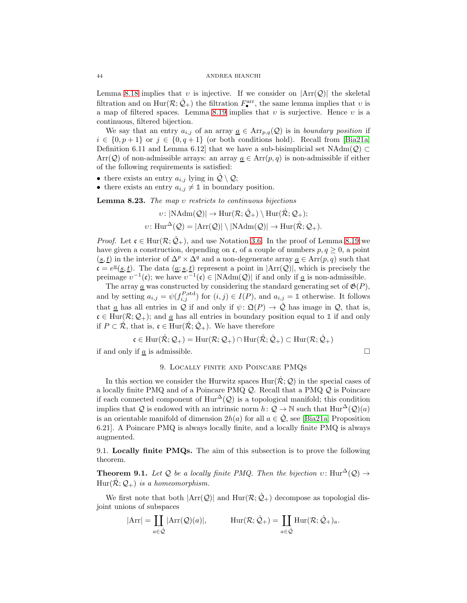<span id="page-43-3"></span>Lemma [8.18](#page-41-0) implies that v is injective. If we consider on  $|\text{Arr}(\mathcal{Q})|$  the skeletal filtration and on  $\text{Hur}(\mathcal{R}; \hat{\mathcal{Q}}_+)$  the filtration  $F^{\text{arr}}_{\bullet}$ , the same lemma implies that  $v$  is a map of filtered spaces. Lemma [8.19](#page-41-2) implies that  $v$  is surjective. Hence  $v$  is a continuous, filtered bijection.

We say that an entry  $a_{i,j}$  of an array  $\underline{a} \in \text{Arr}_{p,q}(\mathcal{Q})$  is in boundary position if  $i \in \{0, p+1\}$  or  $j \in \{0, q+1\}$  (or both conditions hold). Recall from [\[Bia21a,](#page-56-0) Definition 6.11 and Lemma 6.12] that we have a sub-bisimplicial set  $NAdm(Q) \subset$ Arr(Q) of non-admissible arrays: an array  $\underline{a} \in \text{Arr}(p,q)$  is non-admissible if either of the following requirements is satisfied:

- there exists an entry  $a_{i,j}$  lying in  $\mathcal{Q} \setminus \mathcal{Q}$ ;
- there exists an entry  $a_{i,j} \neq \mathbb{1}$  in boundary position.

Lemma 8.23. The map υ restricts to continuous bijections

$$
v: |\text{NAdm}(\mathcal{Q})| \to \text{Hur}(\mathcal{R}; \hat{\mathcal{Q}}_+) \setminus \text{Hur}(\mathcal{R}; \mathcal{Q}_+);
$$
  

$$
v: \text{Hur}^{\Delta}(\mathcal{Q}) = |\text{Arr}(\mathcal{Q})| \setminus |\text{NAdm}(\mathcal{Q})| \to \text{Hur}(\mathcal{R}; \mathcal{Q}_+).
$$

*Proof.* Let  $\mathfrak{c} \in \text{Hur}(\mathcal{R}; \mathcal{Q}_+)$ , and use Notation [3.6.](#page-13-2) In the proof of Lemma [8.19](#page-41-2) we have given a construction, depending on c, of a couple of numbers  $p, q \geq 0$ , a point  $(\underline{s}, \underline{t})$  in the interior of  $\Delta^p \times \Delta^q$  and a non-degenerate array  $\underline{a} \in \text{Arr}(p, q)$  such that  $\mathfrak{c} = e^{\underline{a}}(\underline{s}, \underline{t})$ . The data  $(\underline{a}; \underline{s}, \underline{t})$  represent a point in  $|\text{Arr}(\mathcal{Q})|$ , which is precisely the preimage  $v^{-1}(\mathfrak{c})$ ; we have  $v^{-1}(\mathfrak{c}) \in |\text{NAdm}(\mathcal{Q})|$  if and only if <u>a</u> is non-admissible.

The array  $\underline{a}$  was constructed by considering the standard generating set of  $\mathfrak{G}(P)$ , and by setting  $a_{i,j} = \psi(f_{i,j}^{P,\text{std}})$  for  $(i,j) \in I(P)$ , and  $a_{i,j} = \mathbb{1}$  otherwise. It follows that <u>a</u> has all entries in Q if and only if  $\psi \colon \mathfrak{Q}(P) \to \hat{\mathcal{Q}}$  has image in Q, that is,  $c \in Hur(\mathcal{R}; \mathcal{Q}_+)$ ; and <u>a</u> has all entries in boundary position equal to 1 if and only if  $P \subset \mathcal{R}$ , that is,  $\mathfrak{c} \in \text{Hur}(\mathcal{R}; \hat{Q}_+)$ . We have therefore

$$
\mathfrak{c}\in\mathrm{Hur}(\mathring{\mathcal{R}};\mathcal{Q}_+)=\mathrm{Hur}(\mathcal{R};\mathcal{Q}_+)\cap\mathrm{Hur}(\mathring{\mathcal{R}};\hat{\mathcal{Q}}_+)\subset\mathrm{Hur}(\mathcal{R};\hat{\mathcal{Q}}_+)
$$

<span id="page-43-1"></span>if and only if  $\underline{a}$  is admissible.

$$
\qquad \qquad \Box
$$

# 9. Locally finite and Poincare PMQs

In this section we consider the Hurwitz spaces  $\text{Hur}(\mathcal{R};\mathcal{Q})$  in the special cases of a locally finite PMQ and of a Poincare PMQ Q. Recall that a PMQ Q is Poincare if each connected component of  $\text{Hur}^{\Delta}(\mathcal{Q})$  is a topological manifold; this condition implies that Q is endowed with an intrinsic norm  $h: \mathcal{Q} \to \mathbb{N}$  such that  $\text{Hur}^{\Delta}(\mathcal{Q})(a)$ is an orientable manifold of dimension  $2h(a)$  for all  $a \in \hat{Q}$ , see [\[Bia21a,](#page-56-0) Proposition 6.21]. A Poincare PMQ is always locally finite, and a locally finite PMQ is always augmented.

<span id="page-43-2"></span>9.1. Locally finite PMQs. The aim of this subsection is to prove the following theorem.

<span id="page-43-0"></span>**Theorem 9.1.** Let Q be a locally finite PMQ. Then the bijection  $v: \text{Hur}^{\Delta}(\mathcal{Q}) \rightarrow$  $Hur(\mathcal{R};\mathcal{Q}_+)$  is a homeomorphism.

We first note that both  $|\text{Arr}(\mathcal{Q})|$  and  $\text{Hur}(\mathcal{R}; \hat{\mathcal{Q}}_+)$  decompose as topologial disjoint unions of subspaces

$$
|\mathrm{Arr}| = \coprod_{a \in \hat{\mathcal{Q}}} |\mathrm{Arr}(\mathcal{Q})(a)|, \qquad \mathrm{Hur}(\mathcal{R}; \hat{\mathcal{Q}}_+) = \coprod_{a \in \hat{\mathcal{Q}}} \mathrm{Hur}(\mathcal{R}; \hat{\mathcal{Q}}_+)_a.
$$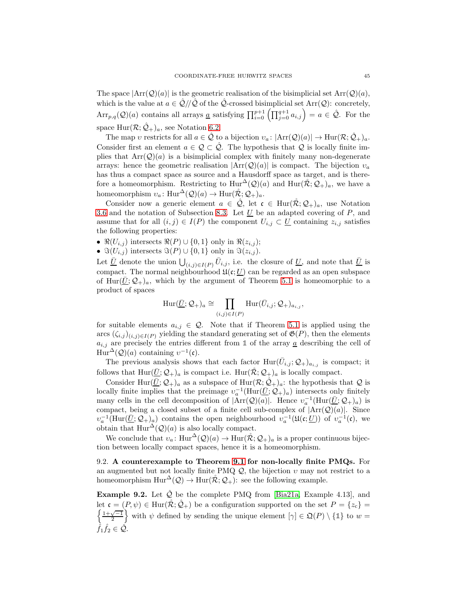<span id="page-44-2"></span>The space  $|\text{Arr}(\mathcal{Q})(a)|$  is the geometric realisation of the bisimplicial set  $\text{Arr}(\mathcal{Q})(a)$ , which is the value at  $a \in \mathcal{Q}/\mathcal{Q}$  of the  $\mathcal{Q}$ -crossed bisimplicial set Arr $(\mathcal{Q})$ : concretely,  $Arr_{p,q}(\mathcal{Q})(a)$  contains all arrays <u>a</u> satisfying  $\prod_{i=0}^{p+1} \left( \prod_{j=0}^{q+1} a_{i,j} \right) = a \in \hat{\mathcal{Q}}$ . For the space  $\text{Hur}(\mathcal{R};\hat{\mathcal{Q}}_+)_a$ , see Notation [6.2.](#page-27-3)

The map v restricts for all  $a \in \hat{Q}$  to a bijection  $v_a: |\text{Arr}(\mathcal{Q})(a)| \to \text{Hur}(\mathcal{R}; \hat{\mathcal{Q}}_+)_{a}$ . Consider first an element  $a \in \mathcal{Q} \subset \hat{\mathcal{Q}}$ . The hypothesis that  $\mathcal Q$  is locally finite implies that  $Arr(Q)(a)$  is a bisimplicial complex with finitely many non-degenerate arrays: hence the geometric realisation  $|\text{Arr}(Q)(a)|$  is compact. The bijection  $v_a$ has thus a compact space as source and a Hausdorff space as target, and is therefore a homeomorphism. Restricting to  $\text{Hur}^{\Delta}(\mathcal{Q})(a)$  and  $\text{Hur}(\mathcal{R}; \mathcal{Q}_+)_{a}$ , we have a homeomorphism  $v_a: \text{Hur}^{\Delta}(\mathcal{Q})(a) \to \text{Hur}(\mathcal{R}; \mathcal{Q}_+)_a.$ 

Consider now a generic element  $a \in \hat{Q}$ , let  $\mathfrak{c} \in \text{Hur}(\mathcal{R}; \mathcal{Q}_+)_a$ , use Notation [3.6](#page-13-2) and the notation of Subsection [8.3.](#page-39-0) Let  $\underline{U}$  be an adapted covering of  $P$ , and assume that for all  $(i, j) \in I(P)$  the component  $U_{i,j} \subset U$  containing  $z_{i,j}$  satisfies the following properties:

- $\Re(U_{i,j})$  intersects  $\Re(P) \cup \{0,1\}$  only in  $\Re(z_{i,j});$
- $\Im(U_{i,j})$  intersects  $\Im(P) \cup \{0,1\}$  only in  $\Im(z_{i,j})$ .

Let  $\overline{U}$  denote the union  $\bigcup_{(i,j)\in I(P)} \overline{U}_{i,j}$ , i.e. the closure of  $\underline{U}$ , and note that  $\underline{\overline{U}}$  is compact. The normal neighbourhood  $\mathfrak{U}(\mathfrak{c};\underline{U})$  can be regarded as an open subspace of Hur( $\overline{U}$ ;  $\mathcal{Q}_+$ )<sub>a</sub>, which by the argument of Theorem [5.1](#page-23-2) is homeomorphic to a product of spaces

$$
\mathrm{Hur}(\underline{\bar{U}};\mathcal{Q}_+)_{a} \cong \prod_{(i,j)\in I(P)} \mathrm{Hur}(\bar{U}_{i,j};\mathcal{Q}_+)_{a_{i,j}},
$$

for suitable elements  $a_{i,j} \in \mathcal{Q}$ . Note that if Theorem [5.1](#page-23-2) is applied using the arcs  $(\zeta_{i,j})_{(i,j)\in I(P)}$  yielding the standard generating set of  $\mathfrak{G}(P)$ , then the elements  $a_{i,j}$  are precisely the entries different from 1 of the array  $\underline{a}$  describing the cell of Hur<sup> $\Delta$ </sup>( $Q$ )(*a*) containing  $v^{-1}$ (**c**).

The previous analysis shows that each factor  $\text{Hur}(\bar{U}_{i,j}; \mathcal{Q}_{+})_{a_{i,j}}$  is compact; it follows that  $\text{Hur}(\underline{\bar{U}}; \mathcal{Q}_+)_{a}$  is compact i.e.  $\text{Hur}(\mathcal{R}; \mathcal{Q}_+)_{a}$  is locally compact.

Consider Hur $(\bar{U}; \mathcal{Q}_+)$ <sub>a</sub> as a subspace of Hur $(\mathcal{R}; \hat{\mathcal{Q}}_+)$ <sub>a</sub>: the hypothesis that  $\mathcal Q$  is locally finite implies that the preimage  $v_a^{-1}(\text{Hur}(\underline{\overline{U}}; \mathcal{Q}_+)_{a})$  intersects only finitely many cells in the cell decomposition of  $|Arr(Q)(a)|$ . Hence  $v_a^{-1}(Hur(\underline{\overline{U}};Q_+)_a)$  is compact, being a closed subset of a finite cell sub-complex of  $|Arr(Q)(a)|$ . Since  $v_a^{-1}(\text{Hur}(\underline{\overline{U}}; \mathcal{Q}_+)_a)$  contains the open neighbourhood  $v_a^{-1}(\mathfrak{U}(\mathfrak{c};\underline{U}))$  of  $v_a^{-1}(\mathfrak{c})$ , we obtain that  $\text{Hur}^{\Delta}(\mathcal{Q})(a)$  is also locally compact.

We conclude that  $v_a: \text{Hur}^{\Delta}(\mathcal{Q})(a) \to \text{Hur}(\mathcal{R}; \mathcal{Q}_+)$  is a proper continuous bijection between locally compact spaces, hence it is a homeomorphism.

<span id="page-44-0"></span>9.2. A counterexample to Theorem [9.1](#page-43-0) for non-locally finite PMQs. For an augmented but not locally finite PMQ  $\mathcal{Q}$ , the bijection  $v$  may not restrict to a homeomorphism  $\text{Hur}^{\Delta}(\mathcal{Q}) \to \text{Hur}(\mathcal{R}; \mathcal{Q}_+)$ : see the following example.

<span id="page-44-1"></span>**Example 9.2.** Let  $\hat{Q}$  be the complete PMQ from [\[Bia21a,](#page-56-0) Example 4.13], and let  $\mathfrak{c} = (P, \psi) \in \text{Hur}(\mathcal{R}; \mathcal{Q}_+)$  be a configuration supported on the set  $P = \{z_c\}$  $\frac{1+\sqrt{-1}}{2}$ with  $\psi$  defined by sending the unique element  $[\gamma] \in \mathfrak{Q}(P) \setminus {\{\mathbb{1}\}}$  to  $w =$  $\hat{f}_1 \hat{f}_2 \in \hat{\mathcal{Q}}.$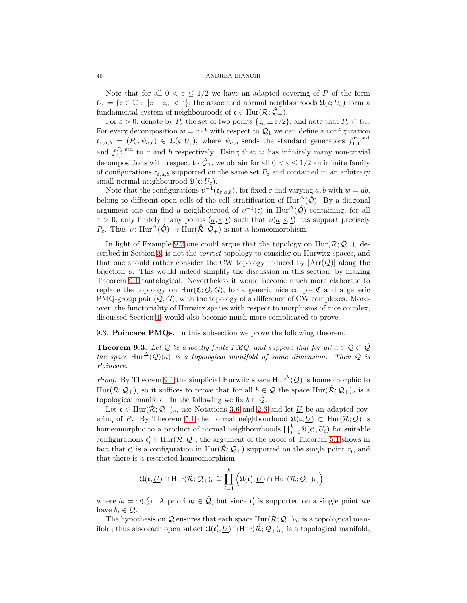Note that for all  $0 < \varepsilon \leq 1/2$  we have an adapted covering of P of the form  $U_{\varepsilon} = \{z \in \mathbb{C} : |z - z_{\varepsilon}| < \varepsilon\};$  the associated normal neighbouroods  $\mathfrak{U}(\mathfrak{c}; U_{\varepsilon})$  form a fundamental system of neighbouroods of  $\mathfrak{c} \in \text{Hur}(\mathcal{R}; \hat{\mathcal{Q}}_+)$ .

For  $\varepsilon > 0$ , denote by  $P_{\varepsilon}$  the set of two points  $\{z_{\rm c} \pm \varepsilon/2\}$ , and note that  $P_{\varepsilon} \subset U_{\varepsilon}$ . For every decomposition  $w = a \cdot b$  with respect to  $\hat{Q}_1$  we can define a configuration  $\mathfrak{c}_{\varepsilon,a,b} = (P_{\varepsilon}, \psi_{a,b}) \in \mathfrak{U}(\mathfrak{c}; U_{\varepsilon})$ , where  $\psi_{a,b}$  sends the standard generators  $f_{1,1}^{P_{\varepsilon}, \text{std}}$ and  $f_{2,1}^{P_{\varepsilon},\text{std}}$  to a and b respectively. Using that w has infinitely many non-trivial decompositions with respect to  $\hat{Q}_1$ , we obtain for all  $0 < \varepsilon \leq 1/2$  an infinite family of configurations  $c_{\varepsilon,a,b}$  supported on the same set  $P_{\varepsilon}$  and contained in an arbitrary small normal neighbourood  $\mathfrak{U}(\mathfrak{c};U_{\varepsilon}).$ 

Note that the configurations  $v^{-1}(\mathfrak{c}_{\varepsilon,a,b})$ , for fixed  $\varepsilon$  and varying  $a, b$  with  $w = ab$ , belong to different open cells of the cell stratification of  $\text{Hur}^{\Delta}(\hat{Q})$ . By a diagonal argument one can find a neighbourood of  $v^{-1}(\mathfrak{c})$  in  $\text{Hur}^{\Delta}(\hat{\mathcal{Q}})$  containing, for all  $\varepsilon > 0$ , only finitely many points  $(a; s, t)$  such that  $v(a; s, t)$  has support precisely  $P_{\varepsilon}$ . Thus  $v: \text{Hur}^{\Delta}(\hat{\mathcal{Q}}) \to \text{Hur}(\mathcal{R}; \hat{\mathcal{Q}}_{+})$  is not a homeomorphism.

In light of Example [9.2](#page-44-1) one could argue that the topology on  $\text{Hur}(\mathcal{R}; \hat{\mathcal{Q}}_+)$ , described in Section [3,](#page-11-0) is not the correct topology to consider on Hurwitz spaces, and that one should rather consider the CW topology induced by  $|Arr(Q)|$  along the bijection  $v$ . This would indeed simplify the discussion in this section, by making Theorem [9.1](#page-43-0) tautological. Nevertheless it would become much more elaborate to replace the topology on  $\text{Hur}(\mathfrak{C}; \mathcal{Q}, G)$ , for a generic nice couple  $\mathfrak{C}$  and a generic PMQ-group pair  $(Q, G)$ , with the topology of a difference of CW complexes. Moreover, the functoriality of Hurwitz spaces with respect to morphisms of nice couplex, discussed Section [4,](#page-17-1) would also become much more complicated to prove.

<span id="page-45-1"></span>9.3. Poincare PMQs. In this subsection we prove the following theorem.

<span id="page-45-0"></span>**Theorem 9.3.** Let Q be a locally finite PMQ, and suppose that for all  $a \in \mathcal{Q} \subset \hat{\mathcal{Q}}$ the space Hur<sup>△</sup>(Q)(a) is a topological manifold of some dimension. Then Q is Poincare.

*Proof.* By Theorem [9.1](#page-43-0) the simplicial Hurwitz space  $\text{Hur}^{\Delta}(\mathcal{Q})$  is homeomorphic to Hur( $\mathcal{R}; \mathcal{Q}_+$ ), so it suffices to prove that for all  $b \in \hat{\mathcal{Q}}$  the space Hur( $\mathcal{R}; \mathcal{Q}_+$ )<sub>b</sub> is a topological manifold. In the following we fix  $b \in \mathcal{Q}$ .

Let  $\mathfrak{c} \in \text{Hur}(\mathcal{R}; \mathcal{Q}_+)_b$ , use Notations [3.6](#page-13-2) and [2.6](#page-6-4) and let U be an adapted cov-ering of P. By Theorem [5.1](#page-23-2) the normal neighbourhood  $\mathfrak{U}(\mathfrak{c}, \underline{U}) \subset \text{Hur}(\mathcal{R}; \mathcal{Q})$  is homeomorphic to a product of normal neighbourhoods  $\prod_{i=1}^{k} \mathfrak{U}(\mathfrak{c}'_i, U_i)$  for suitable configurations  $\mathfrak{c}'_i \in \text{Hur}(\mathcal{R}; \mathcal{Q})$ ; the argument of the proof of Theorem [5.1](#page-23-2) shows in fact that  $c'_i$  is a configuration in  $\text{Hur}(\mathcal{R}; \mathcal{Q}_+)$  supported on the single point  $z_i$ , and that there is a restricted homeomorphism

$$
\mathfrak{U}(\mathfrak{c},\underline{U})\cap\mathrm{Hur}(\mathring{\mathcal{R}};\mathcal{Q}_+)_b\cong\prod_{i=1}^k\left(\mathfrak{U}(\mathfrak{c}'_i,\underline{U})\cap\mathrm{Hur}(\mathring{\mathcal{R}};\mathcal{Q}_+)_{b_i}\right),
$$

where  $b_i = \omega(\mathfrak{c}'_i)$ . A priori  $b_i \in \hat{\mathcal{Q}}$ , but since  $\mathfrak{c}'_i$  is supported on a single point we have  $b_i \in \mathcal{Q}$ .

The hypothesis on  $\mathcal Q$  ensures that each space  $\text{Hur}(\mathcal R; \mathcal Q_+)_{b_i}$  is a topological manifold; thus also each open subset  $\mathfrak{U}(\mathfrak{c}'_i, \underline{U}) \cap \text{Hur}(\mathcal{R}; \mathcal{Q}_+)_{b_i}$  is a topological manifold,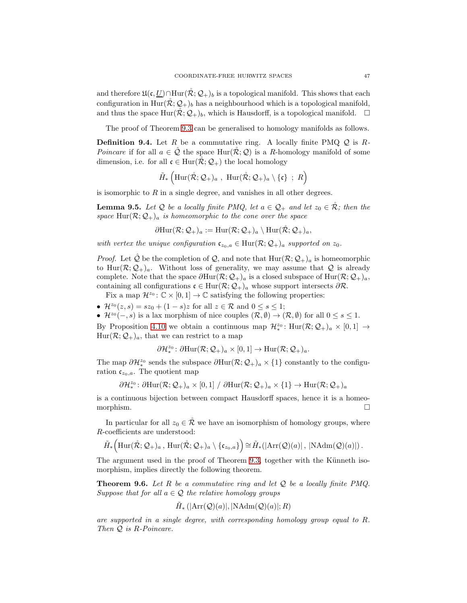and therefore  $\mathfrak{U}(\mathfrak{c}, \underline{U}) \cap \text{Hur}(\mathcal{R}; \mathcal{Q}_+)$  is a topological manifold. This shows that each configuration in Hur $(\mathcal{R}; \mathcal{Q}_+)$ <sub>b</sub> has a neighbourhood which is a topological manifold, and thus the space  $\text{Hur}(\mathcal{R}; \mathcal{Q}_+)_b$ , which is Hausdorff, is a topological manifold.  $\Box$ 

The proof of Theorem [9.3](#page-45-0) can be generalised to homology manifolds as follows.

<span id="page-46-0"></span>**Definition 9.4.** Let R be a commutative ring. A locally finite PMQ  $Q$  is R-Poincare if for all  $a \in \mathcal{Q}$  the space Hur( $\mathcal{R}; \mathcal{Q}$ ) is a R-homology manifold of some dimension, i.e. for all  $\mathfrak{c} \in \text{Hur}(\mathcal{R}; \mathcal{Q}_+)$  the local homology

$$
\tilde{H}_*\left(\mathrm{Hur}(\mathring{\mathcal{R}};\mathcal{Q}_+)_a\;,\;\mathrm{Hur}(\mathring{\mathcal{R}};\mathcal{Q}_+)_a\setminus\{\mathfrak{c}\}\;\;;\;R\right)
$$

is isomorphic to  $R$  in a single degree, and vanishes in all other degrees.

**Lemma 9.5.** Let Q be a locally finite PMQ, let  $a \in \mathcal{Q}_+$  and let  $z_0 \in \mathcal{R}$ ; then the space  $\text{Hur}(\mathcal{R};\mathcal{Q}_+)$  is homeomorphic to the cone over the space

$$
\partial \mathrm{Hur}(\mathcal{R};\mathcal{Q}_+)_a := \mathrm{Hur}(\mathcal{R};\mathcal{Q}_+)_a \setminus \mathrm{Hur}(\mathcal{R};\mathcal{Q}_+)_a,
$$

with vertex the unique configuration  $\mathfrak{c}_{z_0,a} \in \text{Hur}(\mathcal{R};\mathcal{Q}_+)$  supported on  $z_0$ .

*Proof.* Let  $\tilde{Q}$  be the completion of  $Q$ , and note that  $Hur(R; Q_+)_a$  is homeomorphic to Hur $(\mathcal{R}; \mathcal{Q}_+)_{a}$ . Without loss of generality, we may assume that  $\mathcal Q$  is already complete. Note that the space  $\partial \text{Hur}(\mathcal{R}; \mathcal{Q}_+)$ <sub>a</sub> is a closed subspace of Hur $(\mathcal{R}; \mathcal{Q}_+)$ <sub>a</sub>, containing all configurations  $\mathfrak{c} \in \text{Hur}(\mathcal{R}; \mathcal{Q}_+)$ <sub>a</sub> whose support intersects  $\partial \mathcal{R}$ .

Fix a map  $\mathcal{H}^{z_0}$ :  $\mathbb{C} \times [0,1] \to \mathbb{C}$  satisfying the following properties:

•  $\mathcal{H}^{z_0}(z,s) = sz_0 + (1-s)z$  for all  $z \in \mathcal{R}$  and  $0 \leq s \leq 1$ ;

•  $\mathcal{H}^{z_0}(-,s)$  is a lax morphism of nice couples  $(\mathcal{R}, \emptyset) \to (\mathcal{R}, \emptyset)$  for all  $0 \leq s \leq 1$ .

By Proposition [4.10](#page-22-3) we obtain a continuous map  $\mathcal{H}_{*}^{z_0}$ :  $\text{Hur}(\mathcal{R};\mathcal{Q}_+)_{a} \times [0,1] \rightarrow$  $Hur(\mathcal{R};\mathcal{Q}_+)_{a}$ , that we can restrict to a map

$$
\partial \mathcal{H}_{*}^{z_{0}} \colon \partial \mathrm{Hur}(\mathcal{R};\mathcal{Q}_{+})_{a} \times [0,1] \to \mathrm{Hur}(\mathcal{R};\mathcal{Q}_{+})_{a}.
$$

The map  $\partial \mathcal{H}_{*0}^{z_0}$  sends the subspace  $\partial \text{Hur}(\mathcal{R}; \mathcal{Q}_+)_{a} \times \{1\}$  constantly to the configuration  $c_{z_0,a}$ . The quotient map

$$
\partial \mathcal{H}_{*}^{z_0} \colon \partial \mathrm{Hur}(\mathcal{R};\mathcal{Q}_+)_{a} \times [0,1] / \partial \mathrm{Hur}(\mathcal{R};\mathcal{Q}_+)_{a} \times \{1\} \to \mathrm{Hur}(\mathcal{R};\mathcal{Q}_+)_{a}
$$

is a continuous bijection between compact Hausdorff spaces, hence it is a homeomorphism.

In particular for all  $z_0 \in \mathcal{R}$  we have an isomorphism of homology groups, where R-coefficients are understood:

$$
\tilde{H}_*\Big(\mathrm{Hur}(\mathring{\mathcal{R}};\mathcal{Q}_+)_a\,,\,\mathrm{Hur}(\mathring{\mathcal{R}};\mathcal{Q}_+)_a\setminus\{\mathfrak{c}_{z_0,a}\}\Big)\!\cong\! \tilde{H}_*\!\left(|\mathrm{Arr}(\mathcal{Q})(a)|\,,\,|\mathrm{NAdm}(\mathcal{Q})(a)|\right).
$$

The argument used in the proof of Theorem [9.3,](#page-45-0) together with the Künneth isomorphism, implies directly the following theorem.

<span id="page-46-1"></span>**Theorem 9.6.** Let R be a commutative ring and let  $Q$  be a locally finite PMQ. Suppose that for all  $a \in \mathcal{Q}$  the relative homology groups

$$
\tilde{H}_* \left( |\text{Arr}(\mathcal{Q})(a)|, |\text{NAdm}(\mathcal{Q})(a)|; R \right)
$$

are supported in a single degree, with corresponding homology group equal to R. Then Q is R-Poincare.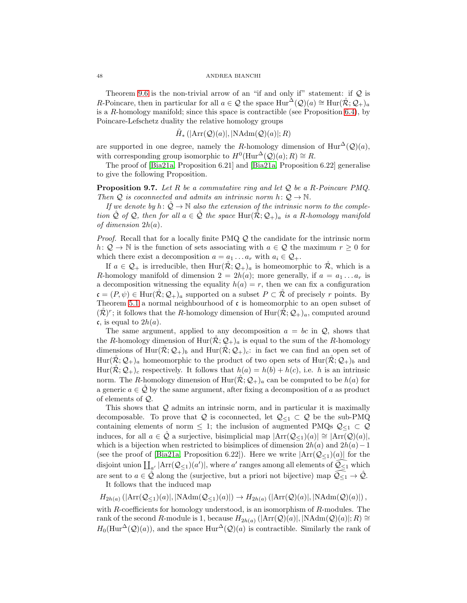<span id="page-47-0"></span>Theorem [9.6](#page-46-1) is the non-trivial arrow of an "if and only if" statement: if  $Q$  is R-Poincare, then in particular for all  $a \in \mathcal{Q}$  the space  $\text{Hur}^{\Delta}(\mathcal{Q})(a) \cong \text{Hur}(\mathcal{R}; \mathcal{Q}_+)_{a}$ is a  $R$ -homology manifold; since this space is contractible (see Proposition [6.4\)](#page-28-0), by Poincare-Lefschetz duality the relative homology groups

$$
\tilde{H}_* \left( |\text{Arr}(\mathcal{Q})(a)|, |\text{NAdm}(\mathcal{Q})(a)|; R \right)
$$

are supported in one degree, namely the R-homology dimension of  $Hur^{\Delta}(\mathcal{Q})(a)$ , with corresponding group isomorphic to  $H^0(\text{Hur}^{\Delta}(\mathcal{Q})(a); R) \cong R$ .

The proof of [\[Bia21a,](#page-56-0) Proposition 6.21] and [\[Bia21a,](#page-56-0) Proposition 6.22] generalise to give the following Proposition.

**Proposition 9.7.** Let R be a commutative ring and let  $Q$  be a R-Poincare PMQ. Then Q is coconnected and admits an intrinsic norm  $h: Q \to \mathbb{N}$ .

If we denote by h:  $\mathcal{Q} \to \mathbb{N}$  also the extension of the intrinsic norm to the completion  $\tilde{Q}$  of  $\tilde{Q}$ , then for all  $a \in \tilde{Q}$  the space Hur $(\tilde{R}; \mathcal{Q}_+)$ <sub>a</sub> is a R-homology manifold of dimension  $2h(a)$ .

Proof. Recall that for a locally finite PMQ  $\mathcal Q$  the candidate for the intrinsic norm h:  $Q \to \mathbb{N}$  is the function of sets associating with  $a \in \mathcal{Q}$  the maximum  $r \geq 0$  for which there exist a decomposition  $a = a_1 \dots a_r$  with  $a_i \in \mathcal{Q}_+$ .

If  $a \in \mathcal{Q}_+$  is irreducible, then  $\text{Hur}(\mathcal{R}; \mathcal{Q}_+)$  is homeomorphic to  $\mathcal{R}$ , which is a R-homology manifold of dimension  $2 = 2h(a)$ ; more generally, if  $a = a_1 \dots a_r$  is a decomposition witnessing the equality  $h(a) = r$ , then we can fix a configuration  $\mathfrak{c} = (P, \psi) \in \text{Hur}(\tilde{\mathcal{R}}; \mathcal{Q}_+)$ <sub>a</sub> supported on a subset  $P \subset \tilde{\mathcal{R}}$  of precisely r points. By Theorem [5.1](#page-23-2) a normal neighbourhood of  $\mathfrak c$  is homeomorphic to an open subset of  $(\mathcal{R})^r$ ; it follows that the R-homology dimension of  $\text{Hur}(\mathcal{R}; \mathcal{Q}_+)$ <sub>a</sub>, computed around  $\mathfrak{c}$ , is equal to  $2h(a)$ .

The same argument, applied to any decomposition  $a = bc$  in  $\mathcal{Q}$ , shows that the R-homology dimension of  $\text{Hur}(\mathcal{R}; \mathcal{Q}_+)$  is equal to the sum of the R-homology dimensions of Hur $(\mathcal{R}; \mathcal{Q}_+)$  and Hur $(\mathcal{R}; \mathcal{Q}_+)$ : in fact we can find an open set of  $\text{Hur}(\mathcal{R};\mathcal{Q}_+)$ <sub>a</sub> homeomorphic to the product of two open sets of  $\text{Hur}(\mathcal{R};\mathcal{Q}_+)$ <sub>b</sub> and Hur $(\mathcal{R}; \mathcal{Q}_+)$ <sub>c</sub> respectively. It follows that  $h(a) = h(b) + h(c)$ , i.e. h is an intrinsic norm. The R-homology dimension of  $\text{Hur}(\mathcal{R}; \mathcal{Q}_+)$ <sub>a</sub> can be computed to be  $h(a)$  for a generic  $a \in \mathcal{Q}$  by the same argument, after fixing a decomposition of a as product of elements of Q.

This shows that Q admits an intrinsic norm, and in particular it is maximally decomposable. To prove that Q is coconnected, let  $\mathcal{Q}_{\leq 1} \subset \mathcal{Q}$  be the sub-PMQ containing elements of norm  $\leq$  1; the inclusion of augmented PMQs  $\mathcal{Q}_{\leq 1} \subset \mathcal{Q}$ induces, for all  $a \in \mathcal{Q}$  a surjective, bisimplicial map  $|\text{Arr}(\mathcal{Q}_{\leq 1})(a)| \cong |\text{Arr}(\mathcal{Q})(a)|$ , which is a bijection when restricted to bisimplices of dimension  $2h(a)$  and  $2h(a)-1$ (see the proof of [\[Bia21a,](#page-56-0) Proposition 6.22]). Here we write  $|\text{Arr}(\mathcal{Q}_{\leq 1})(a)|$  for the disjoint union  $\prod_{a'} |\text{Arr}(\mathcal{Q}_{\leq 1})(a')|$ , where  $a'$  ranges among all elements of  $\widehat{\mathcal{Q}_{\leq 1}}$  which are sent to  $a \in \hat{Q}$  along the (surjective, but a priori not bijective) map  $\widehat{Q}_{\leq 1} \to \hat{Q}$ . It follows that the induced map

 $H_{2h(a)}\left(|\text{Arr}(\mathcal{Q}_{\leq 1})(a)|, |\text{NAdm}(\mathcal{Q}_{\leq 1})(a)|\right) \to H_{2h(a)}\left(|\text{Arr}(\mathcal{Q})(a)|, |\text{NAdm}(\mathcal{Q})(a)|\right),$ with  $R$ -coefficients for homology understood, is an isomorphism of  $R$ -modules. The rank of the second R-module is 1, because  $H_{2h(a)}(|\text{Arr}(\mathcal{Q})(a)|, |\text{NAdm}(\mathcal{Q})(a)|; R) \cong$  $H_0(\text{Hur}^{\Delta}(\mathcal{Q})(a))$ , and the space  $\text{Hur}^{\Delta}(\mathcal{Q})(a)$  is contractible. Similarly the rank of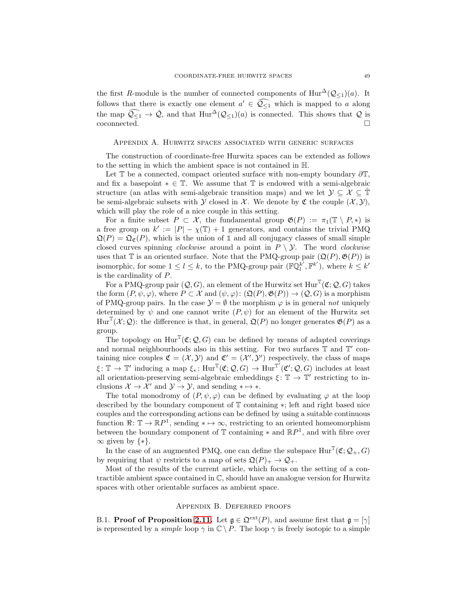the first R-module is the number of connected components of  $\text{Hur}^{\Delta}(\mathcal{Q}_{\leq 1})(a)$ . It follows that there is exactly one element  $a' \in \mathcal{Q}_{\leq 1}$  which is mapped to a along the map  $\widehat{Q_{\leq 1}} \to \widehat{Q}$ , and that  $\text{Hur}^{\Delta}(\mathcal{Q}_{\leq 1})(a)$  is connected. This shows that  $\mathcal Q$  is coconnected. coconnected.

### <span id="page-48-0"></span>Appendix A. Hurwitz spaces associated with generic surfaces

The construction of coordinate-free Hurwitz spaces can be extended as follows to the setting in which the ambient space is not contained in H.

Let  $\mathbb T$  be a connected, compact oriented surface with non-empty boundary  $\partial \mathbb T$ , and fix a basepoint  $* \in \mathbb{T}$ . We assume that  $\mathbb{T}$  is endowed with a semi-algebraic structure (an atlas with semi-algebraic transition maps) and we let  $\mathcal{Y} \subseteq \mathcal{X} \subseteq \mathbb{T}$ be semi-algebraic subsets with Y closed in X. We denote by  $\mathfrak C$  the couple  $(\mathcal X, \mathcal Y)$ , which will play the role of a nice couple in this setting.

For a finite subset  $P \subset \mathcal{X}$ , the fundamental group  $\mathfrak{G}(P) := \pi_1(\mathbb{T} \setminus P, *)$  is a free group on  $k' := |P| - \chi(\mathbb{T}) + 1$  generators, and contains the trivial PMQ  $\mathfrak{Q}(P) = \mathfrak{Q}_{\mathfrak{C}}(P)$ , which is the union of 1 and all conjugacy classes of small simple closed curves spinning *clockwise* around a point in  $P \setminus \mathcal{Y}$ . The word *clockwise* uses that  $\mathbb T$  is an oriented surface. Note that the PMQ-group pair  $(\mathfrak Q(P), \mathfrak G(P))$  is isomorphic, for some  $1 \leq l \leq k$ , to the PMQ-group pair  $(\mathbb{FQ}^{k'}_l)$  $\overline{k}^{\prime}, \mathbb{F}^{k^{\prime}}$ , where  $k \leq k^{\prime}$ is the cardinality of P.

For a PMQ-group pair  $(Q, G)$ , an element of the Hurwitz set  $Hur^T(\mathfrak{C}; Q, G)$  takes the form  $(P, \psi, \varphi)$ , where  $P \subset \mathcal{X}$  and  $(\psi, \varphi) : (\mathfrak{Q}(P), \mathfrak{G}(P)) \to (\mathcal{Q}, G)$  is a morphism of PMQ-group pairs. In the case  $\mathcal{Y} = \emptyset$  the morphism  $\varphi$  is in general not uniquely determined by  $\psi$  and one cannot write  $(P, \psi)$  for an element of the Hurwitz set  $Hur^{\mathbb{T}}(\mathcal{X};\mathcal{Q})$ : the difference is that, in general,  $\mathfrak{Q}(P)$  no longer generates  $\mathfrak{G}(P)$  as a group.

The topology on  $\text{Hur}^{\mathbb{T}}(\mathfrak{C}; \mathcal{Q}, G)$  can be defined by means of adapted coverings and normal neighbourhoods also in this setting. For two surfaces  $\mathbb T$  and  $\mathbb T'$  containing nice couples  $\mathfrak{C} = (\mathcal{X}, \mathcal{Y})$  and  $\mathfrak{C}' = (\mathcal{X}', \mathcal{Y}')$  respectively, the class of maps  $\xi \colon \mathbb{T} \to \mathbb{T}'$  inducing a map  $\xi_* \colon \text{Hur}^{\mathbb{T}}(\mathfrak{C}; \mathcal{Q}, G) \to \text{Hur}^{\mathbb{T}'}(\mathfrak{C}'; \mathcal{Q}, G)$  includes at least all orientation-preserving semi-algebraic embeddings  $\xi \colon \mathbb{T} \to \mathbb{T}'$  restricting to inclusions  $\mathcal{X} \to \mathcal{X}'$  and  $\mathcal{Y} \to \mathcal{Y}$ , and sending  $* \mapsto *$ .

The total monodromy of  $(P, \psi, \varphi)$  can be defined by evaluating  $\varphi$  at the loop described by the boundary component of T containing ∗; left and right based nice couples and the corresponding actions can be defined by using a suitable continuous function  $\Re: \mathbb{T} \to \mathbb{R}P^1$ , sending  $* \mapsto \infty$ , restricting to an oriented homeomorphism between the boundary component of  $\mathbb T$  containing  $*$  and  $\mathbb RP$ <sup>1</sup>, and with fibre over  $\infty$  given by  $\{*\}.$ 

In the case of an augmented PMQ, one can define the subspace  $\text{Hur}^{\mathbb{T}}(\mathfrak{C}; \mathcal{Q}_+, G)$ by requiring that  $\psi$  restricts to a map of sets  $\mathfrak{Q}(P)_+ \to \mathcal{Q}_+$ .

Most of the results of the current article, which focus on the setting of a contractible ambient space contained in  $\mathbb{C}$ , should have an analogue version for Hurwitz spaces with other orientable surfaces as ambient space.

### Appendix B. Deferred proofs

<span id="page-48-2"></span><span id="page-48-1"></span>B.1. **Proof of Proposition [2.11.](#page-9-0)** Let  $\mathfrak{g} \in \mathfrak{Q}^{\text{ext}}(P)$ , and assume first that  $\mathfrak{g} = [\gamma]$ is represented by a simple loop  $\gamma$  in  $\mathbb{C} \setminus P$ . The loop  $\gamma$  is freely isotopic to a simple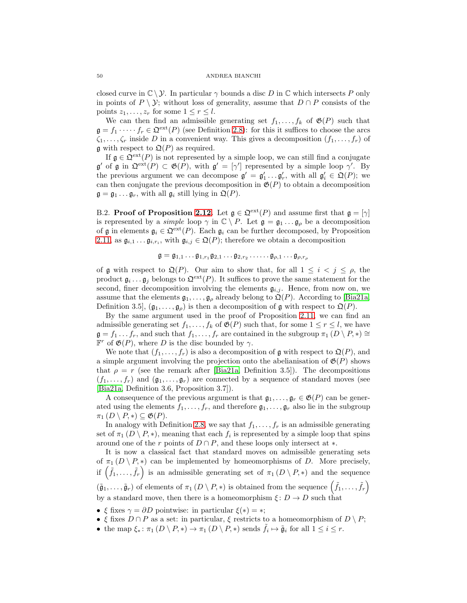closed curve in  $\mathbb{C} \setminus \mathcal{Y}$ . In particular  $\gamma$  bounds a disc D in  $\mathbb{C}$  which intersects P only in points of  $P \setminus \mathcal{Y}$ ; without loss of generality, assume that  $D \cap P$  consists of the points  $z_1, \ldots, z_r$  for some  $1 \leq r \leq l$ .

We can then find an admissible generating set  $f_1, \ldots, f_k$  of  $\mathfrak{G}(P)$  such that  $\mathfrak{g} = f_1 \cdot \cdots \cdot f_r \in \mathfrak{Q}^{\text{ext}}(P)$  (see Definition [2.8\)](#page-7-3): for this it suffices to choose the arcs  $\zeta_1, \ldots, \zeta_r$  inside D in a convenient way. This gives a decomposition  $(f_1, \ldots, f_r)$  of  $\mathfrak g$  with respect to  $\mathfrak Q(P)$  as required.

If  $\mathfrak{g} \in \mathfrak{Q}^{\text{ext}}(P)$  is not represented by a simple loop, we can still find a conjugate  $\mathfrak{g}'$  of  $\mathfrak{g}$  in  $\mathfrak{Q}^{\text{ext}}(P) \subset \mathfrak{G}(P)$ , with  $\mathfrak{g}' = [\gamma']$  represented by a simple loop  $\gamma'$ . By the previous argument we can decompose  $\mathfrak{g}' = \mathfrak{g}'_1 \dots \mathfrak{g}'_r$ , with all  $\mathfrak{g}'_i \in \mathfrak{Q}(P)$ ; we can then conjugate the previous decomposition in  $\mathfrak{G}(P)$  to obtain a decomposition  $\mathfrak{g} = \mathfrak{g}_1 \dots \mathfrak{g}_r$ , with all  $\mathfrak{g}_i$  still lying in  $\mathfrak{Q}(P)$ .

<span id="page-49-0"></span>B.2. **Proof of Proposition [2.12.](#page-9-1)** Let  $\mathfrak{g} \in \mathfrak{Q}^{\text{ext}}(P)$  and assume first that  $\mathfrak{g} = [\gamma]$ is represented by a simple loop  $\gamma$  in  $\mathbb{C} \setminus P$ . Let  $\mathfrak{g} = \mathfrak{g}_1 \dots \mathfrak{g}_\rho$  be a decomposition of g in elements  $g_i \in \mathfrak{Q}^{\text{ext}}(P)$ . Each  $g_i$  can be further decomposed, by Proposition [2.11,](#page-9-0) as  $\mathfrak{g}_{i,1} \dots \mathfrak{g}_{i,r_i}$ , with  $\mathfrak{g}_{i,j} \in \mathfrak{Q}(P)$ ; therefore we obtain a decomposition

$$
\mathfrak{g} = \mathfrak{g}_{1,1} \dots \mathfrak{g}_{1,r_1} \mathfrak{g}_{2,1} \dots \mathfrak{g}_{2,r_2} \dots \dots \mathfrak{g}_{\rho,1} \dots \mathfrak{g}_{\rho,r_\rho}
$$

of g with respect to  $\mathfrak{Q}(P)$ . Our aim to show that, for all  $1 \leq i \leq j \leq \rho$ , the product  $\mathfrak{g}_i \dots \mathfrak{g}_j$  belongs to  $\mathfrak{Q}^{\text{ext}}(P)$ . It suffices to prove the same statement for the second, finer decomposition involving the elements  $\mathfrak{g}_{i,j}$ . Hence, from now on, we assume that the elements  $\mathfrak{g}_1, \ldots, \mathfrak{g}_\rho$  already belong to  $\mathfrak{Q}(P)$ . According to [\[Bia21a,](#page-56-0) Definition 3.5,  $(\mathfrak{g}_1, \ldots, \mathfrak{g}_\rho)$  is then a decomposition of g with respect to  $\mathfrak{Q}(P)$ .

By the same argument used in the proof of Proposition [2.11,](#page-9-0) we can find an admissible generating set  $f_1, \ldots, f_k$  of  $\mathfrak{G}(P)$  such that, for some  $1 \leq r \leq l$ , we have  $\mathfrak{g} = f_1 \dots f_r$ , and such that  $f_1, \dots, f_r$  are contained in the subgroup  $\pi_1(D \setminus P, *) \cong$  $\mathbb{F}^r$  of  $\mathfrak{G}(P)$ , where D is the disc bounded by  $\gamma$ .

We note that  $(f_1, \ldots, f_r)$  is also a decomposition of g with respect to  $\mathfrak{Q}(P)$ , and a simple argument involving the projection onto the abelianisation of  $\mathfrak{G}(P)$  shows that  $\rho = r$  (see the remark after [\[Bia21a,](#page-56-0) Definition 3.5]). The decompositions  $(f_1, \ldots, f_r)$  and  $(\mathfrak{g}_1, \ldots, \mathfrak{g}_r)$  are connected by a sequence of standard moves (see [\[Bia21a,](#page-56-0) Definition 3.6, Proposition 3.7]).

A consequence of the previous argument is that  $\mathfrak{g}_1, \ldots, \mathfrak{g}_r \in \mathfrak{G}(P)$  can be generated using the elements  $f_1, \ldots, f_r$ , and therefore  $\mathfrak{g}_1, \ldots, \mathfrak{g}_r$  also lie in the subgroup  $\pi_1(D \setminus P, *) \subseteq \mathfrak{G}(P).$ 

In analogy with Definition [2.8,](#page-7-3) we say that  $f_1, \ldots, f_r$  is an admissible generating set of  $\pi_1(D \setminus P, *)$ , meaning that each  $f_i$  is represented by a simple loop that spins around one of the r points of  $D \cap P$ , and these loops only intersect at  $\ast$ .

It is now a classical fact that standard moves on admissible generating sets of  $\pi_1(D \setminus P, *)$  can be implemented by homeomorphisms of D. More precisely, if  $(\tilde{f}_1, \ldots, \tilde{f}_r)$  is an admissible generating set of  $\pi_1(D \setminus P, *)$  and the sequence  $(\tilde{\mathfrak{g}}_1, \ldots, \tilde{\mathfrak{g}}_r)$  of elements of  $\pi_1(D \setminus P, *)$  is obtained from the sequence  $(\tilde{f}_1, \ldots, \tilde{f}_r)$ by a standard move, then there is a homeomorphism  $\xi: D \to D$  such that

• ξ fixes  $\gamma = \partial D$  pointwise: in particular  $\xi(*) = *;$ 

- ξ fixes  $D \cap P$  as a set: in particular, ξ restricts to a homeomorphism of  $D \setminus P$ ;
- the map  $\xi_*$ :  $\pi_1(D \setminus P, *) \to \pi_1(D \setminus P, *)$  sends  $\tilde{f}_i \mapsto \tilde{\mathfrak{g}}_i$  for all  $1 \leq i \leq r$ .

<span id="page-49-1"></span>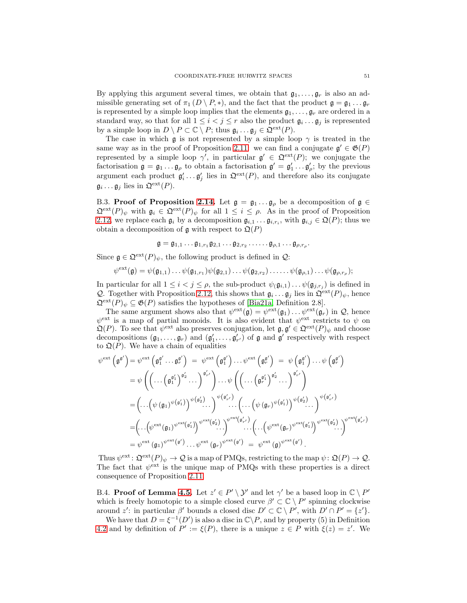<span id="page-50-2"></span>By applying this argument several times, we obtain that  $\mathfrak{g}_1, \ldots, \mathfrak{g}_r$  is also an admissible generating set of  $\pi_1(D \setminus P, *)$ , and the fact that the product  $\mathfrak{g} = \mathfrak{g}_1 \dots \mathfrak{g}_r$ is represented by a simple loop implies that the elements  $\mathfrak{g}_1, \ldots, \mathfrak{g}_r$  are ordered in a standard way, so that for all  $1 \leq i < j \leq r$  also the product  $\mathfrak{g}_i \dots \mathfrak{g}_j$  is represented by a simple loop in  $D \setminus P \subset \mathbb{C} \setminus P$ ; thus  $\mathfrak{g}_i \dots \mathfrak{g}_j \in \mathfrak{Q}^{\text{ext}}(P)$ .

The case in which  $\mathfrak g$  is not represented by a simple loop  $\gamma$  is treated in the same way as in the proof of Proposition [2.11:](#page-9-0) we can find a conjugate  $\mathfrak{g}' \in \mathfrak{G}(P)$ represented by a simple loop  $\gamma'$ , in particular  $\mathfrak{g}' \in \mathfrak{Q}^{\text{ext}}(P)$ ; we conjugate the factorisation  $\mathfrak{g} = \mathfrak{g}_1 \dots \mathfrak{g}_\rho$  to obtain a factorisation  $\mathfrak{g}' = \mathfrak{g}'_1 \dots \mathfrak{g}'_\rho$ ; by the previous argument each product  $\mathfrak{g}'_i \dots \mathfrak{g}'_j$  lies in  $\mathfrak{Q}^{\text{ext}}(P)$ , and therefore also its conjugate  $\mathfrak{g}_i \dots \mathfrak{g}_j$  lies in  $\mathfrak{Q}^{\text{ext}}(P)$ .

<span id="page-50-0"></span>B.3. Proof of Proposition [2.14.](#page-10-1) Let  $\mathfrak{g} = \mathfrak{g}_1 \dots \mathfrak{g}_\rho$  be a decomposition of  $\mathfrak{g} \in$  $\mathfrak{Q}^{\text{ext}}(P)_{\psi}$  with  $\mathfrak{g}_i \in \mathfrak{Q}^{\text{ext}}(P)_{\psi}$  for all  $1 \leq i \leq \rho$ . As in the proof of Proposition [2.12,](#page-9-1) we replace each  $\mathfrak{g}_i$  by a decomposition  $\mathfrak{g}_{i,1} \dots \mathfrak{g}_{i,r_i}$ , with  $\mathfrak{g}_{i,j} \in \mathfrak{Q}(P)$ ; thus we obtain a decomposition of  $\mathfrak g$  with respect to  $\mathfrak Q(P)$ 

 $\mathfrak{g} = \mathfrak{g}_{1,1} \dots \mathfrak{g}_{1,r_1} \mathfrak{g}_{2,1} \dots \mathfrak{g}_{2,r_2} \dots \dots \mathfrak{g}_{\rho,1} \dots \mathfrak{g}_{\rho,r_\rho}.$ 

Since  $\mathfrak{g} \in \mathfrak{Q}^{\text{ext}}(P)_{\psi}$ , the following product is defined in  $\mathcal{Q}$ :

 $\psi^{\text{ext}}(\mathfrak{g}) = \psi(\mathfrak{g}_{1,1}), \dots \psi(\mathfrak{g}_{1,r_1}) \psi(\mathfrak{g}_{2,1}), \dots \psi(\mathfrak{g}_{2,r_2}), \dots \dots \psi(\mathfrak{g}_{\rho,1}), \dots \psi(\mathfrak{g}_{\rho,r_\rho});$ 

In particular for all  $1 \leq i < j \leq \rho$ , the sub-product  $\psi(\mathfrak{g}_{i,1}) \dots \psi(\mathfrak{g}_{j,r_j})$  is defined in Q. Together with Proposition [2.12,](#page-9-1) this shows that  $\mathfrak{g}_i \dots \mathfrak{g}_j$  lies in  $\mathfrak{Q}^{\text{ext}}(P)_{\psi}$ , hence  $\mathfrak{Q}^{\text{ext}}(P)_{\psi} \subseteq \mathfrak{G}(P)$  satisfies the hypotheses of [\[Bia21a,](#page-56-0) Definition 2.8].

The same argument shows also that  $\psi^{\text{ext}}(\mathfrak{g}) = \psi^{\text{ext}}(\mathfrak{g}_1) \dots \psi^{\text{ext}}(\mathfrak{g}_r)$  in  $\mathcal{Q}$ , hence  $\psi^{\text{ext}}$  is a map of partial monoids. It is also evident that  $\psi^{\text{ext}}$  restricts to  $\psi$  on  $\mathfrak{Q}(P)$ . To see that  $\psi^{\text{ext}}$  also preserves conjugation, let  $\mathfrak{g}, \mathfrak{g}' \in \mathfrak{Q}^{\text{ext}}(P)_{\psi}$  and choose decompositions  $(\mathfrak{g}_1,\ldots,\mathfrak{g}_r)$  and  $(\mathfrak{g}'_1,\ldots,\mathfrak{g}'_{r'})$  of  $\mathfrak g$  and  $\mathfrak g'$  respectively with respect to  $\mathfrak{Q}(P)$ . We have a chain of equalities

$$
\psi^{\text{ext}}\left(\mathfrak{g}^{\mathfrak{g}'}\right) = \psi^{\text{ext}}\left(\mathfrak{g}_{1}^{\mathfrak{g}'}\ldots\mathfrak{g}_{r}^{\mathfrak{g}'}\right) = \psi^{\text{ext}}\left(\mathfrak{g}_{1}^{\mathfrak{g}'}\right)\ldots\psi^{\text{ext}}\left(\mathfrak{g}_{r}^{\mathfrak{g}'}\right) = \psi\left(\mathfrak{g}_{1}^{\mathfrak{g}'}\right)\ldots\psi\left(\mathfrak{g}_{r}^{\mathfrak{g}'}\right)
$$
\n
$$
= \psi\left(\left(\ldots\left(\mathfrak{g}_{1}^{\mathfrak{g}'_{1}}\right)^{\mathfrak{g}'_{2}}\ldots\right)^{\mathfrak{g}'_{r'}}\right)\ldots\psi\left(\left(\ldots\left(\mathfrak{g}_{r}^{\mathfrak{g}'_{1}}\right)^{\mathfrak{g}'_{2}}\ldots\right)^{\mathfrak{g}'_{r'}}\right)
$$
\n
$$
= \left(\ldots\left(\psi\left(\mathfrak{g}_{1}\right)^{\psi\left(\mathfrak{g}'_{1}\right)}\right)^{\psi\left(\mathfrak{g}'_{2}\right)}\ldots\right)^{\psi\left(\mathfrak{g}'_{r'}\right)}\ldots\left(\ldots\left(\psi\left(\mathfrak{g}_{r}\right)^{\psi\left(\mathfrak{g}'_{1}\right)}\right)^{\psi\left(\mathfrak{g}'_{2}\right)}\ldots\right)^{\psi\left(\mathfrak{g}'_{r'}}\right)
$$
\n
$$
= \left(\ldots\left(\psi^{\text{ext}}\left(\mathfrak{g}_{1}\right)^{\psi^{\text{ext}}\left(\mathfrak{g}'_{1}\right)}\right)^{\psi^{\text{ext}}\left(\mathfrak{g}'_{2}\right)}\ldots\right)^{\psi^{\text{ext}}\left(\mathfrak{g}'_{r'}\right)}\ldots\left(\ldots\left(\psi^{\text{ext}}\left(\mathfrak{g}_{r}\right)^{\psi^{\text{ext}}\left(\mathfrak{g}'_{1}\right)}\right)^{\psi^{\text{ext}}\left(\mathfrak{g}'_{r'}\right)}
$$
\n
$$
= \psi^{\text{ext}}\left(\mathfrak{g}_{1}\right)^{\psi^{\text{ext}}\left(\mathfrak{g}'}\right)\ldots\psi
$$

Thus  $\psi^{\text{ext}} \colon \mathfrak{Q}^{\text{ext}}(P)_{\psi} \to \mathcal{Q}$  is a map of PMQs, restricting to the map  $\psi \colon \mathfrak{Q}(P) \to \mathcal{Q}$ . The fact that  $\psi^{\text{ext}}$  is the unique map of PMQs with these properties is a direct consequence of Proposition [2.11.](#page-9-0)

<span id="page-50-1"></span>B.4. **Proof of Lemma [4.5.](#page-19-3)** Let  $z' \in P' \setminus Y'$  and let  $\gamma'$  be a based loop in  $\mathbb{C} \setminus P'$ which is freely homotopic to a simple closed curve  $\beta' \subset \mathbb{C} \setminus P'$  spinning clockwise around z': in particular  $\beta'$  bounds a closed disc  $D' \subset \mathbb{C} \setminus P'$ , with  $D' \cap P' = \{z'\}.$ 

We have that  $D = \xi^{-1}(D')$  is also a disc in  $\mathbb{C}\backslash P$ , and by property (5) in Definition [4.2](#page-18-0) and by definition of  $P' := \xi(P)$ , there is a unique  $z \in P$  with  $\xi(z) = z'$ . We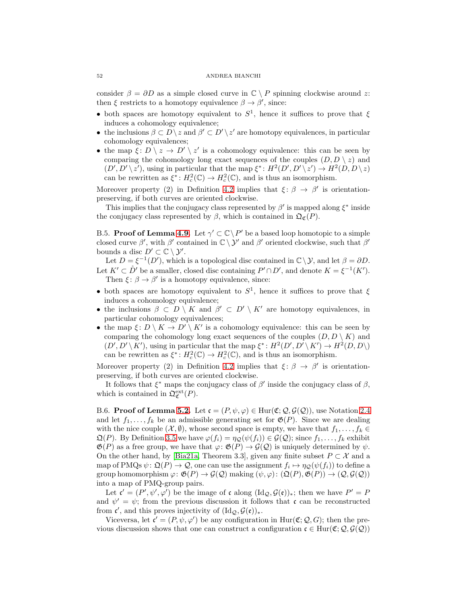#### <span id="page-51-2"></span>52 ANDREA BIANCHI

consider  $\beta = \partial D$  as a simple closed curve in  $\mathbb{C} \setminus P$  spinning clockwise around z: then  $\xi$  restricts to a homotopy equivalence  $\beta \to \beta'$ , since:

- both spaces are homotopy equivalent to  $S^1$ , hence it suffices to prove that  $\xi$ induces a cohomology equivalence;
- the inclusions  $\beta \subset D \setminus z$  and  $\beta' \subset D' \setminus z'$  are homotopy equivalences, in particular cohomology equivalences;
- the map  $\xi: D \setminus z \to D' \setminus z'$  is a cohomology equivalence: this can be seen by comparing the cohomology long exact sequences of the couples  $(D, D \setminus z)$  and  $(D', D' \setminus z')$ , using in particular that the map  $\xi^* \colon H^2(D', D' \setminus z') \to H^2(D, D \setminus z)$ can be rewritten as  $\xi^*$ :  $H_c^2(\mathbb{C}) \to H_c^2(\mathbb{C})$ , and is thus an isomorphism.

Moreover property (2) in Definition [4.2](#page-18-0) implies that  $\xi: \beta \to \beta'$  is orientationpreserving, if both curves are oriented clockwise.

This implies that the conjugacy class represented by  $\beta'$  is mapped along  $\xi^*$  inside the conjugacy class represented by  $\beta$ , which is contained in  $\mathfrak{Q}_{\mathfrak{C}}(P)$ .

<span id="page-51-0"></span>B.5. **Proof of Lemma [4.9.](#page-22-2)** Let  $\gamma' \subset \mathbb{C} \backslash P'$  be a based loop homotopic to a simple closed curve  $\beta'$ , with  $\beta'$  contained in  $\mathbb{C} \setminus \mathcal{Y}'$  and  $\beta'$  oriented clockwise, such that  $\beta'$ bounds a disc  $D' \subset \mathbb{C} \setminus \mathcal{Y}'$ .

Let  $D = \xi^{-1}(D')$ , which is a topological disc contained in  $\mathbb{C}\setminus\mathcal{Y}$ , and let  $\beta = \partial D$ . Let  $K' \subset \mathring{D}'$  be a smaller, closed disc containing  $P' \cap D'$ , and denote  $K = \xi^{-1}(K')$ . Then  $\xi: \beta \to \beta'$  is a homotopy equivalence, since:

- both spaces are homotopy equivalent to  $S^1$ , hence it suffices to prove that  $\xi$ induces a cohomology equivalence;
- the inclusions  $\beta \subset D \setminus K$  and  $\beta' \subset D' \setminus K'$  are homotopy equivalences, in particular cohomology equivalences;
- the map  $\xi: D \setminus K \to D' \setminus K'$  is a cohomology equivalence: this can be seen by comparing the cohomology long exact sequences of the couples  $(D, D \setminus K)$  and  $(D', D' \setminus K')$ , using in particular that the map  $\xi^*: H^2(D', D' \setminus K') \to H^2(D, D)$ can be rewritten as  $\xi^*$ :  $H_c^2(\mathbb{C}) \to H_c^2(\mathbb{C})$ , and is thus an isomorphism.

Moreover property (2) in Definition [4.2](#page-18-0) implies that  $\xi: \beta \to \beta'$  is orientationpreserving, if both curves are oriented clockwise.

It follows that  $\xi^*$  maps the conjugacy class of  $\beta'$  inside the conjugacy class of  $\beta$ , which is contained in  $\mathfrak{Q}_{\mathfrak{C}}^{\text{ext}}(P)$ .

<span id="page-51-1"></span>B.6. Proof of Lemma [5.2.](#page-23-1) Let  $\mathfrak{c} = (P, \psi, \varphi) \in \text{Hur}(\mathfrak{C}; \mathcal{Q}, \mathcal{G}(\mathcal{Q}))$ , use Notation [2.4](#page-6-2) and let  $f_1, \ldots, f_k$  be an admissible generating set for  $\mathfrak{G}(P)$ . Since we are dealing with the nice couple  $(\mathcal{X}, \emptyset)$ , whose second space is empty, we have that  $f_1, \ldots, f_k \in$  $\mathfrak{Q}(P)$ . By Definition [3.5](#page-12-3) we have  $\varphi(f_i) = \eta_{\mathcal{Q}}(\psi(f_i)) \in \mathcal{G}(\mathcal{Q})$ ; since  $f_1, \ldots, f_k$  exhibit  $\mathfrak{G}(P)$  as a free group, we have that  $\varphi: \mathfrak{G}(P) \to \mathcal{G}(Q)$  is uniquely determined by  $\psi$ . On the other hand, by [\[Bia21a,](#page-56-0) Theorem 3.3], given any finite subset  $P \subset \mathcal{X}$  and a map of PMQs  $\psi \colon \mathfrak{Q}(P) \to \mathcal{Q}$ , one can use the assignment  $f_i \mapsto \eta_{\mathcal{Q}}(\psi(f_i))$  to define a group homomorphism  $\varphi: \mathfrak{G}(P) \to \mathcal{G}(\mathcal{Q})$  making  $(\psi, \varphi): (\mathfrak{Q}(P), \mathfrak{G}(P)) \to (\mathcal{Q}, \mathcal{G}(\mathcal{Q}))$ into a map of PMQ-group pairs.

Let  $\mathfrak{c}' = (P', \psi', \varphi')$  be the image of  $\mathfrak{c}$  along  $(\mathrm{Id}_{\mathcal{Q}}, \mathcal{G}(\mathfrak{e}))_*$ ; then we have  $P' = P$ and  $\psi' = \psi$ ; from the previous discussion it follows that c can be reconstructed from  $\mathfrak{c}'$ , and this proves injectivity of  $(\mathrm{Id}_{\mathcal{Q}}, \mathcal{G}(\mathfrak{e}))_*$ .

Viceversa, let  $\mathfrak{c}' = (P, \psi, \varphi')$  be any configuration in  $\text{Hur}(\mathfrak{C}; \mathcal{Q}, G)$ ; then the previous discussion shows that one can construct a configuration  $\mathfrak{c} \in \text{Hur}(\mathfrak{C}; \mathcal{Q}, \mathcal{G}(\mathcal{Q}))$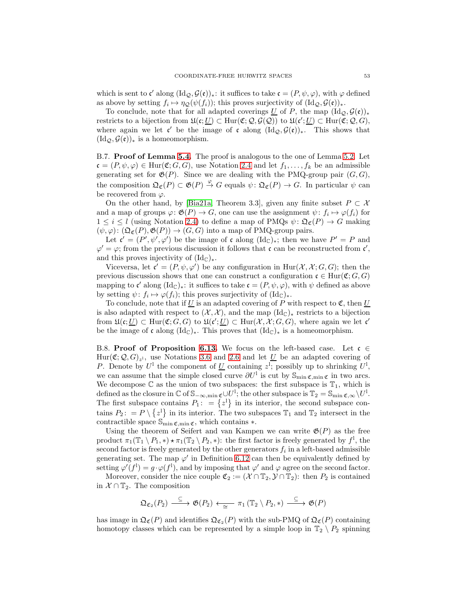<span id="page-52-2"></span>which is sent to  $\mathfrak{c}'$  along  $(\mathrm{Id}_{\mathcal{Q}}, \mathcal{G}(\mathfrak{e}))_*$ : it suffices to take  $\mathfrak{c} = (P, \psi, \varphi)$ , with  $\varphi$  defined as above by setting  $f_i \mapsto \eta_{\mathcal{Q}}(\psi(f_i))$ ; this proves surjectivity of  $(\mathrm{Id}_{\mathcal{Q}}, \mathcal{G}(\mathfrak{e}))_*$ .

To conclude, note that for all adapted coverings  $\underline{U}$  of P, the map  $(\mathrm{Id}_{\mathcal{Q}}, \mathcal{G}(\mathfrak{e}))_*$ restricts to a bijection from  $\mathfrak{U}(\mathfrak{c}; \underline{U}) \subset \text{Hur}(\mathfrak{C}; \mathcal{Q}, \mathcal{G}(\mathcal{Q}))$  to  $\mathfrak{U}(\mathfrak{c}'; \underline{U}) \subset \text{Hur}(\mathfrak{C}; \mathcal{Q}, G)$ , where again we let  $\mathfrak{c}'$  be the image of  $\mathfrak{c}$  along  $(\mathrm{Id}_{\mathcal{Q}}, \mathcal{G}(\mathfrak{e}))_*$ . This shows that  $(\mathrm{Id}_{\mathcal{Q}}, \mathcal{G}(\mathfrak{e}))_*$  is a homeomorphism.

<span id="page-52-0"></span>B.7. Proof of Lemma [5.4.](#page-24-1) The proof is analogous to the one of Lemma [5.2.](#page-23-1) Let  $\mathfrak{c} = (P, \psi, \varphi) \in \text{Hur}(\mathfrak{C}; G, G)$ , use Notation [2.4](#page-6-2) and let  $f_1, \ldots, f_k$  be an admissible generating set for  $\mathfrak{G}(P)$ . Since we are dealing with the PMQ-group pair  $(G, G)$ , the composition  $\mathfrak{Q}_{\mathfrak{C}}(P) \subset \mathfrak{G}(P) \stackrel{\varphi}{\to} G$  equals  $\psi \colon \mathfrak{Q}_{\mathfrak{C}}(P) \to G$ . In particular  $\psi$  can be recovered from  $\varphi$ .

On the other hand, by [\[Bia21a,](#page-56-0) Theorem 3.3], given any finite subset  $P \subset \mathcal{X}$ and a map of groups  $\varphi: \mathfrak{G}(P) \to G$ , one can use the assignment  $\psi: f_i \mapsto \varphi(f_i)$  for  $1 \leq i \leq l$  (using Notation [2.4\)](#page-6-2) to define a map of PMQs  $\psi \colon \mathfrak{Q}_{\mathfrak{C}}(P) \to G$  making  $(\psi, \varphi): (\mathfrak{Q}_{\mathfrak{C}}(P), \mathfrak{G}(P)) \to (G, G)$  into a map of PMQ-group pairs.

Let  $\mathfrak{c}' = (P', \psi', \varphi')$  be the image of  $\mathfrak{c}$  along  $(\mathrm{Id}_{\mathbb{C}})_{*}$ ; then we have  $P' = P$  and  $\varphi' = \varphi$ ; from the previous discussion it follows that c can be reconstructed from c', and this proves injectivity of  $(\mathrm{Id}_{\mathbb{C}})_{*}$ .

Viceversa, let  $\mathfrak{c}' = (P, \psi, \varphi')$  be any configuration in  $\text{Hur}(\mathcal{X}, \mathcal{X}; G, G)$ ; then the previous discussion shows that one can construct a configuration  $\mathfrak{c} \in \text{Hur}(\mathfrak{C}; G, G)$ mapping to  $\mathfrak{c}'$  along  $(\mathrm{Id}_{\mathbb{C}})_*$ : it suffices to take  $\mathfrak{c} = (P, \psi, \varphi)$ , with  $\psi$  defined as above by setting  $\psi: f_i \mapsto \varphi(f_i)$ ; this proves surjectivity of  $(\mathrm{Id}_{\mathbb{C}})_*.$ 

To conclude, note that if U is an adapted covering of P with respect to  $\mathfrak{C}$ , then U is also adapted with respect to  $(\mathcal{X}, \mathcal{X})$ , and the map  $(\mathrm{Id}_{\mathbb{C}})_*$  restricts to a bijection from  $\mathfrak{U}(\mathfrak{c};\underline{U}) \subset \text{Hur}(\mathfrak{C};G,G)$  to  $\mathfrak{U}(\mathfrak{c}';\underline{U}) \subset \text{Hur}(\mathcal{X},\mathcal{X};G,G)$ , where again we let  $\mathfrak{c}'$ be the image of c along  $(\text{Id}_{\mathbb{C}})_{*}$ . This proves that  $(\text{Id}_{\mathbb{C}})_{*}$  is a homeomorphism.

<span id="page-52-1"></span>B.8. Proof of Proposition [6.13.](#page-30-1) We focus on the left-based case. Let  $\mathfrak{c} \in$  $\text{Hur}(\mathfrak{C}; \mathcal{Q}, G)_{z^1}$ , use Notations [3.6](#page-13-2) and [2.6](#page-6-4) and let  $\underline{U}$  be an adapted covering of P. Denote by  $U^1$  the component of <u>U</u> containing  $z^1$ ; possibly up to shrinking  $U^1$ , we can assume that the simple closed curve  $\partial U^1$  is cut by  $\mathbb{S}_{\min \mathfrak{C},\min \mathfrak{C}}$  in two arcs. We decompose  $\mathbb C$  as the union of two subspaces: the first subspace is  $\mathbb T_1$ , which is defined as the closure in  $\mathbb C$  of  $\mathbb S_{-\infty,\min}$   $\mathbb C\cup U^1$ ; the other subspace is  $\mathbb T_2=\mathbb S_{\min}\mathbb C,\infty\setminus U^1$ . The first subspace contains  $P_1$ :  $= \{z^1\}$  in its interior, the second subspace contains  $P_2$ : =  $P \setminus \{z^1\}$  in its interior. The two subspaces  $\mathbb{T}_1$  and  $\mathbb{T}_2$  intersect in the contractible space  $\mathbb{S}_{\min \mathfrak{C},\min \mathfrak{C}}$ , which contains  $*$ .

Using the theorem of Seifert and van Kampen we can write  $\mathfrak{G}(P)$  as the free product  $\pi_1(\mathbb{T}_1 \setminus P_1, \ast) \star \pi_1(\mathbb{T}_2 \setminus P_2, \ast)$ : the first factor is freely generated by  $f^1$ , the second factor is freely generated by the other generators  $f_i$  in a left-based admissible generating set. The map  $\varphi'$  in Definition [6.12](#page-30-4) can then be equivalently defined by setting  $\varphi'(f^1) = g \cdot \varphi(f^1)$ , and by imposing that  $\varphi'$  and  $\varphi$  agree on the second factor.

Moreover, consider the nice couple  $\mathfrak{C}_2 := (\mathcal{X} \cap \mathbb{T}_2, \mathcal{Y} \cap \mathbb{T}_2)$ : then  $P_2$  is contained in  $X \cap \mathbb{T}_2$ . The composition

$$
\mathfrak{Q}_{\mathfrak{C}_2}(P_2) \xrightarrow{\subseteq} \mathfrak{G}(P_2) \xleftarrow{\cong} \pi_1 \left( \mathbb{T}_2 \setminus P_2, \ast \right) \xrightarrow{\subseteq} \mathfrak{G}(P)
$$

has image in  $\mathfrak{Q}_{\mathfrak{C}}(P)$  and identifies  $\mathfrak{Q}_{\mathfrak{C}_2}(P)$  with the sub-PMQ of  $\mathfrak{Q}_{\mathfrak{C}}(P)$  containing homotopy classes which can be represented by a simple loop in  $\mathbb{T}_2 \setminus P_2$  spinning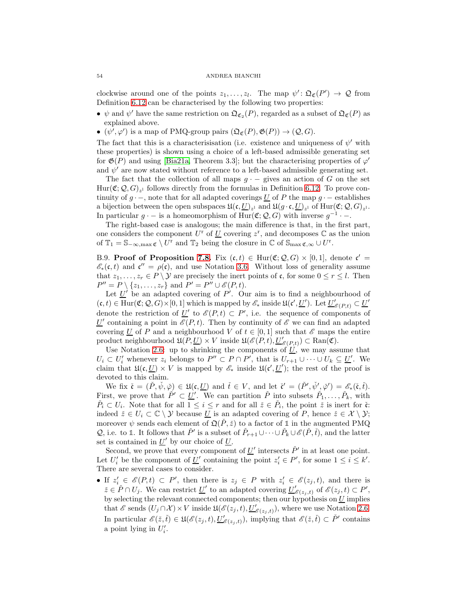#### <span id="page-53-1"></span>54 ANDREA BIANCHI

clockwise around one of the points  $z_1, \ldots, z_l$ . The map  $\psi' : \mathfrak{Q}_{\mathfrak{C}}(P') \to \mathcal{Q}$  from Definition [6.12](#page-30-4) can be characterised by the following two properties:

- $\psi$  and  $\psi'$  have the same restriction on  $\mathfrak{Q}_{\mathfrak{C}_2}(P)$ , regarded as a subset of  $\mathfrak{Q}_{\mathfrak{C}}(P)$  as explained above.
- $(\psi', \varphi')$  is a map of PMQ-group pairs  $(\mathfrak{Q}_{\mathfrak{C}}(P), \mathfrak{G}(P)) \to (\mathcal{Q}, G)$ .

The fact that this is a characterisisation (i.e. existence and uniqueness of  $\psi'$  with these properties) is shown using a choice of a left-based admissible generating set for  $\mathfrak{G}(P)$  and using [\[Bia21a,](#page-56-0) Theorem 3.3]; but the characterising properties of  $\varphi'$ and  $\psi'$  are now stated without reference to a left-based admissible generating set.

The fact that the collection of all maps  $g \cdot -$  gives an action of G on the set  $\text{Hur}(\mathfrak{C}; \mathcal{Q}, G)_{z^1}$  follows directly from the formulas in Definition [6.12.](#page-30-4) To prove continuity of  $g \cdot$  –, note that for all adapted coverings U of P the map  $g \cdot$  – establishes a bijection between the open subspaces  $\mathfrak{U}(\mathfrak{c}, \underline{U})_{z^1}$  and  $\mathfrak{U}(g \cdot \mathfrak{c}, \underline{U})_{z^1}$  of  $\text{Hur}(\mathfrak{C}; \mathcal{Q}, G)_{z^1}$ . In particular  $g \cdot -$  is a homeomorphism of  $Hur(\mathfrak{C}; \mathcal{Q}, G)$  with inverse  $g^{-1} \cdot -$ .

The right-based case is analogous; the main difference is that, in the first part, one considers the component  $U^{\rm r}$  of  $\underline{U}$  covering  $z^{\rm r}$ , and decomposes  $\mathbb C$  as the union of  $\mathbb{T}_1 = \mathbb{S}_{-\infty,\max} \mathfrak{C} \setminus U^{\mathrm{r}}$  and  $\mathbb{T}_2$  being the closure in  $\mathbb{C}$  of  $\mathbb{S}_{\max} \mathfrak{C}_{,\infty} \cup U^{\mathrm{r}}$ .

<span id="page-53-0"></span>B.9. Proof of Proposition [7.8.](#page-34-2) Fix  $(c, t) \in \text{Hur}(\mathfrak{C}; \mathcal{Q}, G) \times [0, 1]$ , denote  $\mathfrak{c}' =$  $\mathscr{E}_*(\mathfrak{c},t)$  and  $\mathfrak{c}'' = \rho(\mathfrak{c})$ , and use Notation [3.6.](#page-13-2) Without loss of generality assume that  $z_1, \ldots, z_r \in P \setminus \mathcal{Y}$  are precisely the inert points of c, for some  $0 \le r \le l$ . Then  $P'' = P \setminus \{z_1, \ldots, z_r\}$  and  $P' = P'' \cup \mathscr{E}(P, t)$ .

Let  $\underline{U}'$  be an adapted covering of  $P'$ . Our aim is to find a neighbourhood of  $(c, t) \in \text{Hur}(\mathfrak{C}; \mathcal{Q}, G) \times [0, 1]$  which is mapped by  $\mathscr{E}_*$  inside  $\mathfrak{U}(\mathfrak{c}', \underline{U}')$ . Let  $\underline{U}'_{\mathscr{E}(P, t)} \subset \underline{U}'$ denote the restriction of  $\underline{U}'$  to  $\mathscr{E}(P,t) \subset P'$ , i.e. the sequence of components of U' containing a point in  $\mathscr{E}(P,t)$ . Then by continuity of  $\mathscr{E}$  we can find an adapted covering U of P and a neighbourhood V of  $t \in [0,1]$  such that  $\mathscr E$  maps the entire product neighbourhood  $\mathfrak{U}(P, \underline{U}) \times V$  inside  $\mathfrak{U}(\mathscr{E}(P,t), \underline{U}'_{\mathscr{E}(P,t)}) \subset \text{Ran}(\mathfrak{C})$ .

Use Notation [2.6:](#page-6-4) up to shrinking the components of  $\overline{U}$ , we may assume that  $U_i \subset U'_i$  whenever  $z_i$  belongs to  $P'' \subset P \cap P'$ , that is  $U_{r+1} \cup \cdots \cup U_k \subseteq \underline{U}'$ . We claim that  $\mathfrak{U}(\mathfrak{c}, \underline{U}) \times V$  is mapped by  $\mathscr{E}_*$  inside  $\mathfrak{U}(\mathfrak{c}', \underline{U}')$ ; the rest of the proof is devoted to this claim.

We fix  $\mathfrak{r} = (\check{P}, \check{\psi}, \check{\varphi}) \in \mathfrak{U}(\mathfrak{c}, \underline{U})$  and  $\check{t} \in V$ , and let  $\check{\mathfrak{c}}' = (\check{P}', \check{\psi}', \check{\varphi}') = \mathcal{E}_*(\check{\mathfrak{c}}, \check{t})$ . First, we prove that  $\check{P}' \subset \underline{U}'$ . We can partition  $\check{P}$  into subsets  $\check{P}_1, \ldots, \check{P}_k$ , with  $\check{P}_i \subset U_i$ . Note that for all  $1 \leq i \leq r$  and for all  $\check{z} \in \check{P}_i$ , the point  $\check{z}$  is inert for  $\check{c}$ : indeed  $\check{z} \in U_i \subset \mathbb{C} \setminus \mathcal{Y}$  because  $\underline{U}$  is an adapted covering of P, hence  $\check{z} \in \mathcal{X} \setminus \mathcal{Y}$ ; moreover  $\psi$  sends each element of  $\mathfrak{Q}(\tilde{P},\tilde{z})$  to a factor of 1 in the augmented PMQ Q, i.e. to 1. It follows that  $\check{P}'$  is a subset of  $\check{P}_{r+1} \cup \cdots \cup \check{P}_k \cup \mathscr{E}(\check{P},\check{t})$ , and the latter set is contained in  $U'$  by our choice of  $U$ .

Second, we prove that every component of  $\underline{U}'$  intersects  $\check{P}'$  in at least one point. Let  $U'_i$  be the component of  $\underline{U}'$  containing the point  $z'_i \in P'$ , for some  $1 \leq i \leq k'$ . There are several cases to consider.

• If  $z_i' \in \mathscr{E}(P, t) \subset P'$ , then there is  $z_j \in P$  with  $z_i' \in \mathscr{E}(z_j, t)$ , and there is  $\check{z} \in \check{P} \cap U_j$ . We can restrict  $\underline{U}'$  to an adapted covering  $\underline{U}'_{\mathscr{E}(z_j,t)}$  of  $\mathscr{E}(z_j,t) \subset P'$ , by selecting the relevant connected components; then our hypothesis on  $U$  implies that  $\mathscr E$  sends  $(U_j \cap \mathcal X) \times V$  inside  $\mathfrak{U}(\mathscr E(z_j,t), \underline{U}'_{\mathscr E(z_j,t)}),$  where we use Notation [2.6.](#page-6-4) In particular  $\mathscr{E}(\check{z},\check{t}) \in \mathfrak{U}(\mathscr{E}(z_j,t),\underline{U}'_{\mathscr{E}(z_j,t)})$ , implying that  $\mathscr{E}(\check{z},\check{t}) \subset \check{P}'$  contains a point lying in  $U_i'$ .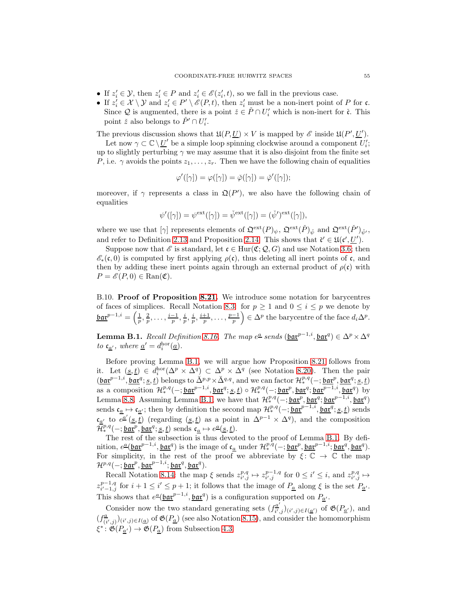- If  $z_i' \in \mathcal{Y}$ , then  $z_i' \in P$  and  $z_i' \in \mathscr{E}(z_i', t)$ , so we fall in the previous case.
- If  $z_i' \in \mathcal{X} \setminus \mathcal{Y}$  and  $z_i' \in P' \setminus \mathscr{E}(P, t)$ , then  $z_i'$  must be a non-inert point of P for c. Since Q is augmented, there is a point  $\check{z} \in \check{P} \cap U'_i$  which is non-inert for  $\check{\mathfrak{c}}$ . This point  $\check{z}$  also belongs to  $\check{P}' \cap U'_i$ .

The previous discussion shows that  $\mathfrak{U}(P, \underline{U}) \times V$  is mapped by  $\mathscr{E}$  inside  $\mathfrak{U}(P', \underline{U}')$ .

Let now  $\gamma \subset \mathbb{C} \setminus \underline{U'}$  be a simple loop spinning clockwise around a component  $U'_i$ ; up to slightly perturbing  $\gamma$  we may assume that it is also disjoint from the finite set P, i.e.  $\gamma$  avoids the points  $z_1, \ldots, z_r$ . Then we have the following chain of equalities

$$
\varphi'([\gamma]) = \varphi([\gamma]) = \check{\varphi}([\gamma]) = \check{\varphi}'([\gamma]);
$$

moreover, if  $\gamma$  represents a class in  $\mathfrak{Q}(P')$ , we also have the following chain of equalities

$$
\psi'([\gamma]) = \psi^{\text{ext}}([\gamma]) = \check{\psi}^{\text{ext}}([\gamma]) = (\check{\psi}')^{\text{ext}}([\gamma]),
$$

where we use that  $[\gamma]$  represents elements of  $\mathfrak{Q}^{\text{ext}}(P)_{\psi}$ ,  $\mathfrak{Q}^{\text{ext}}(\check{P})_{\check{\psi}}$  and  $\mathfrak{Q}^{\text{ext}}(\check{P}')_{\check{\psi}'}$ , and refer to Definition [2.13](#page-9-3) and Proposition [2.14.](#page-10-1) This shows that  $\zeta' \in \mathfrak{U}(\mathfrak{c}', \underline{U}')$ .

Suppose now that  $\mathscr E$  is standard, let  $\mathfrak c \in \text{Hur}(\mathfrak C; \mathcal Q, G)$  and use Notation [3.6;](#page-13-2) then  $\mathscr{E}_*(\mathfrak{c},0)$  is computed by first applying  $\rho(\mathfrak{c})$ , thus deleting all inert points of  $\mathfrak{c}$ , and then by adding these inert points again through an external product of  $\rho(\mathfrak{c})$  with  $P = \mathscr{E}(P, 0) \in \text{Ran}(\mathfrak{C}).$ 

<span id="page-54-0"></span>B.10. Proof of Proposition [8.21.](#page-42-1) We introduce some notation for barycentres of faces of simplices. Recall Notation [8.3:](#page-37-2) for  $p \ge 1$  and  $0 \le i \le p$  we denote by  $\underline{\text{bar}}^{p-1,i} = \left(\frac{1}{p}, \frac{2}{p}, \ldots, \frac{i-1}{p}, \frac{i}{p}, \frac{i}{p}, \frac{i+1}{p}, \ldots, \frac{p-1}{p}\right)$  $\left( \sum_{i=1}^{n} \epsilon_i \Delta_i \right)$  are barycentre of the face  $d_i \Delta_i^p$ .

<span id="page-54-1"></span>**Lemma B.1.** Recall Definition [8.16.](#page-41-1) The map  $e^{\underline{a}}$  sends  $(\underline{bar}^{p-1,i}, \underline{bar}^{q}) \in \Delta^p \times \Delta^q$ to  $c_{\underline{a}'},$  where  $\underline{a}' = d_i^{\text{hor}}(\underline{a}).$ 

Before proving Lemma [B.1,](#page-54-1) we will argue how Proposition [8.21](#page-42-1) follows from it. Let  $(s, t) \in d_i^{\text{hor}}(\Delta^p \times \Delta^q) \subset \Delta^p \times \Delta^q$  (see Notation [8.20\)](#page-42-3). Then the pair  $(\underline{\mathfrak{barr}}^{p-1,i}, \underline{\mathfrak{barq}}^q; \underline{s}, \underline{t})$  belongs to  $\Delta^{p,p} \times \Delta^{q,q}$ , and we can factor  $\mathcal{H}^{p,q}_*(-; \underline{\mathfrak{barr}}^p, \underline{\mathfrak{barq}}^q; \underline{s}, \underline{t})$ as a composition  $\mathcal{H}^{p,q}_*(-; \underline{\mathfrak{bar}}^{p-1,i}, \underline{\mathfrak{bar}}^q; \underline{s}, \underline{t}) \circ \mathcal{H}^{p,q}_*(-; \underline{\mathfrak{bar}}^p, \underline{\mathfrak{bar}}^q; \underline{\mathfrak{bar}}^{q-1,i}, \underline{\mathfrak{bar}}^q)$  by Lemma [8.8.](#page-38-1) Assuming Lemma [B.1,](#page-54-1) we have that  $\mathcal{H}^{p,q}_*(-; \underline{\mathfrak{bar}}^p, \underline{\mathfrak{bar}}^q; \underline{\mathfrak{bar}}^{q-1,i}, \underline{\mathfrak{bar}}^q)$ sends  $\mathfrak{c}_{\underline{a}} \mapsto \mathfrak{c}_{\underline{a'}}$ ; then by definition the second map  $\mathcal{H}^{p,q}_*(-; \underline{\mathfrak{bar}}^{p-1,i}, \underline{\mathfrak{bar}}^q; \underline{s}, \underline{t})$  sends  $\mathfrak{c}_{\underline{a'}}$  to  $\overline{e^{\underline{a'}}(\underline{s},\underline{t})}$  (regarding  $(\underline{s},\underline{t})$  as a point in  $\Delta^{p-1}\times\Delta^q$ ), and the composition  $\overline{\mathcal{H}}_*^{p,q}(-; \underline{\mathtt{bar}}^p, \underline{\mathtt{bar}}^q; \underline{s}, \underline{t})$  sends  $\mathfrak{c}_{\underline{a}} \mapsto e^{\underline{a}}(\underline{s}, \underline{t}).$ 

The rest of the subsection is thus devoted to the proof of Lemma [B.1.](#page-54-1) By definition,  $e^{\underline{a}}(\underline{\mathfrak{bar}}^{p-1,i}, \underline{\mathfrak{bar}}^q)$  is the image of  $\mathfrak{c}_{\underline{a}}$  under  $\mathcal{H}^{p,q}_*(-; \underline{\mathfrak{bar}}^p, \underline{\mathfrak{bar}}^{p-1,i}; \underline{\mathfrak{bar}}^q, \underline{\mathfrak{bar}}^q)$ . For simplicity, in the rest of the proof we abbreviate by  $\xi : \mathbb{C} \to \mathbb{C}$  the map  $\mathcal{H}^{p,q}(-; \underline{\mathfrak{bar}}^p, \underline{\mathfrak{bar}}^{p-1,i}; \underline{\mathfrak{bar}}^q, \underline{\mathfrak{bar}}^q).$ 

Recall Notation [8.14:](#page-40-2) the map  $\xi$  sends  $z_{i',j}^{p,q} \mapsto z_{i',j}^{p-1,q}$  for  $0 \leq i' \leq i$ , and  $z_{i',j}^{p,q} \mapsto$  $z_{i'-1,j}^{p-1,q}$  for  $i+1 \leq i' \leq p+1$ ; it follows that the image of  $P_{\underline{a}}$  along  $\xi$  is the set  $P_{\underline{a'}}$ . This shows that  $e^{\underline{a}}(\underline{\mathtt{bar}}^{p-1,i}, \underline{\mathtt{bar}}^q)$  is a configuration supported on  $P_{\underline{a}'}$ .

Consider now the two standard generating sets  $(f_{ii}^{\underline{a}'}$  $(\frac{a}{i'},j)_{(i',j)\in I(\underline{a'})}$  of  $\mathfrak{G}(P_{\underline{a'}})$ , and  $(f_{\alpha}^a)$  $(\frac{a}{(i',j)})(i',j) \in I(\underline{a})$  of  $\mathfrak{G}(P_{\underline{a}})$  (see also Notation [8.15\)](#page-40-3), and consider the homomorphism  $\xi^*$ :  $\mathfrak{G}(P_{\underline{a}'}) \to \mathfrak{G}(P_{\underline{a}})$  from Subsection [4.3.](#page-19-2)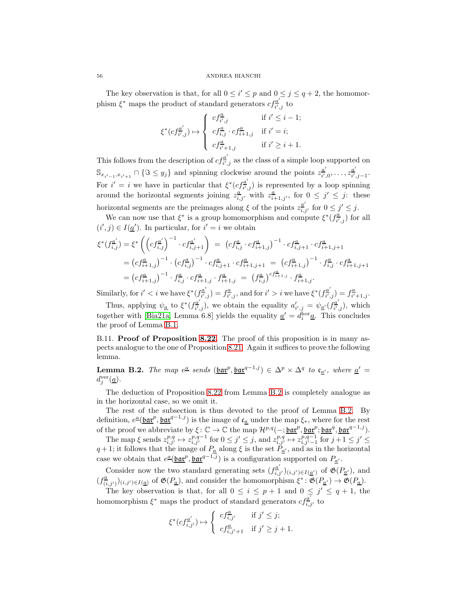The key observation is that, for all  $0 \leq i' \leq p$  and  $0 \leq j \leq q+2$ , the homomorphism  $\xi^*$  maps the product of standard generators  $cf_{i'}^{a'}$  $\frac{a}{i',j}$  to

$$
\xi^*(cf_{i',j}^{\underline{a'}}) \mapsto \left\{ \begin{array}{ll} cf_{i',j}^{\underline{a}} & \text{if $i'\leq i-1$;} \\ cf_{i,j}^{\underline{a}}\cdot cf_{i+1,j}^{\underline{a}} & \text{if $i'=i$;} \\ cf_{i'+1,j}^{\underline{a}} & \text{if $i'\geq i+1$.} \end{array} \right.
$$

This follows from the description of  $cf_{ii}^{\underline{a}'}$  $\frac{d}{i',j}$  as the class of a simple loop supported on  $\mathbb{S}_{x_{i'-1},x_{i'+1}} \cap {\mathfrak{F}} \leq y_j$  and spinning clockwise around the points  $z_{i'}^{\underline{a}'}$  $\frac{a'}{i',0}, \ldots, z_{i'}^{a'}$  $\frac{a}{i',j-1}$ . For  $i' = i$  we have in particular that  $\xi^*(cf_{ii'}^{\underline{a}'})$  $\frac{\partial u}{\partial i'}$  is represented by a loop spinning around the horizontal segments joining  $z_{i,j'}^a$  with  $z_{i+1,j'}^a$ , for  $0 \leq j' \leq j$ : these horizontal segments are the preimages along  $\xi$  of the points  $z_{i,j'}^{\underline{a'}}$  for  $0 \leq j' \leq j$ .

We can now use that  $\xi^*$  is a group homomorphism and compute  $\xi^*(f_{\overline{i'}}^{\underline{a}})$  $(\frac{u}{i},j})$  for all  $(i', j) \in I(\underline{a}')$ . In particular, for  $i' = i$  we obtain

$$
\xi^*(f_{i,j}^{\underline{a}'} ) = \xi^* \left( \left( cf_{i,j}^{\underline{a}'} \right)^{-1} \cdot cf_{i,j+1}^{\underline{a}'} \right) = \left( cf_{i,j}^{\underline{a}} \cdot cf_{i+1,j}^{\underline{a}} \right)^{-1} \cdot cf_{i,j+1}^{\underline{a}} \cdot cf_{i+1,j+1}^{\underline{a}} \n= \left( cf_{i+1,j}^{\underline{a}} \right)^{-1} \cdot \left( cf_{i,j}^{\underline{a}} \right)^{-1} \cdot cf_{i,j+1}^{\underline{a}} \cdot cf_{i+1,j+1}^{\underline{a}} = \left( cf_{i+1,j}^{\underline{a}} \right)^{-1} \cdot f_{i,j}^{\underline{a}} \cdot cf_{i+1,j+1}^{\underline{a}} \n= \left( cf_{i+1,j}^{\underline{a}} \right)^{-1} \cdot f_{i,j}^{\underline{a}} \cdot cf_{i+1,j}^{\underline{a}} \cdot f_{i+1,j}^{\underline{a}} = \left( f_{i,j}^{\underline{a}} \right)^{cf_{i+1,j}^{\underline{a}} \cdot f_{i+1,j}^{\underline{a}}.
$$

Similarly, for  $i' < i$  we have  $\xi^*(f_{\overline{i'}}^{a'}$  $\overline{f}_{\overline{i}^{\prime},j}^{\underline{a}^{\prime}})=f_{\overline{i}^{\prime}}^{\underline{a}}$  $\frac{a}{i',j}$ , and for  $i' > i$  we have  $\xi^*(f_{\overline{i'}},\xi)$  $\lambda_{\overline{i'},j}^{\underline{a'}})=f_{\overline{i'}}^{\underline{a}}$  $\frac{a}{i'+1,j}$ .

Thus, applying  $\psi_{\underline{a}}$  to  $\xi^*(f_{\overline{i'}}^{\underline{a'}})$  $\frac{a'}{i',j}$ , we obtain the equality  $a'_{i',j} = \psi_{\underline{a'}}(f_{\overline{i'}},\overline{a'})$  $\frac{a}{i',j}$ , which together with [\[Bia21a,](#page-56-0) Lemma 6.8] yields the equality  $\underline{a}' = d_i^{\text{hor}} \underline{a}$ . This concludes the proof of Lemma [B.1.](#page-54-1)

<span id="page-55-0"></span>B.11. **Proof of Proposition [8.22.](#page-42-2)** The proof of this proposition is in many aspects analogue to the one of Proposition [8.21.](#page-42-1) Again it suffices to prove the following lemma.

<span id="page-55-1"></span>**Lemma B.2.** The map  $e^{\underline{a}}$  sends  $(\underline{bar}^p, \underline{bar}^{q-1,j}) \in \Delta^p \times \Delta^q$  to  $c_{\underline{a'}}$ , where  $\underline{a'} =$  $d_j^{\text{ver}}(\underline{a})$ .

The deduction of Proposition [8.22](#page-42-2) from Lemma [B.2](#page-55-1) is completely analogue as in the horizontal case, so we omit it.

The rest of the subsection is thus devoted to the proof of Lemma [B.2.](#page-55-1) By definition,  $e^{\underline{a}}(\underline{bar}^p, \underline{bar}^{q-1,j})$  is the image of  $\mathfrak{c}_{\underline{a}}$  under the map  $\xi_*$ , where for the rest of the proof we abbreviate by  $\xi: \mathbb{C} \to \mathbb{C}$  the map  $\mathcal{H}^{p,q}(-; \underline{\mathfrak{bar}}^p, \underline{\mathfrak{bar}}^p; \underline{\mathfrak{bar}}^q, \underline{\mathfrak{bar}}^{q-1,j}).$ 

The map  $\xi$  sends  $z_{i,j'}^{p,q} \mapsto z_{i,j'}^{p,q-1}$  for  $0 \le j' \le j$ , and  $z_{i,j'}^{p,q} \mapsto z_{i,j'-1}^{p,q-1}$  for  $j+1 \le j' \le j$ .  $q+1$ ; it follows that the image of  $P_{\underline{a}}$  along  $\xi$  is the set  $P_{\underline{a'}}$ , and as in the horizontal case we obtain that  $e^{\underline{a}}(\underline{\mathtt{bar}}^p, \underline{\mathtt{bar}}^{q-1,j})$  is a configuration supported on  $P_{\underline{a}'}$ .

Consider now the two standard generating sets  $(f_{i,j'}^{\underline{a'}})_{(i,j')\in I(\underline{a'})}$  of  $\mathfrak{G}(P_{\underline{a'}})$ , and  $(f_{(i,j')}^{\underline{a}})_{(i,j')\in I(\underline{a})}$  of  $\mathfrak{G}(P_{\underline{a}})$ , and consider the homomorphism  $\xi^*: \mathfrak{G}(P_{\underline{a}'}) \to \mathfrak{G}(P_{\underline{a}})$ .

The key observation is that, for all  $0 \leq i \leq p+1$  and  $0 \leq j' \leq q+1$ , the homomorphism  $\xi^*$  maps the product of standard generators  $cf_{i,j'}^{\underline{a'}}$  to

$$
\xi^*(cf_{i,j'}^{\underline{a}'})\mapsto \left\{\begin{array}{ll} cf_{i,j'}^{\underline{a}} & \text{if } j'\leq j;\\ cf_{i,j'+1}^{\underline{a}} & \text{if } j'\geq j+1. \end{array}\right.
$$

<span id="page-55-2"></span>